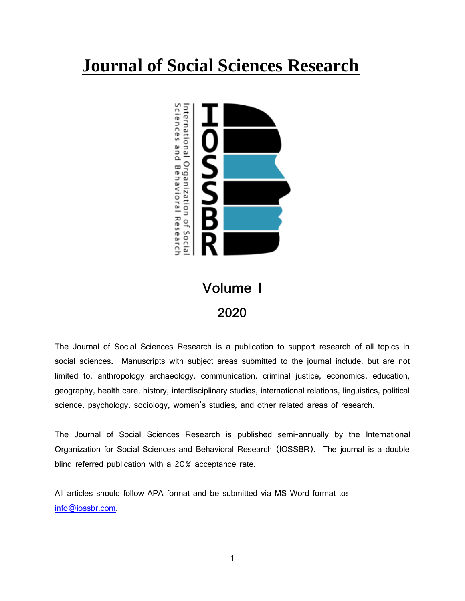# **Journal of Social Sciences Research**



# **Volume I 2020**

The Journal of Social Sciences Research is a publication to support research of all topics in social sciences. Manuscripts with subject areas submitted to the journal include, but are not limited to, anthropology archaeology, communication, criminal justice, economics, education, geography, health care, history, interdisciplinary studies, international relations, linguistics, political science, psychology, sociology, women's studies, and other related areas of research.

The Journal of Social Sciences Research is published semi-annually by the International Organization for Social Sciences and Behavioral Research (IOSSBR). The journal is a double blind referred publication with a 20% acceptance rate.

All articles should follow APA format and be submitted via MS Word format to: [info@iossbr.com.](mailto:info@iossbr.com)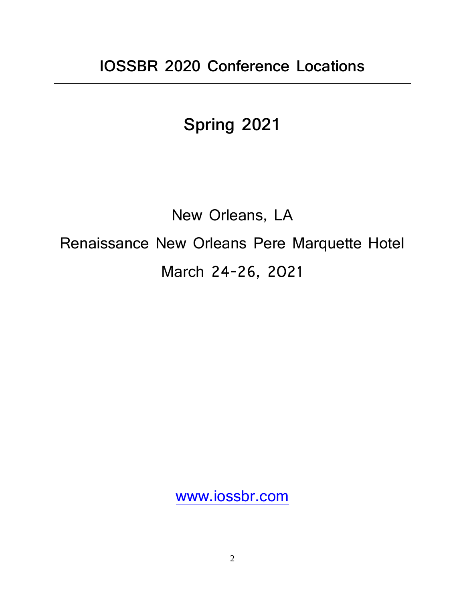# **Spring 2021**

# New Orleans, LA Renaissance New Orleans Pere Marquette Hotel March 24-26, 2021

[www.iossbr.com](http://www.iossbr.com/)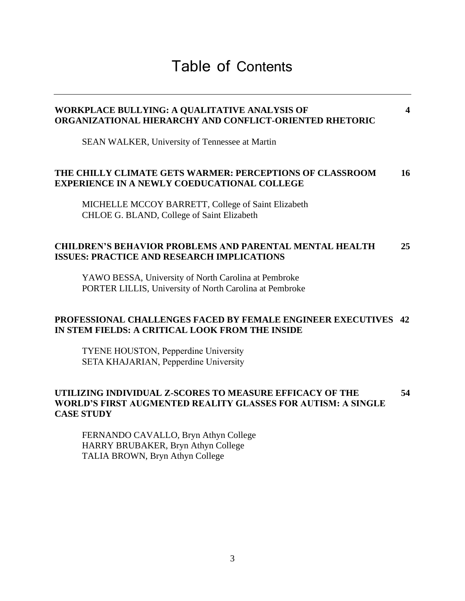# Table of Contents

# **WORKPLACE BULLYING: A QUALITATIVE ANALYSIS OF 4 ORGANIZATIONAL HIERARCHY AND CONFLICT-ORIENTED RHETORIC** SEAN WALKER, University of Tennessee at Martin **THE CHILLY CLIMATE GETS WARMER: PERCEPTIONS OF CLASSROOM 16 EXPERIENCE IN A NEWLY COEDUCATIONAL COLLEGE** MICHELLE MCCOY BARRETT, College of Saint Elizabeth CHLOE G. BLAND, College of Saint Elizabeth **CHILDREN'S BEHAVIOR PROBLEMS AND PARENTAL MENTAL HEALTH 25 ISSUES: PRACTICE AND RESEARCH IMPLICATIONS**

YAWO BESSA, University of North Carolina at Pembroke PORTER LILLIS, University of North Carolina at Pembroke

#### **PROFESSIONAL CHALLENGES FACED BY FEMALE ENGINEER EXECUTIVES 42 IN STEM FIELDS: A CRITICAL LOOK FROM THE INSIDE**

TYENE HOUSTON, Pepperdine University SETA KHAJARIAN, Pepperdine University

#### **UTILIZING INDIVIDUAL Z-SCORES TO MEASURE EFFICACY OF THE 54 WORLD'S FIRST AUGMENTED REALITY GLASSES FOR AUTISM: A SINGLE CASE STUDY**

FERNANDO CAVALLO, Bryn Athyn College HARRY BRUBAKER, Bryn Athyn College TALIA BROWN, Bryn Athyn College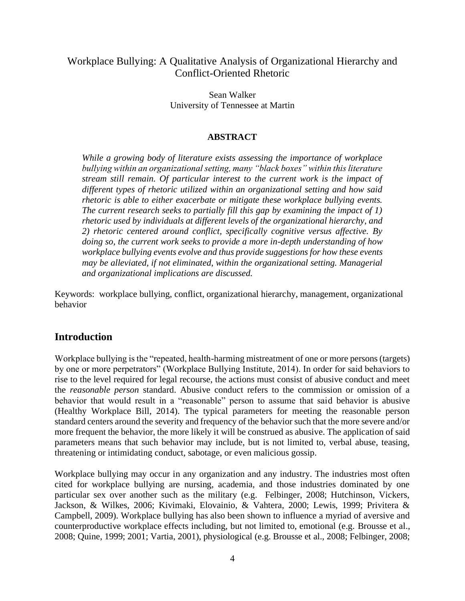#### Workplace Bullying: A Qualitative Analysis of Organizational Hierarchy and Conflict-Oriented Rhetoric

Sean Walker University of Tennessee at Martin

#### **ABSTRACT**

*While a growing body of literature exists assessing the importance of workplace bullying within an organizational setting, many "black boxes" within this literature stream still remain. Of particular interest to the current work is the impact of different types of rhetoric utilized within an organizational setting and how said rhetoric is able to either exacerbate or mitigate these workplace bullying events. The current research seeks to partially fill this gap by examining the impact of 1) rhetoric used by individuals at different levels of the organizational hierarchy, and 2) rhetoric centered around conflict, specifically cognitive versus affective. By doing so, the current work seeks to provide a more in-depth understanding of how workplace bullying events evolve and thus provide suggestions for how these events may be alleviated, if not eliminated, within the organizational setting. Managerial and organizational implications are discussed.* 

Keywords: workplace bullying, conflict, organizational hierarchy, management, organizational behavior

#### **Introduction**

Workplace bullying is the "repeated, health-harming mistreatment of one or more persons (targets) by one or more perpetrators" (Workplace Bullying Institute, 2014). In order for said behaviors to rise to the level required for legal recourse, the actions must consist of abusive conduct and meet the *reasonable person* standard. Abusive conduct refers to the commission or omission of a behavior that would result in a "reasonable" person to assume that said behavior is abusive (Healthy Workplace Bill, 2014). The typical parameters for meeting the reasonable person standard centers around the severity and frequency of the behavior such that the more severe and/or more frequent the behavior, the more likely it will be construed as abusive. The application of said parameters means that such behavior may include, but is not limited to, verbal abuse, teasing, threatening or intimidating conduct, sabotage, or even malicious gossip.

Workplace bullying may occur in any organization and any industry. The industries most often cited for workplace bullying are nursing, academia, and those industries dominated by one particular sex over another such as the military (e.g. Felbinger, 2008; Hutchinson, Vickers, Jackson, & Wilkes, 2006; Kivimaki, Elovainio, & Vahtera, 2000; Lewis, 1999; Privitera & Campbell, 2009). Workplace bullying has also been shown to influence a myriad of aversive and counterproductive workplace effects including, but not limited to, emotional (e.g. Brousse et al., 2008; Quine, 1999; 2001; Vartia, 2001), physiological (e.g. Brousse et al., 2008; Felbinger, 2008;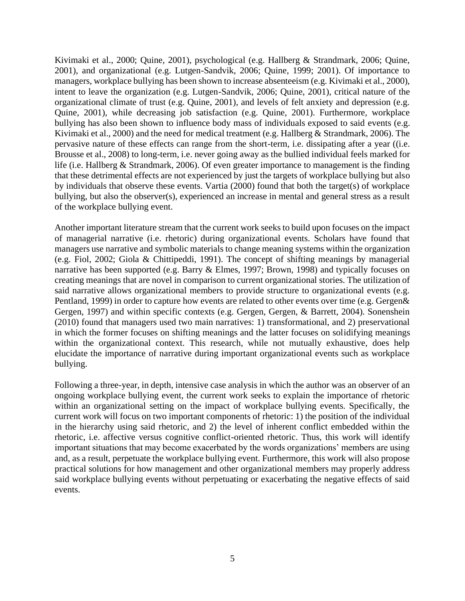Kivimaki et al., 2000; Quine, 2001), psychological (e.g. Hallberg & Strandmark, 2006; Quine, 2001), and organizational (e.g. Lutgen-Sandvik, 2006; Quine, 1999; 2001). Of importance to managers, workplace bullying has been shown to increase absenteeism (e.g. Kivimaki et al., 2000), intent to leave the organization (e.g. Lutgen-Sandvik, 2006; Quine, 2001), critical nature of the organizational climate of trust (e.g. Quine, 2001), and levels of felt anxiety and depression (e.g. Quine, 2001), while decreasing job satisfaction (e.g. Quine, 2001). Furthermore, workplace bullying has also been shown to influence body mass of individuals exposed to said events (e.g. Kivimaki et al., 2000) and the need for medical treatment (e.g. Hallberg & Strandmark, 2006). The pervasive nature of these effects can range from the short-term, i.e. dissipating after a year ((i.e. Brousse et al., 2008) to long-term, i.e. never going away as the bullied individual feels marked for life (i.e. Hallberg & Strandmark, 2006). Of even greater importance to management is the finding that these detrimental effects are not experienced by just the targets of workplace bullying but also by individuals that observe these events. Vartia (2000) found that both the target(s) of workplace bullying, but also the observer(s), experienced an increase in mental and general stress as a result of the workplace bullying event.

Another important literature stream that the current work seeks to build upon focuses on the impact of managerial narrative (i.e. rhetoric) during organizational events. Scholars have found that managers use narrative and symbolic materials to change meaning systems within the organization (e.g. Fiol, 2002; Giola & Chittipeddi, 1991). The concept of shifting meanings by managerial narrative has been supported (e.g. Barry & Elmes, 1997; Brown, 1998) and typically focuses on creating meanings that are novel in comparison to current organizational stories. The utilization of said narrative allows organizational members to provide structure to organizational events (e.g. Pentland, 1999) in order to capture how events are related to other events over time (e.g. Gergen& Gergen, 1997) and within specific contexts (e.g. Gergen, Gergen, & Barrett, 2004). Sonenshein (2010) found that managers used two main narratives: 1) transformational, and 2) preservational in which the former focuses on shifting meanings and the latter focuses on solidifying meanings within the organizational context. This research, while not mutually exhaustive, does help elucidate the importance of narrative during important organizational events such as workplace bullying.

Following a three-year, in depth, intensive case analysis in which the author was an observer of an ongoing workplace bullying event, the current work seeks to explain the importance of rhetoric within an organizational setting on the impact of workplace bullying events. Specifically, the current work will focus on two important components of rhetoric: 1) the position of the individual in the hierarchy using said rhetoric, and 2) the level of inherent conflict embedded within the rhetoric, i.e. affective versus cognitive conflict-oriented rhetoric. Thus, this work will identify important situations that may become exacerbated by the words organizations' members are using and, as a result, perpetuate the workplace bullying event. Furthermore, this work will also propose practical solutions for how management and other organizational members may properly address said workplace bullying events without perpetuating or exacerbating the negative effects of said events.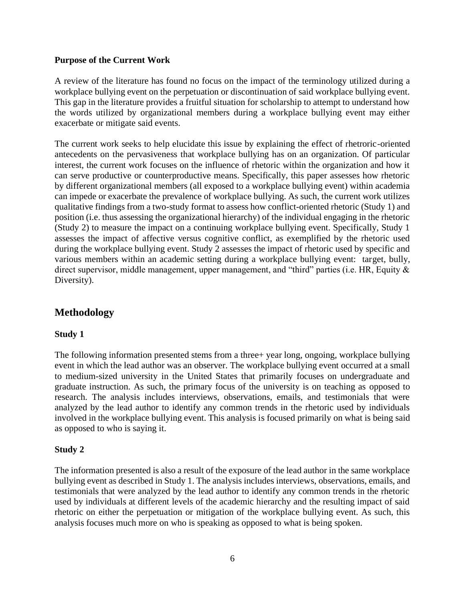#### **Purpose of the Current Work**

A review of the literature has found no focus on the impact of the terminology utilized during a workplace bullying event on the perpetuation or discontinuation of said workplace bullying event. This gap in the literature provides a fruitful situation for scholarship to attempt to understand how the words utilized by organizational members during a workplace bullying event may either exacerbate or mitigate said events.

The current work seeks to help elucidate this issue by explaining the effect of rhetroric-oriented antecedents on the pervasiveness that workplace bullying has on an organization. Of particular interest, the current work focuses on the influence of rhetoric within the organization and how it can serve productive or counterproductive means. Specifically, this paper assesses how rhetoric by different organizational members (all exposed to a workplace bullying event) within academia can impede or exacerbate the prevalence of workplace bullying. As such, the current work utilizes qualitative findings from a two-study format to assess how conflict-oriented rhetoric (Study 1) and position (i.e. thus assessing the organizational hierarchy) of the individual engaging in the rhetoric (Study 2) to measure the impact on a continuing workplace bullying event. Specifically, Study 1 assesses the impact of affective versus cognitive conflict, as exemplified by the rhetoric used during the workplace bullying event. Study 2 assesses the impact of rhetoric used by specific and various members within an academic setting during a workplace bullying event: target, bully, direct supervisor, middle management, upper management, and "third" parties (i.e. HR, Equity & Diversity).

#### **Methodology**

#### **Study 1**

The following information presented stems from a three+ year long, ongoing, workplace bullying event in which the lead author was an observer. The workplace bullying event occurred at a small to medium-sized university in the United States that primarily focuses on undergraduate and graduate instruction. As such, the primary focus of the university is on teaching as opposed to research. The analysis includes interviews, observations, emails, and testimonials that were analyzed by the lead author to identify any common trends in the rhetoric used by individuals involved in the workplace bullying event. This analysis is focused primarily on what is being said as opposed to who is saying it.

#### **Study 2**

The information presented is also a result of the exposure of the lead author in the same workplace bullying event as described in Study 1. The analysis includes interviews, observations, emails, and testimonials that were analyzed by the lead author to identify any common trends in the rhetoric used by individuals at different levels of the academic hierarchy and the resulting impact of said rhetoric on either the perpetuation or mitigation of the workplace bullying event. As such, this analysis focuses much more on who is speaking as opposed to what is being spoken.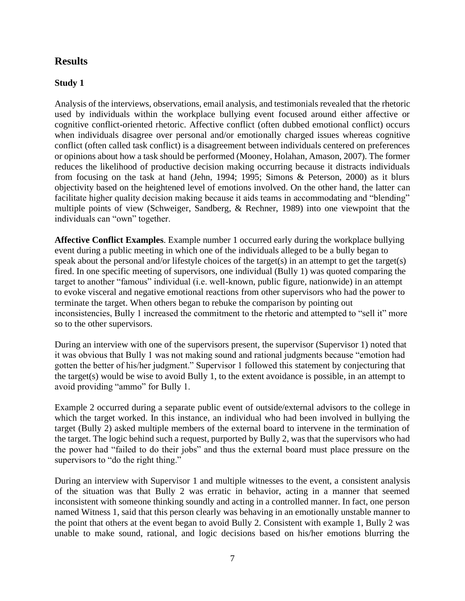#### **Results**

#### **Study 1**

Analysis of the interviews, observations, email analysis, and testimonials revealed that the rhetoric used by individuals within the workplace bullying event focused around either affective or cognitive conflict-oriented rhetoric. Affective conflict (often dubbed emotional conflict) occurs when individuals disagree over personal and/or emotionally charged issues whereas cognitive conflict (often called task conflict) is a disagreement between individuals centered on preferences or opinions about how a task should be performed (Mooney, Holahan, Amason, 2007). The former reduces the likelihood of productive decision making occurring because it distracts individuals from focusing on the task at hand (Jehn, 1994; 1995; Simons & Peterson, 2000) as it blurs objectivity based on the heightened level of emotions involved. On the other hand, the latter can facilitate higher quality decision making because it aids teams in accommodating and "blending" multiple points of view (Schweiger, Sandberg, & Rechner, 1989) into one viewpoint that the individuals can "own" together.

**Affective Conflict Examples**. Example number 1 occurred early during the workplace bullying event during a public meeting in which one of the individuals alleged to be a bully began to speak about the personal and/or lifestyle choices of the target(s) in an attempt to get the target(s) fired. In one specific meeting of supervisors, one individual (Bully 1) was quoted comparing the target to another "famous" individual (i.e. well-known, public figure, nationwide) in an attempt to evoke visceral and negative emotional reactions from other supervisors who had the power to terminate the target. When others began to rebuke the comparison by pointing out inconsistencies, Bully 1 increased the commitment to the rhetoric and attempted to "sell it" more so to the other supervisors.

During an interview with one of the supervisors present, the supervisor (Supervisor 1) noted that it was obvious that Bully 1 was not making sound and rational judgments because "emotion had gotten the better of his/her judgment." Supervisor 1 followed this statement by conjecturing that the target(s) would be wise to avoid Bully 1, to the extent avoidance is possible, in an attempt to avoid providing "ammo" for Bully 1.

Example 2 occurred during a separate public event of outside/external advisors to the college in which the target worked. In this instance, an individual who had been involved in bullying the target (Bully 2) asked multiple members of the external board to intervene in the termination of the target. The logic behind such a request, purported by Bully 2, was that the supervisors who had the power had "failed to do their jobs" and thus the external board must place pressure on the supervisors to "do the right thing."

During an interview with Supervisor 1 and multiple witnesses to the event, a consistent analysis of the situation was that Bully 2 was erratic in behavior, acting in a manner that seemed inconsistent with someone thinking soundly and acting in a controlled manner. In fact, one person named Witness 1, said that this person clearly was behaving in an emotionally unstable manner to the point that others at the event began to avoid Bully 2. Consistent with example 1, Bully 2 was unable to make sound, rational, and logic decisions based on his/her emotions blurring the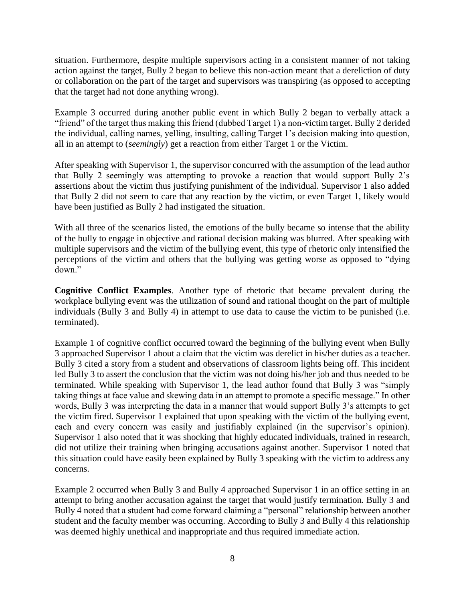situation. Furthermore, despite multiple supervisors acting in a consistent manner of not taking action against the target, Bully 2 began to believe this non-action meant that a dereliction of duty or collaboration on the part of the target and supervisors was transpiring (as opposed to accepting that the target had not done anything wrong).

Example 3 occurred during another public event in which Bully 2 began to verbally attack a "friend" of the target thus making this friend (dubbed Target 1) a non-victim target. Bully 2 derided the individual, calling names, yelling, insulting, calling Target 1's decision making into question, all in an attempt to (*seemingly*) get a reaction from either Target 1 or the Victim.

After speaking with Supervisor 1, the supervisor concurred with the assumption of the lead author that Bully 2 seemingly was attempting to provoke a reaction that would support Bully 2's assertions about the victim thus justifying punishment of the individual. Supervisor 1 also added that Bully 2 did not seem to care that any reaction by the victim, or even Target 1, likely would have been justified as Bully 2 had instigated the situation.

With all three of the scenarios listed, the emotions of the bully became so intense that the ability of the bully to engage in objective and rational decision making was blurred. After speaking with multiple supervisors and the victim of the bullying event, this type of rhetoric only intensified the perceptions of the victim and others that the bullying was getting worse as opposed to "dying down."

**Cognitive Conflict Examples**. Another type of rhetoric that became prevalent during the workplace bullying event was the utilization of sound and rational thought on the part of multiple individuals (Bully 3 and Bully 4) in attempt to use data to cause the victim to be punished (i.e. terminated).

Example 1 of cognitive conflict occurred toward the beginning of the bullying event when Bully 3 approached Supervisor 1 about a claim that the victim was derelict in his/her duties as a teacher. Bully 3 cited a story from a student and observations of classroom lights being off. This incident led Bully 3 to assert the conclusion that the victim was not doing his/her job and thus needed to be terminated. While speaking with Supervisor 1, the lead author found that Bully 3 was "simply taking things at face value and skewing data in an attempt to promote a specific message." In other words, Bully 3 was interpreting the data in a manner that would support Bully 3's attempts to get the victim fired. Supervisor 1 explained that upon speaking with the victim of the bullying event, each and every concern was easily and justifiably explained (in the supervisor's opinion). Supervisor 1 also noted that it was shocking that highly educated individuals, trained in research, did not utilize their training when bringing accusations against another. Supervisor 1 noted that this situation could have easily been explained by Bully 3 speaking with the victim to address any concerns.

Example 2 occurred when Bully 3 and Bully 4 approached Supervisor 1 in an office setting in an attempt to bring another accusation against the target that would justify termination. Bully 3 and Bully 4 noted that a student had come forward claiming a "personal" relationship between another student and the faculty member was occurring. According to Bully 3 and Bully 4 this relationship was deemed highly unethical and inappropriate and thus required immediate action.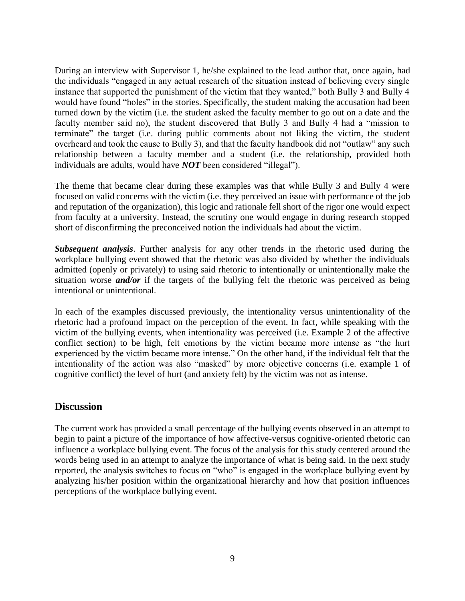During an interview with Supervisor 1, he/she explained to the lead author that, once again, had the individuals "engaged in any actual research of the situation instead of believing every single instance that supported the punishment of the victim that they wanted," both Bully 3 and Bully 4 would have found "holes" in the stories. Specifically, the student making the accusation had been turned down by the victim (i.e. the student asked the faculty member to go out on a date and the faculty member said no), the student discovered that Bully 3 and Bully 4 had a "mission to terminate" the target (i.e. during public comments about not liking the victim, the student overheard and took the cause to Bully 3), and that the faculty handbook did not "outlaw" any such relationship between a faculty member and a student (i.e. the relationship, provided both individuals are adults, would have *NOT* been considered "illegal").

The theme that became clear during these examples was that while Bully 3 and Bully 4 were focused on valid concerns with the victim (i.e. they perceived an issue with performance of the job and reputation of the organization), this logic and rationale fell short of the rigor one would expect from faculty at a university. Instead, the scrutiny one would engage in during research stopped short of disconfirming the preconceived notion the individuals had about the victim.

*Subsequent analysis*. Further analysis for any other trends in the rhetoric used during the workplace bullying event showed that the rhetoric was also divided by whether the individuals admitted (openly or privately) to using said rhetoric to intentionally or unintentionally make the situation worse *and/or* if the targets of the bullying felt the rhetoric was perceived as being intentional or unintentional.

In each of the examples discussed previously, the intentionality versus unintentionality of the rhetoric had a profound impact on the perception of the event. In fact, while speaking with the victim of the bullying events, when intentionality was perceived (i.e. Example 2 of the affective conflict section) to be high, felt emotions by the victim became more intense as "the hurt experienced by the victim became more intense." On the other hand, if the individual felt that the intentionality of the action was also "masked" by more objective concerns (i.e. example 1 of cognitive conflict) the level of hurt (and anxiety felt) by the victim was not as intense.

#### **Discussion**

The current work has provided a small percentage of the bullying events observed in an attempt to begin to paint a picture of the importance of how affective-versus cognitive-oriented rhetoric can influence a workplace bullying event. The focus of the analysis for this study centered around the words being used in an attempt to analyze the importance of what is being said. In the next study reported, the analysis switches to focus on "who" is engaged in the workplace bullying event by analyzing his/her position within the organizational hierarchy and how that position influences perceptions of the workplace bullying event.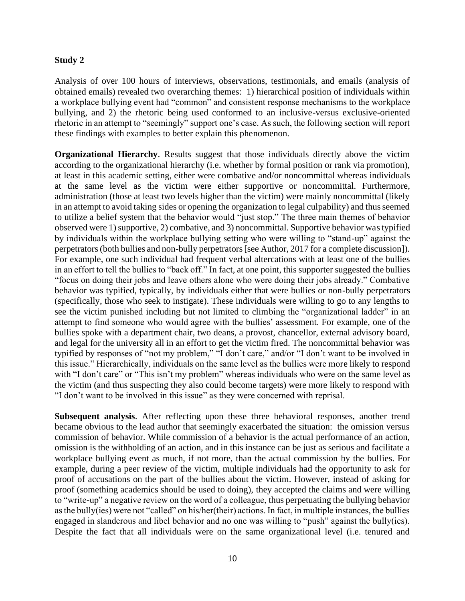#### **Study 2**

Analysis of over 100 hours of interviews, observations, testimonials, and emails (analysis of obtained emails) revealed two overarching themes: 1) hierarchical position of individuals within a workplace bullying event had "common" and consistent response mechanisms to the workplace bullying, and 2) the rhetoric being used conformed to an inclusive-versus exclusive-oriented rhetoric in an attempt to "seemingly" support one's case. As such, the following section will report these findings with examples to better explain this phenomenon.

**Organizational Hierarchy.** Results suggest that those individuals directly above the victim according to the organizational hierarchy (i.e. whether by formal position or rank via promotion), at least in this academic setting, either were combative and/or noncommittal whereas individuals at the same level as the victim were either supportive or noncommittal. Furthermore, administration (those at least two levels higher than the victim) were mainly noncommittal (likely in an attempt to avoid taking sides or opening the organization to legal culpability) and thus seemed to utilize a belief system that the behavior would "just stop." The three main themes of behavior observed were 1) supportive, 2) combative, and 3) noncommittal. Supportive behavior was typified by individuals within the workplace bullying setting who were willing to "stand-up" against the perpetrators (both bullies and non-bully perpetrators [see Author, 2017 for a complete discussion]). For example, one such individual had frequent verbal altercations with at least one of the bullies in an effort to tell the bullies to "back off." In fact, at one point, this supporter suggested the bullies "focus on doing their jobs and leave others alone who were doing their jobs already." Combative behavior was typified, typically, by individuals either that were bullies or non-bully perpetrators (specifically, those who seek to instigate). These individuals were willing to go to any lengths to see the victim punished including but not limited to climbing the "organizational ladder" in an attempt to find someone who would agree with the bullies' assessment. For example, one of the bullies spoke with a department chair, two deans, a provost, chancellor, external advisory board, and legal for the university all in an effort to get the victim fired. The noncommittal behavior was typified by responses of "not my problem," "I don't care," and/or "I don't want to be involved in this issue." Hierarchically, individuals on the same level as the bullies were more likely to respond with "I don't care" or "This isn't my problem" whereas individuals who were on the same level as the victim (and thus suspecting they also could become targets) were more likely to respond with "I don't want to be involved in this issue" as they were concerned with reprisal.

**Subsequent analysis**. After reflecting upon these three behavioral responses, another trend became obvious to the lead author that seemingly exacerbated the situation: the omission versus commission of behavior. While commission of a behavior is the actual performance of an action, omission is the withholding of an action, and in this instance can be just as serious and facilitate a workplace bullying event as much, if not more, than the actual commission by the bullies. For example, during a peer review of the victim, multiple individuals had the opportunity to ask for proof of accusations on the part of the bullies about the victim. However, instead of asking for proof (something academics should be used to doing), they accepted the claims and were willing to "write-up" a negative review on the word of a colleague, thus perpetuating the bullying behavior as the bully(ies) were not "called" on his/her(their) actions. In fact, in multiple instances, the bullies engaged in slanderous and libel behavior and no one was willing to "push" against the bully(ies). Despite the fact that all individuals were on the same organizational level (i.e. tenured and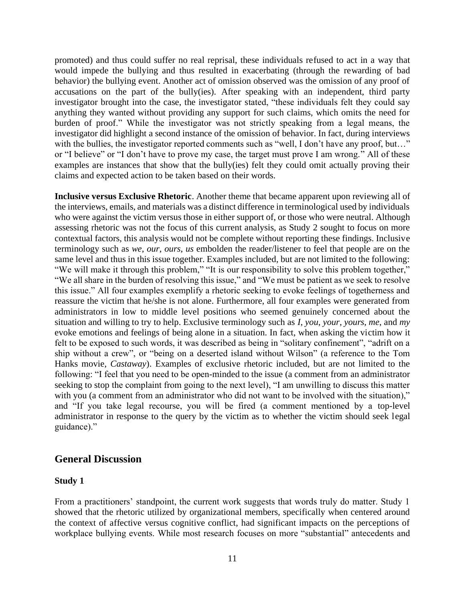promoted) and thus could suffer no real reprisal, these individuals refused to act in a way that would impede the bullying and thus resulted in exacerbating (through the rewarding of bad behavior) the bullying event. Another act of omission observed was the omission of any proof of accusations on the part of the bully(ies). After speaking with an independent, third party investigator brought into the case, the investigator stated, "these individuals felt they could say anything they wanted without providing any support for such claims, which omits the need for burden of proof." While the investigator was not strictly speaking from a legal means, the investigator did highlight a second instance of the omission of behavior. In fact, during interviews with the bullies, the investigator reported comments such as "well, I don't have any proof, but..." or "I believe" or "I don't have to prove my case, the target must prove I am wrong." All of these examples are instances that show that the bully(ies) felt they could omit actually proving their claims and expected action to be taken based on their words.

**Inclusive versus Exclusive Rhetoric**. Another theme that became apparent upon reviewing all of the interviews, emails, and materials was a distinct difference in terminological used by individuals who were against the victim versus those in either support of, or those who were neutral. Although assessing rhetoric was not the focus of this current analysis, as Study 2 sought to focus on more contextual factors, this analysis would not be complete without reporting these findings. Inclusive terminology such as *we*, *our*, *ours*, *us* embolden the reader/listener to feel that people are on the same level and thus in this issue together. Examples included, but are not limited to the following: "We will make it through this problem," "It is our responsibility to solve this problem together," "We all share in the burden of resolving this issue," and "We must be patient as we seek to resolve this issue." All four examples exemplify a rhetoric seeking to evoke feelings of togetherness and reassure the victim that he/she is not alone. Furthermore, all four examples were generated from administrators in low to middle level positions who seemed genuinely concerned about the situation and willing to try to help. Exclusive terminology such as *I*, *you*, *your*, *yours*, *me*, and *my* evoke emotions and feelings of being alone in a situation. In fact, when asking the victim how it felt to be exposed to such words, it was described as being in "solitary confinement", "adrift on a ship without a crew", or "being on a deserted island without Wilson" (a reference to the Tom Hanks movie, *Castaway*). Examples of exclusive rhetoric included, but are not limited to the following: "I feel that you need to be open-minded to the issue (a comment from an administrator seeking to stop the complaint from going to the next level), "I am unwilling to discuss this matter with you (a comment from an administrator who did not want to be involved with the situation)," and "If you take legal recourse, you will be fired (a comment mentioned by a top-level administrator in response to the query by the victim as to whether the victim should seek legal guidance)."

#### **General Discussion**

#### **Study 1**

From a practitioners' standpoint, the current work suggests that words truly do matter. Study 1 showed that the rhetoric utilized by organizational members, specifically when centered around the context of affective versus cognitive conflict, had significant impacts on the perceptions of workplace bullying events. While most research focuses on more "substantial" antecedents and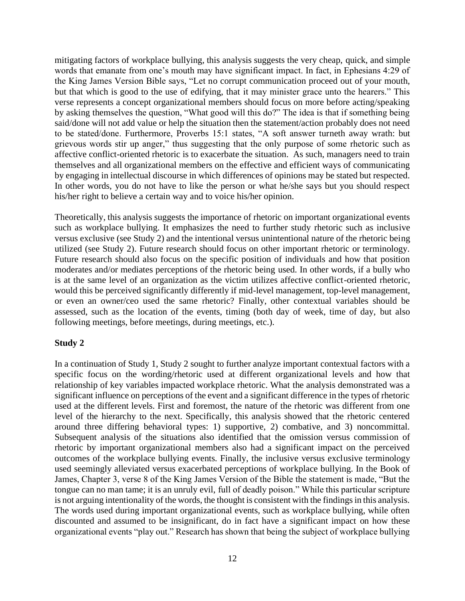mitigating factors of workplace bullying, this analysis suggests the very cheap, quick, and simple words that emanate from one's mouth may have significant impact. In fact, in Ephesians 4:29 of the King James Version Bible says, "Let no corrupt communication proceed out of your mouth, but that which is good to the use of edifying, that it may minister grace unto the hearers." This verse represents a concept organizational members should focus on more before acting/speaking by asking themselves the question, "What good will this do?" The idea is that if something being said/done will not add value or help the situation then the statement/action probably does not need to be stated/done. Furthermore, Proverbs 15:1 states, "A soft answer turneth away wrath: but grievous words stir up anger," thus suggesting that the only purpose of some rhetoric such as affective conflict-oriented rhetoric is to exacerbate the situation. As such, managers need to train themselves and all organizational members on the effective and efficient ways of communicating by engaging in intellectual discourse in which differences of opinions may be stated but respected. In other words, you do not have to like the person or what he/she says but you should respect his/her right to believe a certain way and to voice his/her opinion.

Theoretically, this analysis suggests the importance of rhetoric on important organizational events such as workplace bullying. It emphasizes the need to further study rhetoric such as inclusive versus exclusive (see Study 2) and the intentional versus unintentional nature of the rhetoric being utilized (see Study 2). Future research should focus on other important rhetoric or terminology. Future research should also focus on the specific position of individuals and how that position moderates and/or mediates perceptions of the rhetoric being used. In other words, if a bully who is at the same level of an organization as the victim utilizes affective conflict-oriented rhetoric, would this be perceived significantly differently if mid-level management, top-level management, or even an owner/ceo used the same rhetoric? Finally, other contextual variables should be assessed, such as the location of the events, timing (both day of week, time of day, but also following meetings, before meetings, during meetings, etc.).

#### **Study 2**

In a continuation of Study 1, Study 2 sought to further analyze important contextual factors with a specific focus on the wording/rhetoric used at different organizational levels and how that relationship of key variables impacted workplace rhetoric. What the analysis demonstrated was a significant influence on perceptions of the event and a significant difference in the types of rhetoric used at the different levels. First and foremost, the nature of the rhetoric was different from one level of the hierarchy to the next. Specifically, this analysis showed that the rhetoric centered around three differing behavioral types: 1) supportive, 2) combative, and 3) noncommittal. Subsequent analysis of the situations also identified that the omission versus commission of rhetoric by important organizational members also had a significant impact on the perceived outcomes of the workplace bullying events. Finally, the inclusive versus exclusive terminology used seemingly alleviated versus exacerbated perceptions of workplace bullying. In the Book of James, Chapter 3, verse 8 of the King James Version of the Bible the statement is made, "But the tongue can no man tame; it is an unruly evil, full of deadly poison." While this particular scripture is not arguing intentionality of the words, the thought is consistent with the findings in this analysis. The words used during important organizational events, such as workplace bullying, while often discounted and assumed to be insignificant, do in fact have a significant impact on how these organizational events "play out." Research has shown that being the subject of workplace bullying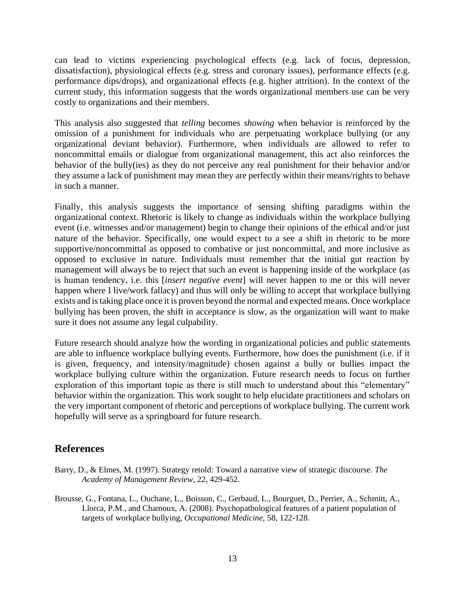can lead to victims experiencing psychological effects (e.g. lack of focus, depression, dissatisfaction), physiological effects (e.g. stress and coronary issues), performance effects (e.g. performance dips/drops), and organizational effects (e.g. higher attrition). In the context of the current study, this information suggests that the words organizational members use can be very costly to organizations and their members.

This analysis also suggested that *telling* becomes *showing* when behavior is reinforced by the omission of a punishment for individuals who are perpetuating workplace bullying (or any organizational deviant behavior). Furthermore, when individuals are allowed to refer to noncommittal emails or dialogue from organizational management, this act also reinforces the behavior of the bully(ies) as they do not perceive any real punishment for their behavior and/or they assume a lack of punishment may mean they are perfectly within their means/rights to behave in such a manner.

Finally, this analysis suggests the importance of sensing shifting paradigms within the organizational context. Rhetoric is likely to change as individuals within the workplace bullying event (i.e. witnesses and/or management) begin to change their opinions of the ethical and/or just nature of the behavior. Specifically, one would expect to a see a shift in rhetoric to be more supportive/noncommittal as opposed to combative or just noncommittal, and more inclusive as opposed to exclusive in nature. Individuals must remember that the initial gut reaction by management will always be to reject that such an event is happening inside of the workplace (as is human tendency, i.e. this [*insert negative event*] will never happen to me or this will never happen where I live/work fallacy) and thus will only be willing to accept that workplace bullying exists and is taking place once it is proven beyond the normal and expected means. Once workplace bullying has been proven, the shift in acceptance is slow, as the organization will want to make sure it does not assume any legal culpability.

Future research should analyze how the wording in organizational policies and public statements are able to influence workplace bullying events. Furthermore, how does the punishment (i.e. if it is given, frequency, and intensity/magnitude) chosen against a bully or bullies impact the workplace bullying culture within the organization. Future research needs to focus on further exploration of this important topic as there is still much to understand about this "elementary" behavior within the organization. This work sought to help elucidate practitioners and scholars on the very important component of rhetoric and perceptions of workplace bullying. The current work hopefully will serve as a springboard for future research.

#### **References**

- Barry, D., & Elmes, M. (1997). Strategy retold: Toward a narrative view of strategic discourse. *The Academy of Management Review*, 22, 429-452.
- Brousse, G., Fontana, L., Ouchane, L., Boisson, C., Gerbaud, L., Bourguet, D., Perrier, A., Schmitt, A., Llorca, P.M., and Chamoux, A. (2008). Psychopathological features of a patient population of targets of workplace bullying, *Occupational Medicine,* 58, 122-128.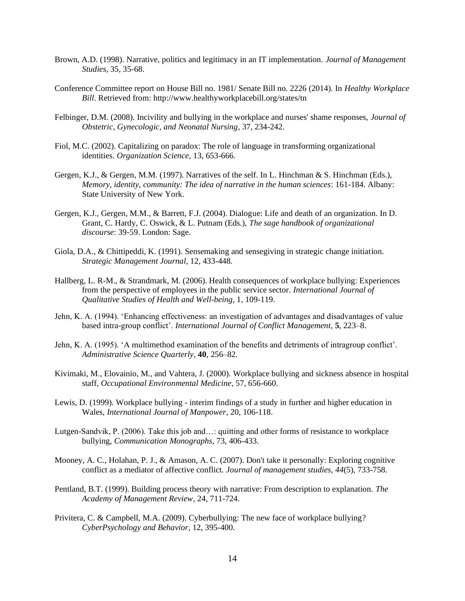- Brown, A.D. (1998). Narrative, politics and legitimacy in an IT implementation. *Journal of Management Studies*, 35, 35-68.
- Conference Committee report on House Bill no. 1981/ Senate Bill no. 2226 (2014). In *Healthy Workplace Bill*. Retrieved from: http://www.healthyworkplacebill.org/states/tn
- Felbinger, D.M. (2008). Incivility and bullying in the workplace and nurses' shame responses, *Journal of Obstetric, Gynecologic, and Neonatal Nursing*, 37, 234-242.
- Fiol, M.C. (2002). Capitalizing on paradox: The role of language in transforming organizational identities. *Organization Science*, 13, 653-666.
- Gergen, K.J., & Gergen, M.M. (1997). Narratives of the self. In L. Hinchman & S. Hinchman (Eds.), *Memory, identity, community: The idea of narrative in the human sciences*: 161-184. Albany: State University of New York.
- Gergen, K.J., Gergen, M.M., & Barrett, F.J. (2004). Dialogue: Life and death of an organization. In D. Grant, C. Hardy, C. Oswick, & L. Putnam (Eds.), *The sage handbook of organizational discourse*: 39-59. London: Sage.
- Giola, D.A., & Chittipeddi, K. (1991). Sensemaking and sensegiving in strategic change initiation. *Strategic Management Journal*, 12, 433-448.
- Hallberg, L. R-M., & Strandmark, M. (2006). Health consequences of workplace bullying: Experiences from the perspective of employees in the public service sector. *International Journal of Qualitative Studies of Health and Well-being*, 1, 109-119.
- Jehn, K. A. (1994). 'Enhancing effectiveness: an investigation of advantages and disadvantages of value based intra-group conflict'. *International Journal of Conflict Management*, **5**, 223–8.
- Jehn, K. A. (1995). 'A multimethod examination of the benefits and detriments of intragroup conflict'. *Administrative Science Quarterly*, **40**, 256–82.
- Kivimaki, M., Elovainio, M., and Vahtera, J. (2000). Workplace bullying and sickness absence in hospital staff, *Occupational Environmental Medicine*, 57, 656-660.
- Lewis, D. (1999). Workplace bullying interim findings of a study in further and higher education in Wales, *International Journal of Manpower*, 20, 106-118.
- Lutgen-Sandvik, P. (2006). Take this job and…: quitting and other forms of resistance to workplace bullying, *Communication Monographs*, 73, 406-433.
- Mooney, A. C., Holahan, P. J., & Amason, A. C. (2007). Don't take it personally: Exploring cognitive conflict as a mediator of affective conflict. *Journal of management studies*, *44*(5), 733-758.
- Pentland, B.T. (1999). Building process theory with narrative: From description to explanation. *The Academy of Management Review*, 24, 711-724.
- Privitera, C. & Campbell, M.A. (2009). Cyberbullying: The new face of workplace bullying? *CyberPsychology and Behavior*, 12, 395-400.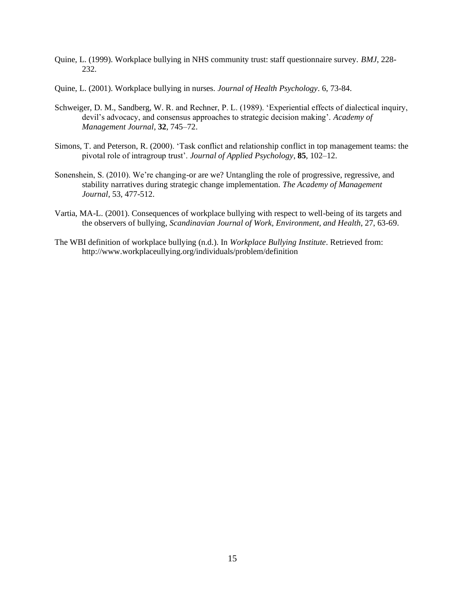- Quine, L. (1999). Workplace bullying in NHS community trust: staff questionnaire survey. *BMJ*, 228- 232.
- Quine, L. (2001). Workplace bullying in nurses. *Journal of Health Psychology*. 6, 73-84.
- Schweiger, D. M., Sandberg, W. R. and Rechner, P. L. (1989). 'Experiential effects of dialectical inquiry, devil's advocacy, and consensus approaches to strategic decision making'. *Academy of Management Journal*, **32**, 745–72.
- Simons, T. and Peterson, R. (2000). 'Task conflict and relationship conflict in top management teams: the pivotal role of intragroup trust'. *Journal of Applied Psychology*, **85**, 102–12.
- Sonenshein, S. (2010). We're changing-or are we? Untangling the role of progressive, regressive, and stability narratives during strategic change implementation. *The Academy of Management Journal*, 53, 477-512.
- Vartia, MA-L. (2001). Consequences of workplace bullying with respect to well-being of its targets and the observers of bullying, *Scandinavian Journal of Work, Environment, and Health*, 27, 63-69.
- The WBI definition of workplace bullying (n.d.). In *Workplace Bullying Institute*. Retrieved from: http://www.workplaceullying.org/individuals/problem/definition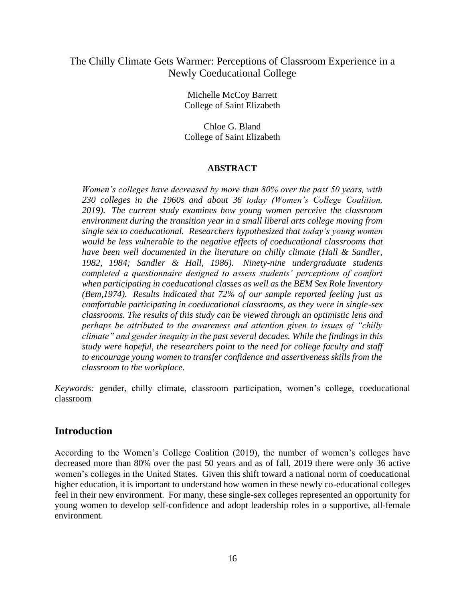#### The Chilly Climate Gets Warmer: Perceptions of Classroom Experience in a Newly Coeducational College

Michelle McCoy Barrett College of Saint Elizabeth

Chloe G. Bland College of Saint Elizabeth

#### **ABSTRACT**

*Women's colleges have decreased by more than 80% over the past 50 years, with 230 colleges in the 1960s and about 36 today (Women's College Coalition, 2019). The current study examines how young women perceive the classroom environment during the transition year in a small liberal arts college moving from single sex to coeducational. Researchers hypothesized that today's young women would be less vulnerable to the negative effects of coeducational classrooms that have been well documented in the literature on chilly climate (Hall & Sandler, 1982, 1984; Sandler & Hall, 1986). Ninety-nine undergraduate students completed a questionnaire designed to assess students' perceptions of comfort when participating in coeducational classes as well as the BEM Sex Role Inventory (Bem,1974). Results indicated that 72% of our sample reported feeling just as comfortable participating in coeducational classrooms, as they were in single-sex classrooms. The results of this study can be viewed through an optimistic lens and perhaps be attributed to the awareness and attention given to issues of "chilly climate" and gender inequity in the past several decades. While the findings in this study were hopeful, the researchers point to the need for college faculty and staff to encourage young women to transfer confidence and assertiveness skills from the classroom to the workplace.* 

*Keywords:* gender, chilly climate, classroom participation, women's college, coeducational classroom

### **Introduction**

According to the Women's College Coalition (2019), the number of women's colleges have decreased more than 80% over the past 50 years and as of fall, 2019 there were only 36 active women's colleges in the United States. Given this shift toward a national norm of coeducational higher education, it is important to understand how women in these newly co-educational colleges feel in their new environment. For many, these single-sex colleges represented an opportunity for young women to develop self-confidence and adopt leadership roles in a supportive, all-female environment.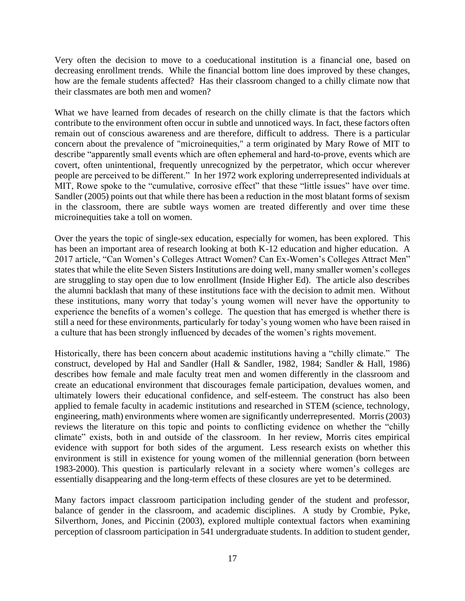Very often the decision to move to a coeducational institution is a financial one, based on decreasing enrollment trends. While the financial bottom line does improved by these changes, how are the female students affected? Has their classroom changed to a chilly climate now that their classmates are both men and women?

What we have learned from decades of research on the chilly climate is that the factors which contribute to the environment often occur in subtle and unnoticed ways. In fact, these factors often remain out of conscious awareness and are therefore, difficult to address. There is a particular concern about the prevalence of "microinequities," a term originated by Mary Rowe of MIT to describe "apparently small events which are often ephemeral and hard-to-prove, events which are covert, often unintentional, frequently unrecognized by the perpetrator, which occur wherever people are perceived to be different." In her 1972 work exploring underrepresented individuals at MIT, Rowe spoke to the "cumulative, corrosive effect" that these "little issues" have over time. Sandler (2005) points out that while there has been a reduction in the most blatant forms of sexism in the classroom, there are subtle ways women are treated differently and over time these microinequities take a toll on women.

Over the years the topic of single-sex education, especially for women, has been explored. This has been an important area of research looking at both K-12 education and higher education. A 2017 article, "Can Women's Colleges Attract Women? Can Ex-Women's Colleges Attract Men" states that while the elite Seven Sisters Institutions are doing well, many smaller women's colleges are struggling to stay open due to low enrollment (Inside Higher Ed). The article also describes the alumni backlash that many of these institutions face with the decision to admit men. Without these institutions, many worry that today's young women will never have the opportunity to experience the benefits of a women's college. The question that has emerged is whether there is still a need for these environments, particularly for today's young women who have been raised in a culture that has been strongly influenced by decades of the women's rights movement.

Historically, there has been concern about academic institutions having a "chilly climate." The construct, developed by Hal and Sandler (Hall & Sandler, 1982, 1984; Sandler & Hall, 1986) describes how female and male faculty treat men and women differently in the classroom and create an educational environment that discourages female participation, devalues women, and ultimately lowers their educational confidence, and self-esteem. The construct has also been applied to female faculty in academic institutions and researched in STEM (science, technology, engineering, math) environments where women are significantly underrepresented. Morris (2003) reviews the literature on this topic and points to conflicting evidence on whether the "chilly climate" exists, both in and outside of the classroom. In her review, Morris cites empirical evidence with support for both sides of the argument. Less research exists on whether this environment is still in existence for young women of the millennial generation (born between 1983-2000). This question is particularly relevant in a society where women's colleges are essentially disappearing and the long-term effects of these closures are yet to be determined.

Many factors impact classroom participation including gender of the student and professor, balance of gender in the classroom, and academic disciplines. A study by Crombie, Pyke, Silverthorn, Jones, and Piccinin (2003), explored multiple contextual factors when examining perception of classroom participation in 541 undergraduate students. In addition to student gender,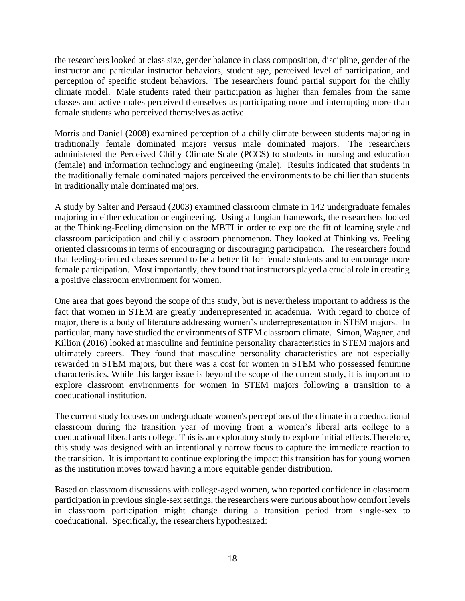the researchers looked at class size, gender balance in class composition, discipline, gender of the instructor and particular instructor behaviors, student age, perceived level of participation, and perception of specific student behaviors. The researchers found partial support for the chilly climate model. Male students rated their participation as higher than females from the same classes and active males perceived themselves as participating more and interrupting more than female students who perceived themselves as active.

Morris and Daniel (2008) examined perception of a chilly climate between students majoring in traditionally female dominated majors versus male dominated majors. The researchers administered the Perceived Chilly Climate Scale (PCCS) to students in nursing and education (female) and information technology and engineering (male). Results indicated that students in the traditionally female dominated majors perceived the environments to be chillier than students in traditionally male dominated majors.

A study by Salter and Persaud (2003) examined classroom climate in 142 undergraduate females majoring in either education or engineering. Using a Jungian framework, the researchers looked at the Thinking-Feeling dimension on the MBTI in order to explore the fit of learning style and classroom participation and chilly classroom phenomenon. They looked at Thinking vs. Feeling oriented classrooms in terms of encouraging or discouraging participation. The researchers found that feeling-oriented classes seemed to be a better fit for female students and to encourage more female participation. Most importantly, they found that instructors played a crucial role in creating a positive classroom environment for women.

One area that goes beyond the scope of this study, but is nevertheless important to address is the fact that women in STEM are greatly underrepresented in academia. With regard to choice of major, there is a body of literature addressing women's underrepresentation in STEM majors. In particular, many have studied the environments of STEM classroom climate. Simon, Wagner, and Killion (2016) looked at masculine and feminine personality characteristics in STEM majors and ultimately careers. They found that masculine personality characteristics are not especially rewarded in STEM majors, but there was a cost for women in STEM who possessed feminine characteristics. While this larger issue is beyond the scope of the current study, it is important to explore classroom environments for women in STEM majors following a transition to a coeducational institution.

The current study focuses on undergraduate women's perceptions of the climate in a coeducational classroom during the transition year of moving from a women's liberal arts college to a coeducational liberal arts college. This is an exploratory study to explore initial effects.Therefore, this study was designed with an intentionally narrow focus to capture the immediate reaction to the transition. It is important to continue exploring the impact this transition has for young women as the institution moves toward having a more equitable gender distribution.

Based on classroom discussions with college-aged women, who reported confidence in classroom participation in previous single-sex settings, the researchers were curious about how comfort levels in classroom participation might change during a transition period from single-sex to coeducational. Specifically, the researchers hypothesized: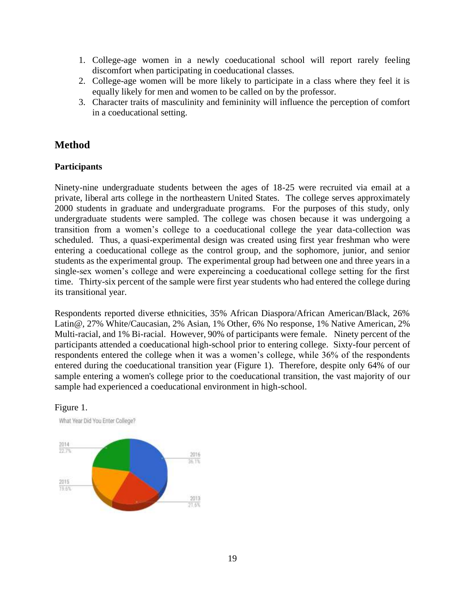- 1. College-age women in a newly coeducational school will report rarely feeling discomfort when participating in coeducational classes.
- 2. College-age women will be more likely to participate in a class where they feel it is equally likely for men and women to be called on by the professor.
- 3. Character traits of masculinity and femininity will influence the perception of comfort in a coeducational setting.

#### **Method**

Figure 1.

#### **Participants**

Ninety-nine undergraduate students between the ages of 18-25 were recruited via email at a private, liberal arts college in the northeastern United States. The college serves approximately 2000 students in graduate and undergraduate programs. For the purposes of this study, only undergraduate students were sampled. The college was chosen because it was undergoing a transition from a women's college to a coeducational college the year data-collection was scheduled. Thus, a quasi-experimental design was created using first year freshman who were entering a coeducational college as the control group, and the sophomore, junior, and senior students as the experimental group. The experimental group had between one and three years in a single-sex women's college and were expereincing a coeducational college setting for the first time. Thirty-six percent of the sample were first year students who had entered the college during its transitional year.

Respondents reported diverse ethnicities, 35% African Diaspora/African American/Black, 26% Latin@, 27% White/Caucasian, 2% Asian, 1% Other, 6% No response, 1% Native American, 2% Multi-racial, and 1% Bi-racial. However, 90% of participants were female. Ninety percent of the participants attended a coeducational high-school prior to entering college. Sixty-four percent of respondents entered the college when it was a women's college, while 36% of the respondents entered during the coeducational transition year (Figure 1). Therefore, despite only 64% of our sample entering a women's college prior to the coeducational transition, the vast majority of our sample had experienced a coeducational environment in high-school.



19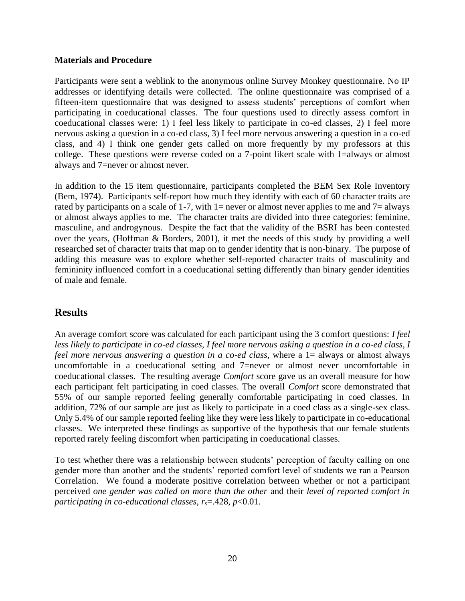#### **Materials and Procedure**

Participants were sent a weblink to the anonymous online Survey Monkey questionnaire. No IP addresses or identifying details were collected. The online questionnaire was comprised of a fifteen-item questionnaire that was designed to assess students' perceptions of comfort when participating in coeducational classes. The four questions used to directly assess comfort in coeducational classes were: 1) I feel less likely to participate in co-ed classes, 2) I feel more nervous asking a question in a co-ed class, 3) I feel more nervous answering a question in a co-ed class, and 4) I think one gender gets called on more frequently by my professors at this college. These questions were reverse coded on a 7-point likert scale with 1=always or almost always and 7=never or almost never.

In addition to the 15 item questionnaire, participants completed the BEM Sex Role Inventory (Bem, 1974). Participants self-report how much they identify with each of 60 character traits are rated by participants on a scale of 1-7, with 1= never or almost never applies to me and  $7=$  always or almost always applies to me. The character traits are divided into three categories: feminine, masculine, and androgynous. Despite the fact that the validity of the BSRI has been contested over the years, (Hoffman & Borders, 2001), it met the needs of this study by providing a well researched set of character traits that map on to gender identity that is non-binary. The purpose of adding this measure was to explore whether self-reported character traits of masculinity and femininity influenced comfort in a coeducational setting differently than binary gender identities of male and female.

### **Results**

An average comfort score was calculated for each participant using the 3 comfort questions: *I feel less likely to participate in co-ed classes, I feel more nervous asking a question in a co-ed class, I feel more nervous answering a question in a co-ed class, where a 1 = always or almost always* uncomfortable in a coeducational setting and 7=never or almost never uncomfortable in coeducational classes. The resulting average *Comfort* score gave us an overall measure for how each participant felt participating in coed classes. The overall *Comfort* score demonstrated that 55% of our sample reported feeling generally comfortable participating in coed classes. In addition, 72% of our sample are just as likely to participate in a coed class as a single-sex class. Only 5.4% of our sample reported feeling like they were less likely to participate in co-educational classes. We interpreted these findings as supportive of the hypothesis that our female students reported rarely feeling discomfort when participating in coeducational classes.

To test whether there was a relationship between students' perception of faculty calling on one gender more than another and the students' reported comfort level of students we ran a Pearson Correlation. We found a moderate positive correlation between whether or not a participant perceived *one gender was called on more than the other* and their *level of reported comfort in participating in co-educational classes,*  $r_s = 0.428$ *,*  $p < 0.01$ *.*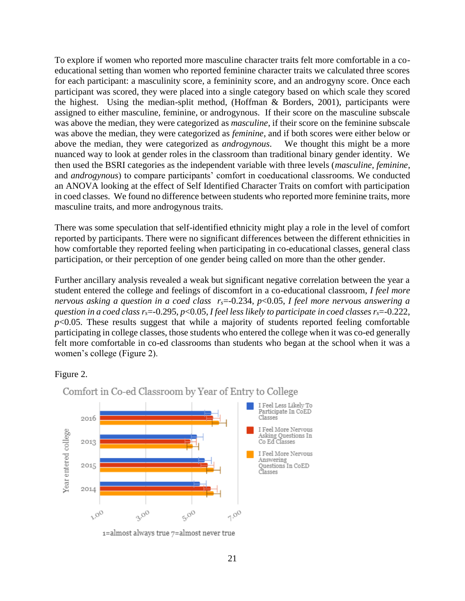To explore if women who reported more masculine character traits felt more comfortable in a coeducational setting than women who reported feminine character traits we calculated three scores for each participant: a masculinity score, a femininity score, and an androgyny score. Once each participant was scored, they were placed into a single category based on which scale they scored the highest. Using the median-split method, (Hoffman & Borders, 2001), participants were assigned to either masculine, feminine, or androgynous. If their score on the masculine subscale was above the median, they were categorized as *masculine*, if their score on the feminine subscale was above the median, they were categorized as *feminine*, and if both scores were either below or above the median, they were categorized as *androgynous*. We thought this might be a more nuanced way to look at gender roles in the classroom than traditional binary gender identity. We then used the BSRI categories as the independent variable with three levels (*masculine*, *feminine*, and *androgynous*) to compare participants' comfort in coeducational classrooms. We conducted an ANOVA looking at the effect of Self Identified Character Traits on comfort with participation in coed classes. We found no difference between students who reported more feminine traits, more masculine traits, and more androgynous traits.

There was some speculation that self-identified ethnicity might play a role in the level of comfort reported by participants. There were no significant differences between the different ethnicities in how comfortable they reported feeling when participating in co-educational classes, general class participation, or their perception of one gender being called on more than the other gender.

Further ancillary analysis revealed a weak but significant negative correlation between the year a student entered the college and feelings of discomfort in a co-educational classroom, *I feel more nervous asking a question in a coed class rs*=-0.234, *p*<0.05, *I feel more nervous answering a guestion in a coed class r<sub>5</sub>=-0.295, p<0.05, I feel less likely to participate in coed classes*  $r_s$ *=-0.222,*  $p<0.05$ . These results suggest that while a majority of students reported feeling comfortable participating in college classes, those students who entered the college when it was co-ed generally felt more comfortable in co-ed classrooms than students who began at the school when it was a women's college (Figure 2).

#### Figure 2.



Comfort in Co-ed Classroom by Year of Entry to College

 $i$ =almost always true  $7$ =almost never true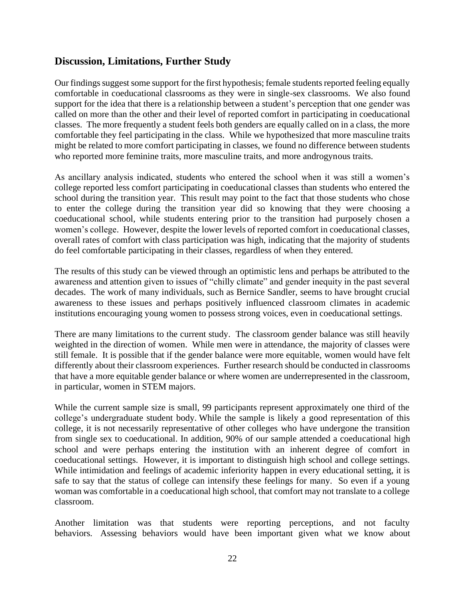#### **Discussion, Limitations, Further Study**

Our findings suggest some support for the first hypothesis; female students reported feeling equally comfortable in coeducational classrooms as they were in single-sex classrooms. We also found support for the idea that there is a relationship between a student's perception that one gender was called on more than the other and their level of reported comfort in participating in coeducational classes. The more frequently a student feels both genders are equally called on in a class, the more comfortable they feel participating in the class. While we hypothesized that more masculine traits might be related to more comfort participating in classes, we found no difference between students who reported more feminine traits, more masculine traits, and more androgynous traits.

As ancillary analysis indicated, students who entered the school when it was still a women's college reported less comfort participating in coeducational classes than students who entered the school during the transition year. This result may point to the fact that those students who chose to enter the college during the transition year did so knowing that they were choosing a coeducational school, while students entering prior to the transition had purposely chosen a women's college. However, despite the lower levels of reported comfort in coeducational classes, overall rates of comfort with class participation was high, indicating that the majority of students do feel comfortable participating in their classes, regardless of when they entered.

The results of this study can be viewed through an optimistic lens and perhaps be attributed to the awareness and attention given to issues of "chilly climate" and gender inequity in the past several decades. The work of many individuals, such as Bernice Sandler, seems to have brought crucial awareness to these issues and perhaps positively influenced classroom climates in academic institutions encouraging young women to possess strong voices, even in coeducational settings.

There are many limitations to the current study. The classroom gender balance was still heavily weighted in the direction of women. While men were in attendance, the majority of classes were still female. It is possible that if the gender balance were more equitable, women would have felt differently about their classroom experiences. Further research should be conducted in classrooms that have a more equitable gender balance or where women are underrepresented in the classroom, in particular, women in STEM majors.

While the current sample size is small, 99 participants represent approximately one third of the college's undergraduate student body. While the sample is likely a good representation of this college, it is not necessarily representative of other colleges who have undergone the transition from single sex to coeducational. In addition, 90% of our sample attended a coeducational high school and were perhaps entering the institution with an inherent degree of comfort in coeducational settings. However, it is important to distinguish high school and college settings. While intimidation and feelings of academic inferiority happen in every educational setting, it is safe to say that the status of college can intensify these feelings for many. So even if a young woman was comfortable in a coeducational high school, that comfort may not translate to a college classroom.

Another limitation was that students were reporting perceptions, and not faculty behaviors. Assessing behaviors would have been important given what we know about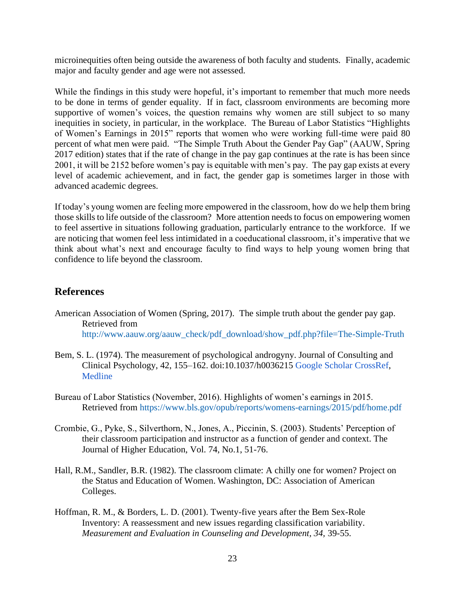microinequities often being outside the awareness of both faculty and students. Finally, academic major and faculty gender and age were not assessed.

While the findings in this study were hopeful, it's important to remember that much more needs to be done in terms of gender equality. If in fact, classroom environments are becoming more supportive of women's voices, the question remains why women are still subject to so many inequities in society, in particular, in the workplace. The Bureau of Labor Statistics "Highlights of Women's Earnings in 2015" reports that women who were working full-time were paid 80 percent of what men were paid. "The Simple Truth About the Gender Pay Gap" (AAUW, Spring 2017 edition) states that if the rate of change in the pay gap continues at the rate is has been since 2001, it will be 2152 before women's pay is equitable with men's pay. The pay gap exists at every level of academic achievement, and in fact, the gender gap is sometimes larger in those with advanced academic degrees.

If today's young women are feeling more empowered in the classroom, how do we help them bring those skills to life outside of the classroom? More attention needs to focus on empowering women to feel assertive in situations following graduation, particularly entrance to the workforce. If we are noticing that women feel less intimidated in a coeducational classroom, it's imperative that we think about what's next and encourage faculty to find ways to help young women bring that confidence to life beyond the classroom.

#### **References**

- American Association of Women (Spring, 2017). The simple truth about the gender pay gap. Retrieved from [http://www.aauw.org/aauw\\_check/pdf\\_download/show\\_pdf.php?file=The-Simple-Truth](http://www.aauw.org/aauw_check/pdf_download/show_pdf.php?file=The-Simple-Truth)
- Bem, S. L. (1974). The measurement of psychological androgyny. Journal of Consulting and Clinical Psychology, 42, 155–162. doi:10.1037/h003621[5](http://scholar.google.com/scholar_lookup?publication_year=1974&pages=155-162&author=S.+L.+Bem&title=The+measurement+of+psychological+androgyny&) [Google Scholar](http://scholar.google.com/scholar_lookup?publication_year=1974&pages=155-162&author=S.+L.+Bem&title=The+measurement+of+psychological+androgyny&) [CrossRef](http://journals.sagepub.com/servlet/linkout?suffix=bibr3-0361684316634081&dbid=16&doi=10.1177%2F0361684316634081&key=10.1037%2Fh0036215)[,](http://journals.sagepub.com/servlet/linkout?suffix=bibr3-0361684316634081&dbid=8&doi=10.1177%2F0361684316634081&key=4823550) [Medline](http://journals.sagepub.com/servlet/linkout?suffix=bibr3-0361684316634081&dbid=8&doi=10.1177%2F0361684316634081&key=4823550)
- Bureau of Labor Statistics (November, 2016). Highlights of women's earnings in 2015. Retrieved from<https://www.bls.gov/opub/reports/womens-earnings/2015/pdf/home.pdf>
- Crombie, G., Pyke, S., Silverthorn, N., Jones, A., Piccinin, S. (2003). Students' Perception of their classroom participation and instructor as a function of gender and context. The Journal of Higher Education, Vol. 74, No.1, 51-76.
- Hall, R.M., Sandler, B.R. (1982). The classroom climate: A chilly one for women? Project on the Status and Education of Women. Washington, DC: Association of American Colleges.
- Hoffman, R. M., & Borders, L. D. (2001). Twenty-five years after the Bem Sex-Role Inventory: A reassessment and new issues regarding classification variability. *Measurement and Evaluation in Counseling and Development, 34,* 39-55.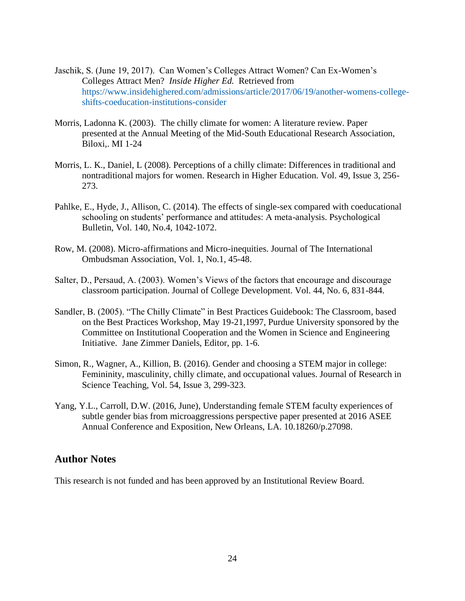- Jaschik, S. (June 19, 2017). Can Women's Colleges Attract Women? Can Ex-Women's Colleges Attract Men? *Inside Higher Ed.* Retrieved from [https://www.insidehighered.com/admissions/article/2017/06/19/another-womens-college](https://www.insidehighered.com/admissions/article/2017/06/19/another-womens-college-shifts-coeducation-institutions-consider)[shifts-coeducation-institutions-consider](https://www.insidehighered.com/admissions/article/2017/06/19/another-womens-college-shifts-coeducation-institutions-consider)
- Morris, Ladonna K. (2003). The chilly climate for women: A literature review. Paper presented at the Annual Meeting of the Mid-South Educational Research Association, Biloxi,. MI 1-24
- Morris, L. K., Daniel, L (2008). Perceptions of a chilly climate: Differences in traditional and nontraditional majors for women. Research in Higher Education. Vol. 49, Issue 3, 256- 273.
- Pahlke, E., Hyde, J., Allison, C. (2014). The effects of single-sex compared with coeducational schooling on students' performance and attitudes: A meta-analysis. Psychological Bulletin, Vol. 140, No.4, 1042-1072.
- Row, M. (2008). Micro-affirmations and Micro-inequities. Journal of The International Ombudsman Association, Vol. 1, No.1, 45-48.
- Salter, D., Persaud, A. (2003). Women's Views of the factors that encourage and discourage classroom participation. Journal of College Development. Vol. 44, No. 6, 831-844.
- Sandler, B. (2005). "The Chilly Climate" in Best Practices Guidebook: The Classroom, based on the Best Practices Workshop, May 19-21,1997, Purdue University sponsored by the Committee on Institutional Cooperation and the Women in Science and Engineering Initiative. Jane Zimmer Daniels, Editor, pp. 1-6.
- Simon, R., Wagner, A., Killion, B. (2016). Gender and choosing a STEM major in college: Femininity, masculinity, chilly climate, and occupational values. Journal of Research in Science Teaching, Vol. 54, Issue 3, 299-323.
- Yang, Y.L., Carroll, D.W. (2016, June), Understanding female STEM faculty experiences of subtle gender bias from microaggressions perspective paper presented at 2016 ASEE Annual Conference and Exposition, New Orleans, LA. 10.18260/p.27098.

#### **Author Notes**

This research is not funded and has been approved by an Institutional Review Board.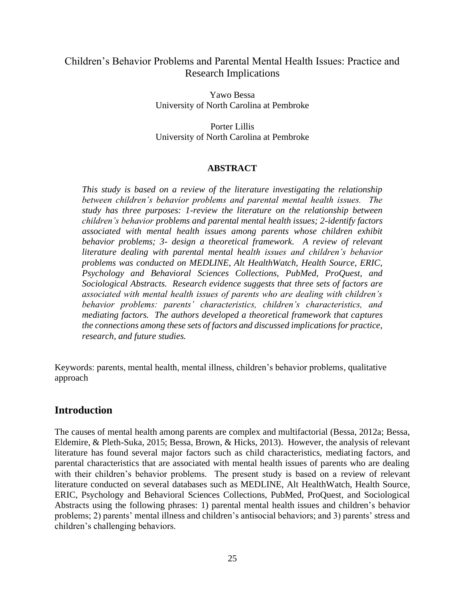#### Children's Behavior Problems and Parental Mental Health Issues: Practice and Research Implications

Yawo Bessa University of North Carolina at Pembroke

Porter Lillis University of North Carolina at Pembroke

#### **ABSTRACT**

*This study is based on a review of the literature investigating the relationship between children's behavior problems and parental mental health issues. The study has three purposes: 1-review the literature on the relationship between children's behavior problems and parental mental health issues; 2-identify factors associated with mental health issues among parents whose children exhibit behavior problems; 3- design a theoretical framework. A review of relevant literature dealing with parental mental health issues and children's behavior problems was conducted on MEDLINE, Alt HealthWatch, Health Source, ERIC, Psychology and Behavioral Sciences Collections, PubMed, ProQuest, and Sociological Abstracts. Research evidence suggests that three sets of factors are associated with mental health issues of parents who are dealing with children's behavior problems: parents' characteristics, children's characteristics, and mediating factors. The authors developed a theoretical framework that captures the connections among these sets of factors and discussed implications for practice, research, and future studies.*

Keywords: parents, mental health, mental illness, children's behavior problems, qualitative approach

#### **Introduction**

The causes of mental health among parents are complex and multifactorial (Bessa, 2012a; Bessa, Eldemire, & Pleth-Suka, 2015; Bessa, Brown, & Hicks, 2013). However, the analysis of relevant literature has found several major factors such as child characteristics, mediating factors, and parental characteristics that are associated with mental health issues of parents who are dealing with their children's behavior problems. The present study is based on a review of relevant literature conducted on several databases such as MEDLINE, Alt HealthWatch, Health Source, ERIC, Psychology and Behavioral Sciences Collections, PubMed, ProQuest, and Sociological Abstracts using the following phrases: 1) parental mental health issues and children's behavior problems; 2) parents' mental illness and children's antisocial behaviors; and 3) parents' stress and children's challenging behaviors.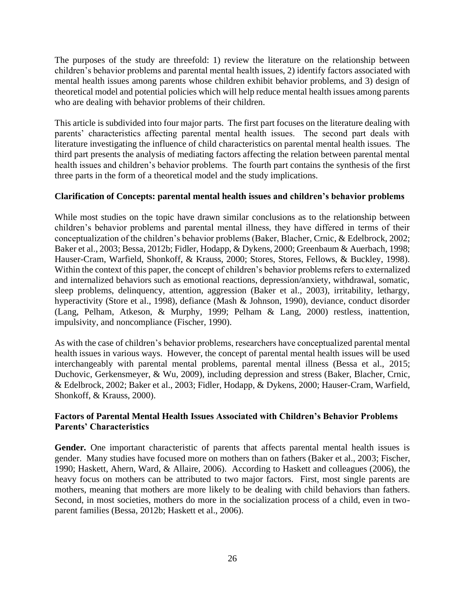The purposes of the study are threefold: 1) review the literature on the relationship between children's behavior problems and parental mental health issues, 2) identify factors associated with mental health issues among parents whose children exhibit behavior problems, and 3) design of theoretical model and potential policies which will help reduce mental health issues among parents who are dealing with behavior problems of their children.

This article is subdivided into four major parts. The first part focuses on the literature dealing with parents' characteristics affecting parental mental health issues. The second part deals with literature investigating the influence of child characteristics on parental mental health issues. The third part presents the analysis of mediating factors affecting the relation between parental mental health issues and children's behavior problems. The fourth part contains the synthesis of the first three parts in the form of a theoretical model and the study implications.

#### **Clarification of Concepts: parental mental health issues and children's behavior problems**

While most studies on the topic have drawn similar conclusions as to the relationship between children's behavior problems and parental mental illness, they have differed in terms of their conceptualization of the children's behavior problems (Baker, Blacher, Crnic, & Edelbrock, 2002; Baker et al., 2003; Bessa, 2012b; Fidler, Hodapp, & Dykens, 2000; Greenbaum & Auerbach, 1998; Hauser-Cram, Warfield, Shonkoff, & Krauss, 2000; Stores, Stores, Fellows, & Buckley, 1998). Within the context of this paper, the concept of children's behavior problems refers to externalized and internalized behaviors such as emotional reactions, depression/anxiety, withdrawal, somatic, sleep problems, delinquency, attention, aggression (Baker et al., 2003), irritability, lethargy, hyperactivity (Store et al., 1998), defiance (Mash & Johnson, 1990), deviance, conduct disorder (Lang, Pelham, Atkeson, & Murphy, 1999; Pelham & Lang, 2000) restless, inattention, impulsivity, and noncompliance (Fischer, 1990).

As with the case of children's behavior problems, researchers have conceptualized parental mental health issues in various ways. However, the concept of parental mental health issues will be used interchangeably with parental mental problems, parental mental illness (Bessa et al., 2015; Duchovic, Gerkensmeyer, & Wu, 2009), including depression and stress (Baker, Blacher, Crnic, & Edelbrock, 2002; Baker et al., 2003; Fidler, Hodapp, & Dykens, 2000; Hauser-Cram, Warfield, Shonkoff, & Krauss, 2000).

#### **Factors of Parental Mental Health Issues Associated with Children's Behavior Problems Parents' Characteristics**

**Gender***.* One important characteristic of parents that affects parental mental health issues is gender. Many studies have focused more on mothers than on fathers (Baker et al., 2003; Fischer, 1990; Haskett, Ahern, Ward, & Allaire, 2006). According to Haskett and colleagues (2006), the heavy focus on mothers can be attributed to two major factors. First, most single parents are mothers, meaning that mothers are more likely to be dealing with child behaviors than fathers. Second, in most societies, mothers do more in the socialization process of a child, even in twoparent families (Bessa, 2012b; Haskett et al., 2006).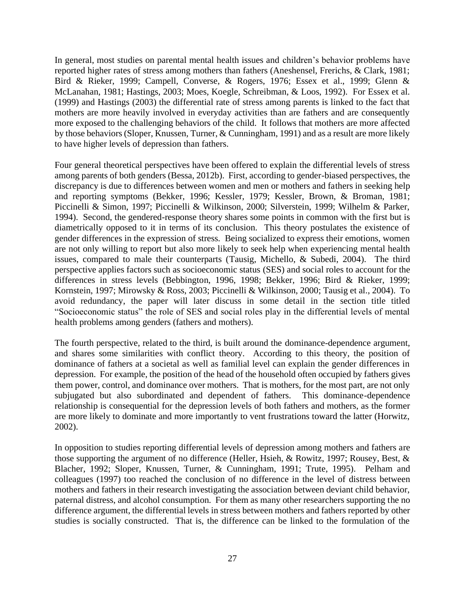In general, most studies on parental mental health issues and children's behavior problems have reported higher rates of stress among mothers than fathers (Aneshensel, Frerichs, & Clark, 1981; Bird & Rieker, 1999; Campell, Converse, & Rogers, 1976; Essex et al., 1999; Glenn & McLanahan, 1981; Hastings, 2003; Moes, Koegle, Schreibman, & Loos, 1992). For Essex et al. (1999) and Hastings (2003) the differential rate of stress among parents is linked to the fact that mothers are more heavily involved in everyday activities than are fathers and are consequently more exposed to the challenging behaviors of the child. It follows that mothers are more affected by those behaviors (Sloper, Knussen, Turner, & Cunningham, 1991) and as a result are more likely to have higher levels of depression than fathers.

Four general theoretical perspectives have been offered to explain the differential levels of stress among parents of both genders (Bessa, 2012b). First, according to gender-biased perspectives, the discrepancy is due to differences between women and men or mothers and fathers in seeking help and reporting symptoms (Bekker, 1996; Kessler, 1979; Kessler, Brown, & Broman, 1981; Piccinelli & Simon, 1997; Piccinelli & Wilkinson, 2000; Silverstein, 1999; Wilhelm & Parker, 1994). Second, the gendered-response theory shares some points in common with the first but is diametrically opposed to it in terms of its conclusion. This theory postulates the existence of gender differences in the expression of stress. Being socialized to express their emotions, women are not only willing to report but also more likely to seek help when experiencing mental health issues, compared to male their counterparts (Tausig, Michello, & Subedi, 2004). The third perspective applies factors such as socioeconomic status (SES) and social roles to account for the differences in stress levels (Bebbington, 1996, 1998; Bekker, 1996; Bird & Rieker, 1999; Kornstein, 1997; Mirowsky & Ross, 2003; Piccinelli & Wilkinson, 2000; Tausig et al., 2004). To avoid redundancy, the paper will later discuss in some detail in the section title titled "Socioeconomic status" the role of SES and social roles play in the differential levels of mental health problems among genders (fathers and mothers).

The fourth perspective, related to the third, is built around the dominance-dependence argument, and shares some similarities with conflict theory. According to this theory, the position of dominance of fathers at a societal as well as familial level can explain the gender differences in depression. For example, the position of the head of the household often occupied by fathers gives them power, control, and dominance over mothers. That is mothers, for the most part, are not only subjugated but also subordinated and dependent of fathers. This dominance-dependence relationship is consequential for the depression levels of both fathers and mothers, as the former are more likely to dominate and more importantly to vent frustrations toward the latter (Horwitz, 2002).

In opposition to studies reporting differential levels of depression among mothers and fathers are those supporting the argument of no difference (Heller, Hsieh, & Rowitz, 1997; Rousey, Best, & Blacher, 1992; Sloper, Knussen, Turner, & Cunningham, 1991; Trute, 1995). Pelham and colleagues (1997) too reached the conclusion of no difference in the level of distress between mothers and fathers in their research investigating the association between deviant child behavior, paternal distress, and alcohol consumption. For them as many other researchers supporting the no difference argument, the differential levels in stress between mothers and fathers reported by other studies is socially constructed. That is, the difference can be linked to the formulation of the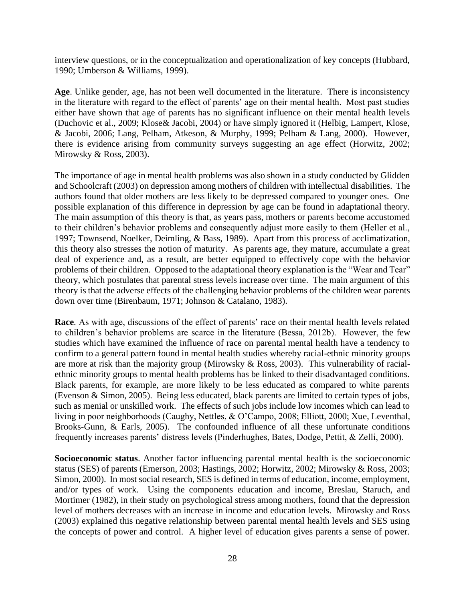interview questions, or in the conceptualization and operationalization of key concepts (Hubbard, 1990; Umberson & Williams, 1999).

**Age**. Unlike gender, age, has not been well documented in the literature. There is inconsistency in the literature with regard to the effect of parents' age on their mental health. Most past studies either have shown that age of parents has no significant influence on their mental health levels (Duchovic et al., 2009; Klose& Jacobi, 2004) or have simply ignored it (Helbig, Lampert, Klose, & Jacobi, 2006; Lang, Pelham, Atkeson, & Murphy, 1999; Pelham & Lang, 2000). However, there is evidence arising from community surveys suggesting an age effect (Horwitz, 2002; Mirowsky & Ross, 2003).

The importance of age in mental health problems was also shown in a study conducted by Glidden and Schoolcraft (2003) on depression among mothers of children with intellectual disabilities. The authors found that older mothers are less likely to be depressed compared to younger ones. One possible explanation of this difference in depression by age can be found in adaptational theory. The main assumption of this theory is that, as years pass, mothers or parents become accustomed to their children's behavior problems and consequently adjust more easily to them (Heller et al., 1997; Townsend, Noelker, Deimling, & Bass, 1989). Apart from this process of acclimatization, this theory also stresses the notion of maturity. As parents age, they mature, accumulate a great deal of experience and, as a result, are better equipped to effectively cope with the behavior problems of their children. Opposed to the adaptational theory explanation is the "Wear and Tear" theory, which postulates that parental stress levels increase over time. The main argument of this theory is that the adverse effects of the challenging behavior problems of the children wear parents down over time (Birenbaum, 1971; Johnson & Catalano, 1983).

**Race***.* As with age, discussions of the effect of parents' race on their mental health levels related to children's behavior problems are scarce in the literature (Bessa, 2012b). However, the few studies which have examined the influence of race on parental mental health have a tendency to confirm to a general pattern found in mental health studies whereby racial-ethnic minority groups are more at risk than the majority group (Mirowsky & Ross, 2003). This vulnerability of racialethnic minority groups to mental health problems has be linked to their disadvantaged conditions. Black parents, for example, are more likely to be less educated as compared to white parents (Evenson & Simon, 2005). Being less educated, black parents are limited to certain types of jobs, such as menial or unskilled work. The effects of such jobs include low incomes which can lead to living in poor neighborhoods (Caughy, Nettles, & O'Campo, 2008; Elliott, 2000; Xue, Leventhal, Brooks-Gunn, & Earls, 2005). The confounded influence of all these unfortunate conditions frequently increases parents' distress levels (Pinderhughes, Bates, Dodge, Pettit, & Zelli, 2000).

**Socioeconomic status**. Another factor influencing parental mental health is the socioeconomic status (SES) of parents (Emerson, 2003; Hastings, 2002; Horwitz, 2002; Mirowsky & Ross, 2003; Simon, 2000). In most social research, SES is defined in terms of education, income, employment, and/or types of work. Using the components education and income, Breslau, Staruch, and Mortimer (1982), in their study on psychological stress among mothers, found that the depression level of mothers decreases with an increase in income and education levels. Mirowsky and Ross (2003) explained this negative relationship between parental mental health levels and SES using the concepts of power and control. A higher level of education gives parents a sense of power.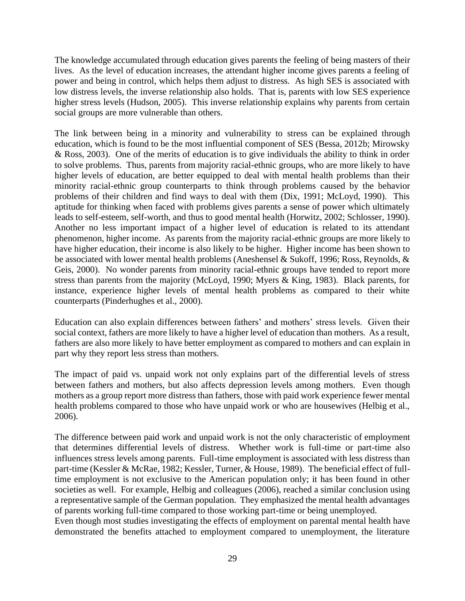The knowledge accumulated through education gives parents the feeling of being masters of their lives. As the level of education increases, the attendant higher income gives parents a feeling of power and being in control, which helps them adjust to distress. As high SES is associated with low distress levels, the inverse relationship also holds. That is, parents with low SES experience higher stress levels (Hudson, 2005). This inverse relationship explains why parents from certain social groups are more vulnerable than others.

The link between being in a minority and vulnerability to stress can be explained through education, which is found to be the most influential component of SES (Bessa, 2012b; Mirowsky & Ross, 2003). One of the merits of education is to give individuals the ability to think in order to solve problems. Thus, parents from majority racial-ethnic groups, who are more likely to have higher levels of education, are better equipped to deal with mental health problems than their minority racial-ethnic group counterparts to think through problems caused by the behavior problems of their children and find ways to deal with them (Dix, 1991; McLoyd, 1990). This aptitude for thinking when faced with problems gives parents a sense of power which ultimately leads to self-esteem, self-worth, and thus to good mental health (Horwitz, 2002; Schlosser, 1990). Another no less important impact of a higher level of education is related to its attendant phenomenon, higher income. As parents from the majority racial-ethnic groups are more likely to have higher education, their income is also likely to be higher. Higher income has been shown to be associated with lower mental health problems (Aneshensel & Sukoff, 1996; Ross, Reynolds, & Geis, 2000). No wonder parents from minority racial-ethnic groups have tended to report more stress than parents from the majority (McLoyd, 1990; Myers & King, 1983). Black parents, for instance, experience higher levels of mental health problems as compared to their white counterparts (Pinderhughes et al., 2000).

Education can also explain differences between fathers' and mothers' stress levels. Given their social context, fathers are more likely to have a higher level of education than mothers. As a result, fathers are also more likely to have better employment as compared to mothers and can explain in part why they report less stress than mothers.

The impact of paid vs. unpaid work not only explains part of the differential levels of stress between fathers and mothers, but also affects depression levels among mothers. Even though mothers as a group report more distress than fathers, those with paid work experience fewer mental health problems compared to those who have unpaid work or who are housewives (Helbig et al., 2006).

The difference between paid work and unpaid work is not the only characteristic of employment that determines differential levels of distress. Whether work is full-time or part-time also influences stress levels among parents. Full-time employment is associated with less distress than part-time (Kessler & McRae, 1982; Kessler, Turner, & House, 1989). The beneficial effect of fulltime employment is not exclusive to the American population only; it has been found in other societies as well. For example, Helbig and colleagues (2006), reached a similar conclusion using a representative sample of the German population. They emphasized the mental health advantages of parents working full-time compared to those working part-time or being unemployed.

Even though most studies investigating the effects of employment on parental mental health have demonstrated the benefits attached to employment compared to unemployment, the literature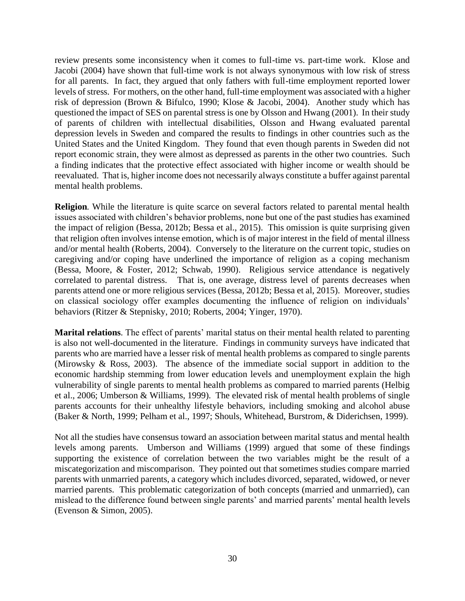review presents some inconsistency when it comes to full-time vs. part-time work. Klose and Jacobi (2004) have shown that full-time work is not always synonymous with low risk of stress for all parents. In fact, they argued that only fathers with full-time employment reported lower levels of stress. For mothers, on the other hand, full-time employment was associated with a higher risk of depression (Brown & Bifulco, 1990; Klose & Jacobi, 2004). Another study which has questioned the impact of SES on parental stress is one by Olsson and Hwang (2001). In their study of parents of children with intellectual disabilities, Olsson and Hwang evaluated parental depression levels in Sweden and compared the results to findings in other countries such as the United States and the United Kingdom. They found that even though parents in Sweden did not report economic strain, they were almost as depressed as parents in the other two countries. Such a finding indicates that the protective effect associated with higher income or wealth should be reevaluated. That is, higher income does not necessarily always constitute a buffer against parental mental health problems.

**Religion***.* While the literature is quite scarce on several factors related to parental mental health issues associated with children's behavior problems, none but one of the past studies has examined the impact of religion (Bessa, 2012b; Bessa et al., 2015). This omission is quite surprising given that religion often involves intense emotion, which is of major interest in the field of mental illness and/or mental health (Roberts, 2004). Conversely to the literature on the current topic, studies on caregiving and/or coping have underlined the importance of religion as a coping mechanism (Bessa, Moore, & Foster, 2012; Schwab, 1990). Religious service attendance is negatively correlated to parental distress. That is, one average, distress level of parents decreases when parents attend one or more religious services (Bessa, 2012b; Bessa et al, 2015). Moreover, studies on classical sociology offer examples documenting the influence of religion on individuals' behaviors (Ritzer & Stepnisky, 2010; Roberts, 2004; Yinger, 1970).

**Marital relations**. The effect of parents' marital status on their mental health related to parenting is also not well-documented in the literature. Findings in community surveys have indicated that parents who are married have a lesser risk of mental health problems as compared to single parents (Mirowsky & Ross, 2003). The absence of the immediate social support in addition to the economic hardship stemming from lower education levels and unemployment explain the high vulnerability of single parents to mental health problems as compared to married parents (Helbig et al., 2006; Umberson & Williams, 1999). The elevated risk of mental health problems of single parents accounts for their unhealthy lifestyle behaviors, including smoking and alcohol abuse (Baker & North, 1999; Pelham et al., 1997; Shouls, Whitehead, Burstrom, & Diderichsen, 1999).

Not all the studies have consensus toward an association between marital status and mental health levels among parents. Umberson and Williams (1999) argued that some of these findings supporting the existence of correlation between the two variables might be the result of a miscategorization and miscomparison. They pointed out that sometimes studies compare married parents with unmarried parents, a category which includes divorced, separated, widowed, or never married parents. This problematic categorization of both concepts (married and unmarried), can mislead to the difference found between single parents' and married parents' mental health levels (Evenson & Simon, 2005).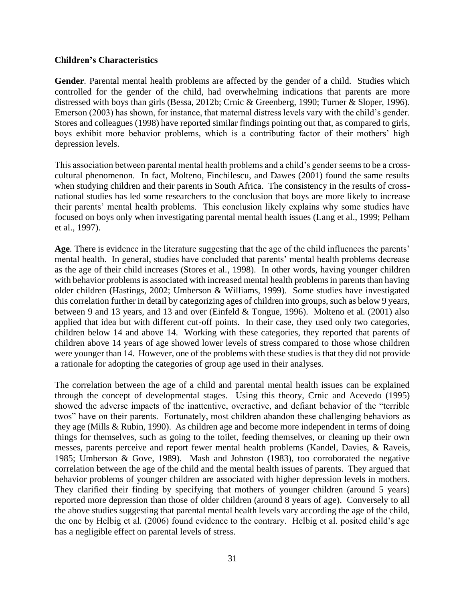#### **Children's Characteristics**

**Gender***.* Parental mental health problems are affected by the gender of a child. Studies which controlled for the gender of the child, had overwhelming indications that parents are more distressed with boys than girls (Bessa, 2012b; Crnic & Greenberg, 1990; Turner & Sloper, 1996). Emerson (2003) has shown, for instance, that maternal distress levels vary with the child's gender. Stores and colleagues (1998) have reported similar findings pointing out that, as compared to girls, boys exhibit more behavior problems, which is a contributing factor of their mothers' high depression levels.

This association between parental mental health problems and a child's gender seems to be a crosscultural phenomenon. In fact, Molteno, Finchilescu, and Dawes (2001) found the same results when studying children and their parents in South Africa. The consistency in the results of crossnational studies has led some researchers to the conclusion that boys are more likely to increase their parents' mental health problems. This conclusion likely explains why some studies have focused on boys only when investigating parental mental health issues (Lang et al., 1999; Pelham et al., 1997).

**Age***.* There is evidence in the literature suggesting that the age of the child influences the parents' mental health. In general, studies have concluded that parents' mental health problems decrease as the age of their child increases (Stores et al., 1998). In other words, having younger children with behavior problems is associated with increased mental health problems in parents than having older children (Hastings, 2002; Umberson & Williams, 1999). Some studies have investigated this correlation further in detail by categorizing ages of children into groups, such as below 9 years, between 9 and 13 years, and 13 and over (Einfeld & Tongue, 1996). Molteno et al. (2001) also applied that idea but with different cut-off points. In their case, they used only two categories, children below 14 and above 14. Working with these categories, they reported that parents of children above 14 years of age showed lower levels of stress compared to those whose children were younger than 14. However, one of the problems with these studies is that they did not provide a rationale for adopting the categories of group age used in their analyses.

The correlation between the age of a child and parental mental health issues can be explained through the concept of developmental stages. Using this theory, Crnic and Acevedo (1995) showed the adverse impacts of the inattentive, overactive, and defiant behavior of the "terrible twos" have on their parents. Fortunately, most children abandon these challenging behaviors as they age (Mills & Rubin, 1990). As children age and become more independent in terms of doing things for themselves, such as going to the toilet, feeding themselves, or cleaning up their own messes, parents perceive and report fewer mental health problems (Kandel, Davies, & Raveis, 1985; Umberson & Gove, 1989). Mash and Johnston (1983), too corroborated the negative correlation between the age of the child and the mental health issues of parents. They argued that behavior problems of younger children are associated with higher depression levels in mothers. They clarified their finding by specifying that mothers of younger children (around 5 years) reported more depression than those of older children (around 8 years of age). Conversely to all the above studies suggesting that parental mental health levels vary according the age of the child, the one by Helbig et al. (2006) found evidence to the contrary. Helbig et al. posited child's age has a negligible effect on parental levels of stress.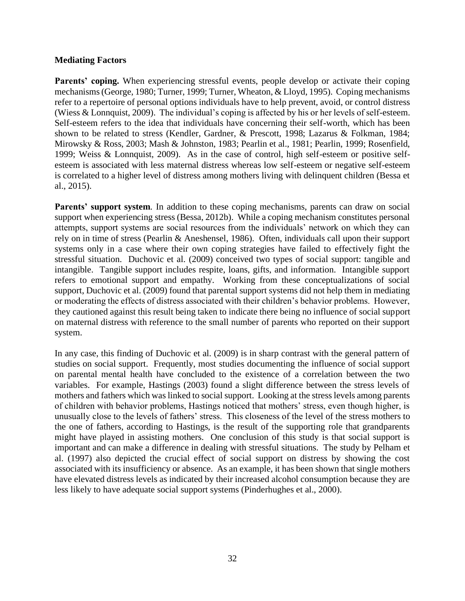#### **Mediating Factors**

**Parents' coping.** When experiencing stressful events, people develop or activate their coping mechanisms (George, 1980; Turner, 1999; Turner, Wheaton, & Lloyd, 1995). Coping mechanisms refer to a repertoire of personal options individuals have to help prevent, avoid, or control distress (Wiess & Lonnquist, 2009). The individual's coping is affected by his or her levels of self-esteem. Self-esteem refers to the idea that individuals have concerning their self-worth, which has been shown to be related to stress (Kendler, Gardner, & Prescott, 1998; Lazarus & Folkman, 1984; Mirowsky & Ross, 2003; Mash & Johnston, 1983; Pearlin et al., 1981; Pearlin, 1999; Rosenfield, 1999; Weiss & Lonnquist, 2009). As in the case of control, high self-esteem or positive selfesteem is associated with less maternal distress whereas low self-esteem or negative self-esteem is correlated to a higher level of distress among mothers living with delinquent children (Bessa et al., 2015).

**Parents' support system***.* In addition to these coping mechanisms, parents can draw on social support when experiencing stress (Bessa, 2012b). While a coping mechanism constitutes personal attempts, support systems are social resources from the individuals' network on which they can rely on in time of stress (Pearlin & Aneshensel, 1986). Often, individuals call upon their support systems only in a case where their own coping strategies have failed to effectively fight the stressful situation. Duchovic et al. (2009) conceived two types of social support: tangible and intangible. Tangible support includes respite, loans, gifts, and information. Intangible support refers to emotional support and empathy. Working from these conceptualizations of social support, Duchovic et al. (2009) found that parental support systems did not help them in mediating or moderating the effects of distress associated with their children's behavior problems. However, they cautioned against this result being taken to indicate there being no influence of social support on maternal distress with reference to the small number of parents who reported on their support system.

In any case, this finding of Duchovic et al. (2009) is in sharp contrast with the general pattern of studies on social support. Frequently, most studies documenting the influence of social support on parental mental health have concluded to the existence of a correlation between the two variables. For example, Hastings (2003) found a slight difference between the stress levels of mothers and fathers which was linked to social support. Looking at the stress levels among parents of children with behavior problems, Hastings noticed that mothers' stress, even though higher, is unusually close to the levels of fathers' stress. This closeness of the level of the stress mothers to the one of fathers, according to Hastings, is the result of the supporting role that grandparents might have played in assisting mothers. One conclusion of this study is that social support is important and can make a difference in dealing with stressful situations. The study by Pelham et al. (1997) also depicted the crucial effect of social support on distress by showing the cost associated with its insufficiency or absence. As an example, it has been shown that single mothers have elevated distress levels as indicated by their increased alcohol consumption because they are less likely to have adequate social support systems (Pinderhughes et al., 2000).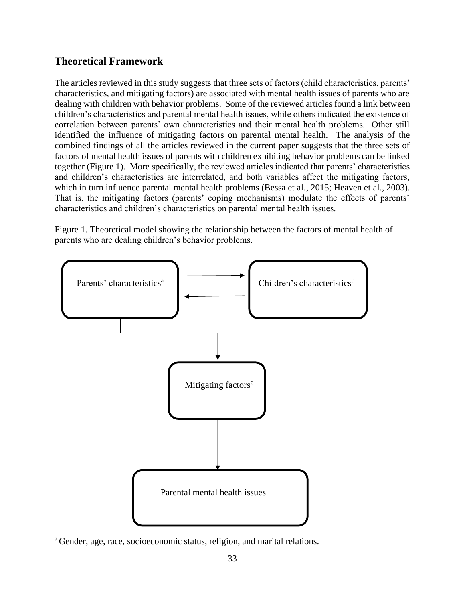#### **Theoretical Framework**

The articles reviewed in this study suggests that three sets of factors (child characteristics, parents' characteristics, and mitigating factors) are associated with mental health issues of parents who are dealing with children with behavior problems. Some of the reviewed articles found a link between children's characteristics and parental mental health issues, while others indicated the existence of correlation between parents' own characteristics and their mental health problems. Other still identified the influence of mitigating factors on parental mental health. The analysis of the combined findings of all the articles reviewed in the current paper suggests that the three sets of factors of mental health issues of parents with children exhibiting behavior problems can be linked together (Figure 1). More specifically, the reviewed articles indicated that parents' characteristics and children's characteristics are interrelated, and both variables affect the mitigating factors, which in turn influence parental mental health problems (Bessa et al., 2015; Heaven et al., 2003). That is, the mitigating factors (parents' coping mechanisms) modulate the effects of parents' characteristics and children's characteristics on parental mental health issues.

Figure 1. Theoretical model showing the relationship between the factors of mental health of parents who are dealing children's behavior problems.



<sup>a</sup>Gender, age, race, socioeconomic status, religion, and marital relations.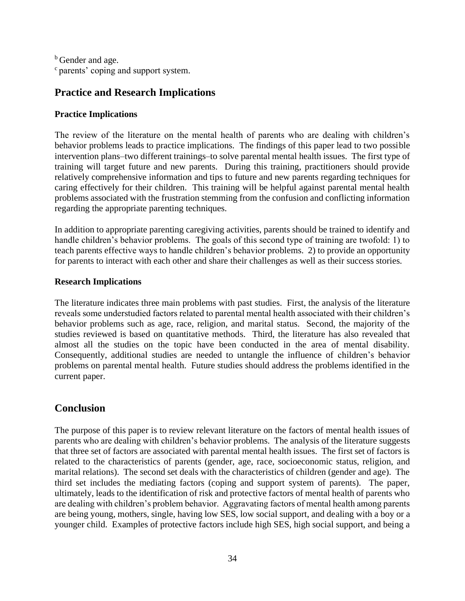<sup>b</sup> Gender and age.  $\degree$  parents' coping and support system.

#### **Practice and Research Implications**

#### **Practice Implications**

The review of the literature on the mental health of parents who are dealing with children's behavior problems leads to practice implications. The findings of this paper lead to two possible intervention plans–two different trainings–to solve parental mental health issues. The first type of training will target future and new parents. During this training, practitioners should provide relatively comprehensive information and tips to future and new parents regarding techniques for caring effectively for their children. This training will be helpful against parental mental health problems associated with the frustration stemming from the confusion and conflicting information regarding the appropriate parenting techniques.

In addition to appropriate parenting caregiving activities, parents should be trained to identify and handle children's behavior problems. The goals of this second type of training are twofold: 1) to teach parents effective ways to handle children's behavior problems. 2) to provide an opportunity for parents to interact with each other and share their challenges as well as their success stories.

#### **Research Implications**

The literature indicates three main problems with past studies. First, the analysis of the literature reveals some understudied factors related to parental mental health associated with their children's behavior problems such as age, race, religion, and marital status. Second, the majority of the studies reviewed is based on quantitative methods. Third, the literature has also revealed that almost all the studies on the topic have been conducted in the area of mental disability. Consequently, additional studies are needed to untangle the influence of children's behavior problems on parental mental health. Future studies should address the problems identified in the current paper.

### **Conclusion**

The purpose of this paper is to review relevant literature on the factors of mental health issues of parents who are dealing with children's behavior problems. The analysis of the literature suggests that three set of factors are associated with parental mental health issues. The first set of factors is related to the characteristics of parents (gender, age, race, socioeconomic status, religion, and marital relations). The second set deals with the characteristics of children (gender and age). The third set includes the mediating factors (coping and support system of parents). The paper, ultimately, leads to the identification of risk and protective factors of mental health of parents who are dealing with children's problem behavior. Aggravating factors of mental health among parents are being young, mothers, single, having low SES, low social support, and dealing with a boy or a younger child. Examples of protective factors include high SES, high social support, and being a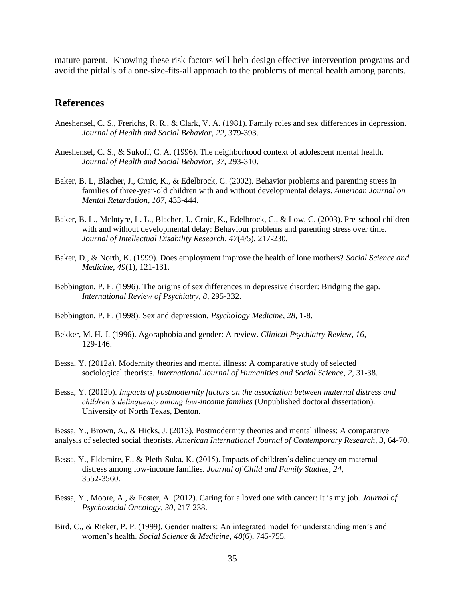mature parent. Knowing these risk factors will help design effective intervention programs and avoid the pitfalls of a one-size-fits-all approach to the problems of mental health among parents.

#### **References**

- Aneshensel, C. S., Frerichs, R. R., & Clark, V. A. (1981). Family roles and sex differences in depression. *Journal of Health and Social Behavior*, *22*, 379-393.
- Aneshensel, C. S., & Sukoff, C. A. (1996). The neighborhood context of adolescent mental health. *Journal of Health and Social Behavior*, *37*, 293-310.
- Baker, B. L, Blacher, J., Crnic, K., & Edelbrock, C. (2002). Behavior problems and parenting stress in families of three-year-old children with and without developmental delays. *American Journal on Mental Retardation*, *107*, 433-444.
- Baker, B. L., Mclntyre, L. L., Blacher, J., Crnic, K., Edelbrock, C., & Low, C. (2003). Pre-school children with and without developmental delay: Behaviour problems and parenting stress over time. *Journal of Intellectual Disability Research*, *47*(4/5), 217-230.
- Baker, D., & North, K. (1999). Does employment improve the health of lone mothers? *Social Science and Medicine*, *49*(1), 121-131.
- Bebbington, P. E. (1996). The origins of sex differences in depressive disorder: Bridging the gap. *International Review of Psychiatry*, *8*, 295-332.
- Bebbington, P. E. (1998). Sex and depression. *Psychology Medicine*, *28*, 1-8.
- Bekker, M. H. J. (1996). Agoraphobia and gender: A review. *Clinical Psychiatry Review*, *16*, 129-146.
- Bessa, Y. (2012a). Modernity theories and mental illness: A comparative study of selected sociological theorists. *International Journal of Humanities and Social Science*, *2*, 31-38.
- Bessa, Y. (2012b). *Impacts of postmodernity factors on the association between maternal distress and children's delinquency among low-income families* (Unpublished doctoral dissertation). University of North Texas, Denton.

Bessa, Y., Brown, A., & Hicks, J. (2013). Postmodernity theories and mental illness: A comparative analysis of selected social theorists. *American International Journal of Contemporary Research*, *3*, 64-70.

- Bessa, Y., Eldemire, F., & Pleth-Suka, K. (2015). Impacts of children's delinquency on maternal distress among low-income families. *Journal of Child and Family Studies*, *24*, 3552-3560.
- Bessa, Y., Moore, A., & Foster, A. (2012). Caring for a loved one with cancer: It is my job. *Journal of Psychosocial Oncology*, *30*, 217-238.
- Bird, C., & Rieker, P. P. (1999). Gender matters: An integrated model for understanding men's and women's health. *Social Science & Medicine*, *48*(6), 745-755.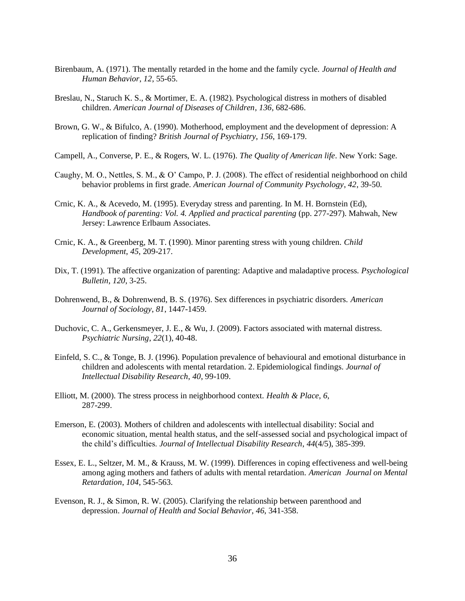- Birenbaum, A. (1971). The mentally retarded in the home and the family cycle. *Journal of Health and Human Behavior*, *12*, 55-65.
- Breslau, N., Staruch K. S., & Mortimer, E. A. (1982). Psychological distress in mothers of disabled children. *American Journal of Diseases of Children*, *136*, 682-686.
- Brown, G. W., & Bifulco, A. (1990). Motherhood, employment and the development of depression: A replication of finding? *British Journal of Psychiatry*, *156*, 169-179.
- Campell, A., Converse, P. E., & Rogers, W. L. (1976). *The Quality of American life*. New York: Sage.
- Caughy, M. O., Nettles, S. M., & O' Campo, P. J. (2008). The effect of residential neighborhood on child behavior problems in first grade. *American Journal of Community Psychology*, *42*, 39-50.
- Crnic, K. A., & Acevedo, M. (1995). Everyday stress and parenting. In M. H. Bornstein (Ed), *Handbook of parenting: Vol. 4. Applied and practical parenting (pp. 277-297). Mahwah, New* Jersey: Lawrence Erlbaum Associates.
- Crnic, K. A., & Greenberg, M. T. (1990). Minor parenting stress with young children. *Child Development*, *45*, 209-217.
- Dix, T. (1991). The affective organization of parenting: Adaptive and maladaptive process. *Psychological Bulletin*, *120*, 3-25.
- Dohrenwend, B., & Dohrenwend, B. S. (1976). Sex differences in psychiatric disorders. *American Journal of Sociology*, *81*, 1447-1459.
- Duchovic, C. A., Gerkensmeyer, J. E., & Wu, J. (2009). Factors associated with maternal distress. *Psychiatric Nursing*, *22*(1), 40-48.
- Einfeld, S. C., & Tonge, B. J. (1996). Population prevalence of behavioural and emotional disturbance in children and adolescents with mental retardation. 2. Epidemiological findings. *Journal of Intellectual Disability Research*, *40*, 99-109.
- Elliott, M. (2000). The stress process in neighborhood context. *Health & Place*, *6*, 287-299.
- Emerson, E. (2003). Mothers of children and adolescents with intellectual disability: Social and economic situation, mental health status, and the self-assessed social and psychological impact of the child's difficulties. *Journal of Intellectual Disability Research*, *44*(4/5), 385-399.
- Essex, E. L., Seltzer, M. M., & Krauss, M. W. (1999). Differences in coping effectiveness and well-being among aging mothers and fathers of adults with mental retardation. *American Journal on Mental Retardation*, *104*, 545-563.
- Evenson, R. J., & Simon, R. W. (2005). Clarifying the relationship between parenthood and depression. *Journal of Health and Social Behavior*, *46*, 341-358.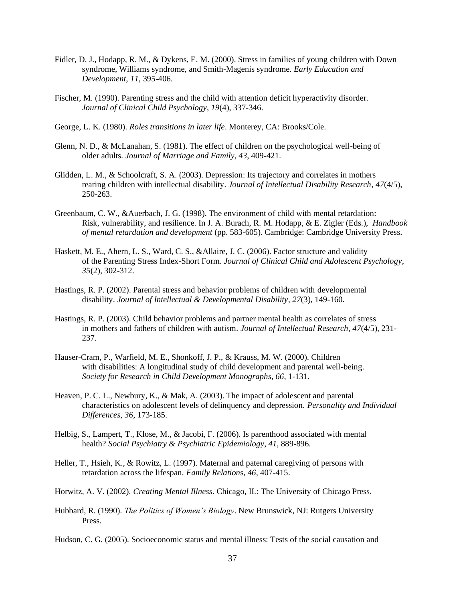- Fidler, D. J., Hodapp, R. M., & Dykens, E. M. (2000). Stress in families of young children with Down syndrome, Williams syndrome, and Smith-Magenis syndrome. *Early Education and Development*, *11*, 395-406.
- Fischer, M. (1990). Parenting stress and the child with attention deficit hyperactivity disorder. *Journal of Clinical Child Psychology*, *19*(4), 337-346.
- George, L. K. (1980). *Roles transitions in later life*. Monterey, CA: Brooks/Cole.
- Glenn, N. D., & McLanahan, S. (1981). The effect of children on the psychological well-being of older adults. *Journal of Marriage and Family*, *43*, 409-421.
- Glidden, L. M., & Schoolcraft, S. A. (2003). Depression: Its trajectory and correlates in mothers rearing children with intellectual disability. *Journal of Intellectual Disability Research*, *47*(4/5), 250-263.
- Greenbaum, C. W., &Auerbach, J. G. (1998). The environment of child with mental retardation: Risk, vulnerability, and resilience. In J. A. Burach, R. M. Hodapp, & E. Zigler (Eds.), *Handbook of mental retardation and development* (pp. 583-605). Cambridge: Cambridge University Press.
- Haskett, M. E., Ahern, L. S., Ward, C. S., &Allaire, J. C. (2006). Factor structure and validity of the Parenting Stress Index-Short Form. *Journal of Clinical Child and Adolescent Psychology*, *35*(2), 302-312.
- Hastings, R. P. (2002). Parental stress and behavior problems of children with developmental disability. *Journal of Intellectual & Developmental Disability*, *27*(3), 149-160.
- Hastings, R. P. (2003). Child behavior problems and partner mental health as correlates of stress in mothers and fathers of children with autism. *Journal of Intellectual Research*, *47*(4/5), 231- 237.
- Hauser-Cram, P., Warfield, M. E., Shonkoff, J. P., & Krauss, M. W. (2000). Children with disabilities: A longitudinal study of child development and parental well-being. *Society for Research in Child Development Monographs*, *66*, 1-131.
- Heaven, P. C. L., Newbury, K., & Mak, A. (2003). The impact of adolescent and parental characteristics on adolescent levels of delinquency and depression. *Personality and Individual Differences*, *36*, 173-185.
- Helbig, S., Lampert, T., Klose, M., & Jacobi, F. (2006). Is parenthood associated with mental health? *Social Psychiatry & Psychiatric Epidemiology*, *41*, 889-896.
- Heller, T., Hsieh, K., & Rowitz, L. (1997). Maternal and paternal caregiving of persons with retardation across the lifespan. *Family Relation*s, *46*, 407-415.
- Horwitz, A. V. (2002). *Creating Mental Illness*. Chicago, IL: The University of Chicago Press.
- Hubbard, R. (1990). *The Politics of Women's Biology*. New Brunswick, NJ: Rutgers University Press.
- Hudson, C. G. (2005). Socioeconomic status and mental illness: Tests of the social causation and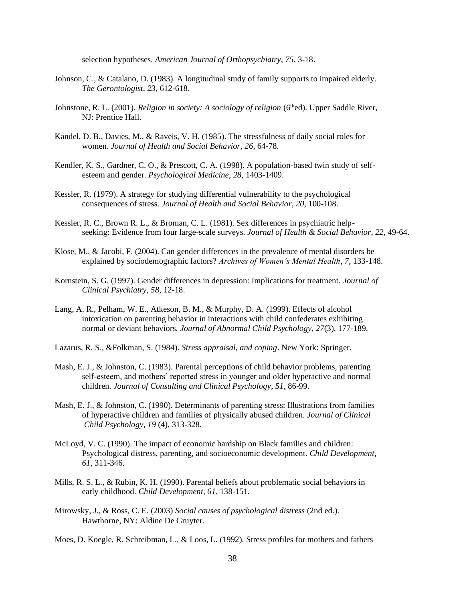selection hypotheses. *American Journal of Orthopsychiatry*, *75*, 3-18.

- Johnson, C., & Catalano, D. (1983). A longitudinal study of family supports to impaired elderly. *The Gerontologist*, *23*, 612-618.
- Johnstone, R. L. (2001). *Religion in society: A sociology of religion* (6<sup>th</sup>ed). Upper Saddle River, NJ: Prentice Hall.
- Kandel, D. B., Davies, M., & Raveis, V. H. (1985). The stressfulness of daily social roles for women. *Journal of Health and Social Behavior*, *26*, 64-78.
- Kendler, K. S., Gardner, C. O., & Prescott, C. A. (1998). A population-based twin study of selfesteem and gender. *Psychological Medicine*, *28*, 1403-1409.
- Kessler, R. (1979). A strategy for studying differential vulnerability to the psychological consequences of stress. *Journal of Health and Social Behavior*, *20*, 100-108.
- Kessler, R. C., Brown R. L., & Broman, C. L. (1981). Sex differences in psychiatric helpseeking: Evidence from four large-scale surveys. *Journal of Health & Social Behavior*, *22*, 49-64.
- Klose, M., & Jacobi, F. (2004). Can gender differences in the prevalence of mental disorders be explained by sociodemographic factors? *Archives of Women's Mental Health*, *7*, 133-148.
- Kornstein, S. G. (1997). Gender differences in depression: Implications for treatment. *Journal of Clinical Psychiatry*, *58*, 12-18.
- Lang, A. R., Pelham, W. E., Atkeson, B. M., & Murphy, D. A. (1999). Effects of alcohol intoxication on parenting behavior in interactions with child confederates exhibiting normal or deviant behaviors. *Journal of Abnormal Child Psychology*, *27*(3), 177-189.
- Lazarus, R. S., &Folkman, S. (1984). *Stress appraisal, and coping*. New York: Springer.
- Mash, E. J., & Johnston, C. (1983). Parental perceptions of child behavior problems, parenting self-esteem, and mothers' reported stress in younger and older hyperactive and normal children. *Journal of Consulting and Clinical Psychology*, *51*, 86-99.
- Mash, E. J., & Johnston, C. (1990). Determinants of parenting stress: Illustrations from families of hyperactive children and families of physically abused children. *Journal of Clinical Child Psychology*, *19* (4), 313-328.
- McLoyd, V. C. (1990). The impact of economic hardship on Black families and children: Psychological distress, parenting, and socioeconomic development. *Child Development*, *61*, 311-346.
- Mills, R. S. L., & Rubin, K. H. (1990). Parental beliefs about problematic social behaviors in early childhood. *Child Development*, *61*, 138-151.
- Mirowsky, J., & Ross, C. E. (2003) *Social causes of psychological distress* (2nd ed.). Hawthorne, NY: Aldine De Gruyter.
- Moes, D. Koegle, R. Schreibman, L., & Loos, L. (1992). Stress profiles for mothers and fathers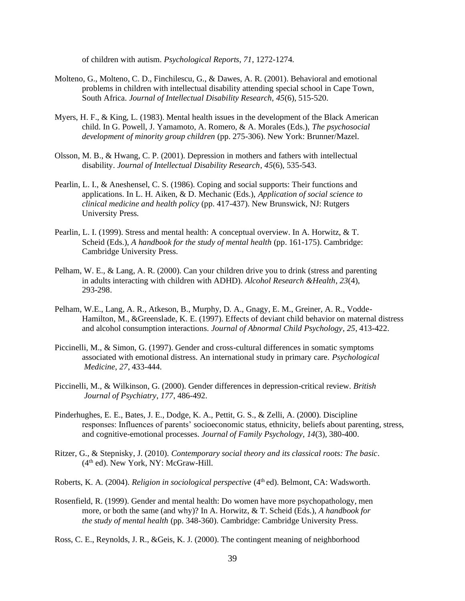of children with autism. *Psychological Reports*, *71*, 1272-1274.

- Molteno, G., Molteno, C. D., Finchilescu, G., & Dawes, A. R. (2001). Behavioral and emotional problems in children with intellectual disability attending special school in Cape Town, South Africa. *Journal of Intellectual Disability Research*, *45*(6), 515-520.
- Myers, H. F., & King, L. (1983). Mental health issues in the development of the Black American child. In G. Powell, J. Yamamoto, A. Romero, & A. Morales (Eds.), *The psychosocial development of minority group children* (pp. 275-306). New York: Brunner/Mazel.
- Olsson, M. B., & Hwang, C. P. (2001). Depression in mothers and fathers with intellectual disability. *Journal of Intellectual Disability Research*, *45*(6), 535-543.
- Pearlin, L. I., & Aneshensel, C. S. (1986). Coping and social supports: Their functions and applications. In L. H. Aiken, & D. Mechanic (Eds.), *Application of social science to clinical medicine and health policy* (pp. 417-437). New Brunswick, NJ: Rutgers University Press.
- Pearlin, L. I. (1999). Stress and mental health: A conceptual overview. In A. Horwitz, & T. Scheid (Eds.), *A handbook for the study of mental health* (pp. 161-175). Cambridge: Cambridge University Press.
- Pelham, W. E., & Lang, A. R. (2000). Can your children drive you to drink (stress and parenting in adults interacting with children with ADHD). *Alcohol Research &Health*, *23*(4), 293-298.
- Pelham, W.E., Lang, A. R., Atkeson, B., Murphy, D. A., Gnagy, E. M., Greiner, A. R., Vodde-Hamilton, M., &Greenslade, K. E. (1997). Effects of deviant child behavior on maternal distress and alcohol consumption interactions. *Journal of Abnormal Child Psychology*, *25*, 413-422.
- Piccinelli, M., & Simon, G. (1997). Gender and cross-cultural differences in somatic symptoms associated with emotional distress. An international study in primary care. *Psychological Medicine*, *27*, 433-444.
- Piccinelli, M., & Wilkinson, G. (2000). Gender differences in depression-critical review. *British Journal of Psychiatry*, *177*, 486-492.
- Pinderhughes, E. E., Bates, J. E., Dodge, K. A., Pettit, G. S., & Zelli, A. (2000). Discipline responses: Influences of parents' socioeconomic status, ethnicity, beliefs about parenting, stress, and cognitive-emotional processes. *Journal of Family Psychology*, *14*(3), 380-400.
- Ritzer, G., & Stepnisky, J. (2010). *Contemporary social theory and its classical roots: The basic*. (4th ed). New York, NY: McGraw-Hill.
- Roberts, K. A. (2004). *Religion in sociological perspective* (4th ed). Belmont, CA: Wadsworth.
- Rosenfield, R. (1999). Gender and mental health: Do women have more psychopathology, men more, or both the same (and why)? In A. Horwitz, & T. Scheid (Eds.), *A handbook for the study of mental health* (pp. 348-360). Cambridge: Cambridge University Press.
- Ross, C. E., Reynolds, J. R., &Geis, K. J. (2000). The contingent meaning of neighborhood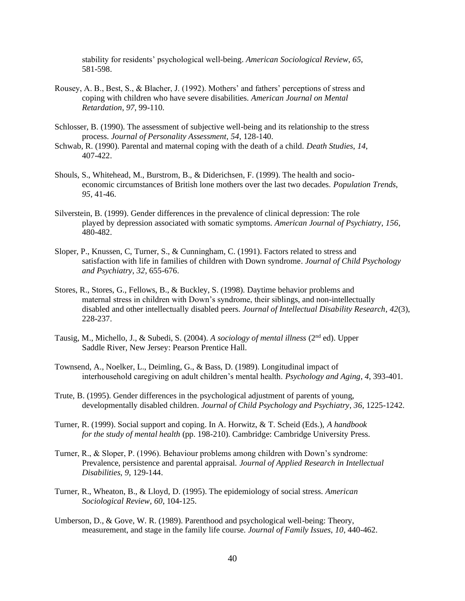stability for residents' psychological well-being. *American Sociological Review*, *65*, 581-598.

- Rousey, A. B., Best, S., & Blacher, J. (1992). Mothers' and fathers' perceptions of stress and coping with children who have severe disabilities. *American Journal on Mental Retardation*, *97*, 99-110.
- Schlosser, B. (1990). The assessment of subjective well-being and its relationship to the stress process. *Journal of Personality Assessment*, *54*, 128-140.
- Schwab, R. (1990). Parental and maternal coping with the death of a child. *Death Studies*, *14*, 407-422.
- Shouls, S., Whitehead, M., Burstrom, B., & Diderichsen, F. (1999). The health and socioeconomic circumstances of British lone mothers over the last two decades. *Population Trends*, *95*, 41-46.
- Silverstein, B. (1999). Gender differences in the prevalence of clinical depression: The role played by depression associated with somatic symptoms. *American Journal of Psychiatry*, *156*, 480-482.
- Sloper, P., Knussen, C, Turner, S., & Cunningham, C. (1991). Factors related to stress and satisfaction with life in families of children with Down syndrome. *Journal of Child Psychology and Psychiatry*, *32*, 655-676.
- Stores, R., Stores, G., Fellows, B., & Buckley, S. (1998). Daytime behavior problems and maternal stress in children with Down's syndrome, their siblings, and non-intellectually disabled and other intellectually disabled peers. *Journal of Intellectual Disability Research*, *42*(3), 228-237.
- Tausig, M., Michello, J., & Subedi, S. (2004). *A sociology of mental illness* (2nd ed). Upper Saddle River, New Jersey: Pearson Prentice Hall.
- Townsend, A., Noelker, L., Deimling, G., & Bass, D. (1989). Longitudinal impact of interhousehold caregiving on adult children's mental health. *Psychology and Aging*, *4*, 393-401.
- Trute, B. (1995). Gender differences in the psychological adjustment of parents of young, developmentally disabled children. *Journal of Child Psychology and Psychiatry*, *36*, 1225-1242.
- Turner, R. (1999). Social support and coping. In A. Horwitz, & T. Scheid (Eds.), *A handbook for the study of mental health* (pp. 198-210). Cambridge: Cambridge University Press.
- Turner, R., & Sloper, P. (1996). Behaviour problems among children with Down's syndrome: Prevalence, persistence and parental appraisal. *Journal of Applied Research in Intellectual Disabilities*, *9*, 129-144.
- Turner, R., Wheaton, B., & Lloyd, D. (1995). The epidemiology of social stress. *American Sociological Review*, *60*, 104-125.
- Umberson, D., & Gove, W. R. (1989). Parenthood and psychological well-being: Theory, measurement, and stage in the family life course. *Journal of Family Issues*, *10*, 440-462.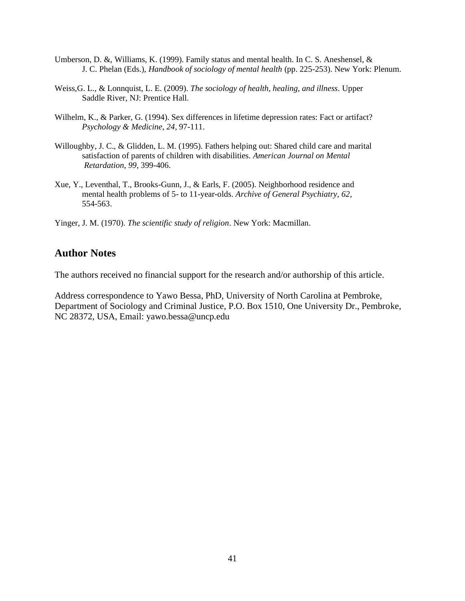- Umberson, D. &, Williams, K. (1999). Family status and mental health. In C. S. Aneshensel, & J. C. Phelan (Eds.), *Handbook of sociology of mental health* (pp. 225-253). New York: Plenum.
- Weiss,G. L., & Lonnquist, L. E. (2009). *The sociology of health, healing, and illness*. Upper Saddle River, NJ: Prentice Hall.
- Wilhelm, K., & Parker, G. (1994). Sex differences in lifetime depression rates: Fact or artifact? *Psychology & Medicine*, *24*, 97-111.
- Willoughby, J. C., & Glidden, L. M. (1995). Fathers helping out: Shared child care and marital satisfaction of parents of children with disabilities. *American Journal on Mental Retardation*, *99*, 399-406.
- Xue, Y., Leventhal, T., Brooks-Gunn, J., & Earls, F. (2005). Neighborhood residence and mental health problems of 5- to 11-year-olds. *Archive of General Psychiatry*, *62*, 554-563.
- Yinger, J. M. (1970). *The scientific study of religion*. New York: Macmillan.

#### **Author Notes**

The authors received no financial support for the research and/or authorship of this article.

Address correspondence to Yawo Bessa, PhD, University of North Carolina at Pembroke, Department of Sociology and Criminal Justice, P.O. Box 1510, One University Dr., Pembroke, NC 28372, USA, Email: yawo.bessa@uncp.edu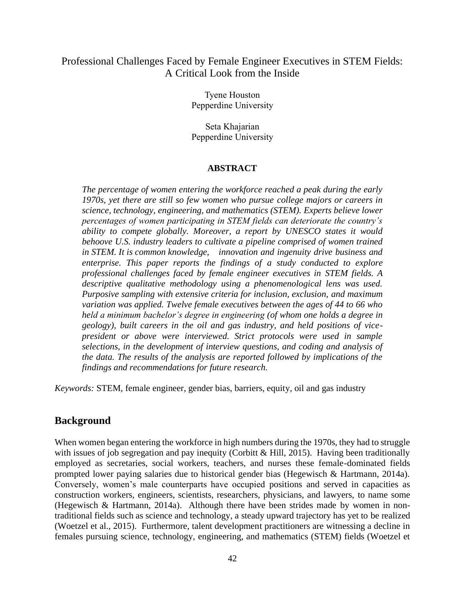#### Professional Challenges Faced by Female Engineer Executives in STEM Fields: A Critical Look from the Inside

Tyene Houston Pepperdine University

Seta Khajarian Pepperdine University

#### **ABSTRACT**

*The percentage of women entering the workforce reached a peak during the early 1970s, yet there are still so few women who pursue college majors or careers in science, technology, engineering, and mathematics (STEM). Experts believe lower percentages of women participating in STEM fields can deteriorate the country's ability to compete globally. Moreover, a report by UNESCO states it would behoove U.S. industry leaders to cultivate a pipeline comprised of women trained in STEM. It is common knowledge, innovation and ingenuity drive business and*  enterprise. This paper reports the findings of a study conducted to explore *professional challenges faced by female engineer executives in STEM fields. A descriptive qualitative methodology using a phenomenological lens was used. Purposive sampling with extensive criteria for inclusion, exclusion, and maximum variation was applied. Twelve female executives between the ages of 44 to 66 who held a minimum bachelor's degree in engineering (of whom one holds a degree in geology), built careers in the oil and gas industry, and held positions of vicepresident or above were interviewed. Strict protocols were used in sample selections, in the development of interview questions, and coding and analysis of the data. The results of the analysis are reported followed by implications of the findings and recommendations for future research.*

*Keywords:* STEM, female engineer, gender bias, barriers, equity, oil and gas industry

#### **Background**

When women began entering the workforce in high numbers during the 1970s, they had to struggle with issues of job segregation and pay inequity (Corbitt & Hill, 2015). Having been traditionally employed as secretaries, social workers, teachers, and nurses these female-dominated fields prompted lower paying salaries due to historical gender bias (Hegewisch & Hartmann, 2014a). Conversely, women's male counterparts have occupied positions and served in capacities as construction workers, engineers, scientists, researchers, physicians, and lawyers, to name some (Hegewisch & Hartmann, 2014a). Although there have been strides made by women in nontraditional fields such as science and technology, a steady upward trajectory has yet to be realized (Woetzel et al., 2015). Furthermore, talent development practitioners are witnessing a decline in females pursuing science, technology, engineering, and mathematics (STEM) fields (Woetzel et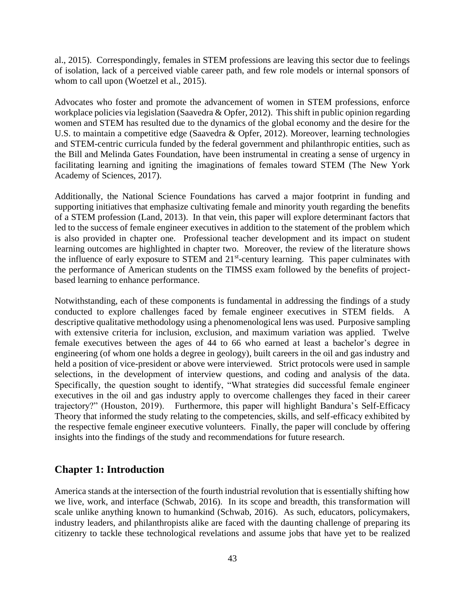al., 2015). Correspondingly, females in STEM professions are leaving this sector due to feelings of isolation, lack of a perceived viable career path, and few role models or internal sponsors of whom to call upon (Woetzel et al., 2015).

Advocates who foster and promote the advancement of women in STEM professions, enforce workplace policies via legislation (Saavedra & Opfer, 2012). This shift in public opinion regarding women and STEM has resulted due to the dynamics of the global economy and the desire for the U.S. to maintain a competitive edge (Saavedra & Opfer, 2012). Moreover, learning technologies and STEM-centric curricula funded by the federal government and philanthropic entities, such as the Bill and Melinda Gates Foundation, have been instrumental in creating a sense of urgency in facilitating learning and igniting the imaginations of females toward STEM (The New York Academy of Sciences, 2017).

Additionally, the National Science Foundations has carved a major footprint in funding and supporting initiatives that emphasize cultivating female and minority youth regarding the benefits of a STEM profession (Land, 2013). In that vein, this paper will explore determinant factors that led to the success of female engineer executives in addition to the statement of the problem which is also provided in chapter one. Professional teacher development and its impact on student learning outcomes are highlighted in chapter two. Moreover, the review of the literature shows the influence of early exposure to STEM and 21<sup>st</sup>-century learning. This paper culminates with the performance of American students on the TIMSS exam followed by the benefits of projectbased learning to enhance performance.

Notwithstanding, each of these components is fundamental in addressing the findings of a study conducted to explore challenges faced by female engineer executives in STEM fields. A descriptive qualitative methodology using a phenomenological lens was used. Purposive sampling with extensive criteria for inclusion, exclusion, and maximum variation was applied. Twelve female executives between the ages of 44 to 66 who earned at least a bachelor's degree in engineering (of whom one holds a degree in geology), built careers in the oil and gas industry and held a position of vice-president or above were interviewed. Strict protocols were used in sample selections, in the development of interview questions, and coding and analysis of the data. Specifically, the question sought to identify, "What strategies did successful female engineer executives in the oil and gas industry apply to overcome challenges they faced in their career trajectory?" (Houston, 2019). Furthermore, this paper will highlight Bandura's Self-Efficacy Theory that informed the study relating to the competencies, skills, and self-efficacy exhibited by the respective female engineer executive volunteers. Finally, the paper will conclude by offering insights into the findings of the study and recommendations for future research.

#### **Chapter 1: Introduction**

America stands at the intersection of the fourth industrial revolution that is essentially shifting how we live, work, and interface (Schwab, 2016). In its scope and breadth, this transformation will scale unlike anything known to humankind (Schwab, 2016). As such, educators, policymakers, industry leaders, and philanthropists alike are faced with the daunting challenge of preparing its citizenry to tackle these technological revelations and assume jobs that have yet to be realized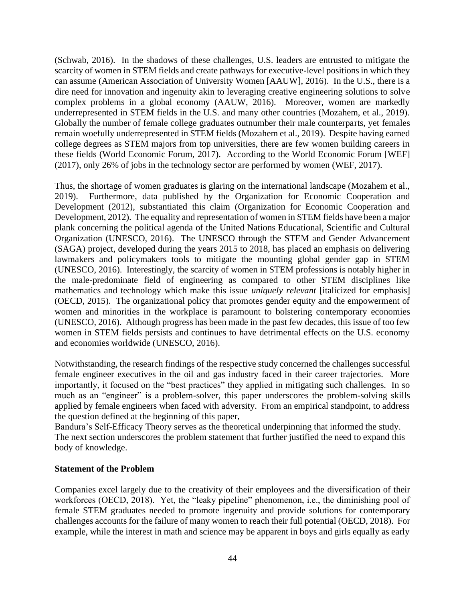(Schwab, 2016). In the shadows of these challenges, U.S. leaders are entrusted to mitigate the scarcity of women in STEM fields and create pathways for executive-level positions in which they can assume (American Association of University Women [AAUW], 2016). In the U.S., there is a dire need for innovation and ingenuity akin to leveraging creative engineering solutions to solve complex problems in a global economy (AAUW, 2016). Moreover, women are markedly underrepresented in STEM fields in the U.S. and many other countries (Mozahem, et al., 2019). Globally the number of female college graduates outnumber their male counterparts, yet females remain woefully underrepresented in STEM fields (Mozahem et al., 2019). Despite having earned college degrees as STEM majors from top universities, there are few women building careers in these fields (World Economic Forum, 2017). According to the World Economic Forum [WEF] (2017), only 26% of jobs in the technology sector are performed by women (WEF, 2017).

Thus, the shortage of women graduates is glaring on the international landscape (Mozahem et al., 2019). Furthermore, data published by the Organization for Economic Cooperation and Development (2012), substantiated this claim (Organization for Economic Cooperation and Development, 2012). The equality and representation of women in STEM fields have been a major plank concerning the political agenda of the United Nations Educational, Scientific and Cultural Organization (UNESCO, 2016). The UNESCO through the STEM and Gender Advancement (SAGA) project, developed during the years 2015 to 2018, has placed an emphasis on delivering lawmakers and policymakers tools to mitigate the mounting global gender gap in STEM (UNESCO, 2016). Interestingly, the scarcity of women in STEM professions is notably higher in the male-predominate field of engineering as compared to other STEM disciplines like mathematics and technology which make this issue *uniquely relevant* [italicized for emphasis] (OECD, 2015). The organizational policy that promotes gender equity and the empowerment of women and minorities in the workplace is paramount to bolstering contemporary economies (UNESCO, 2016). Although progress has been made in the past few decades, this issue of too few women in STEM fields persists and continues to have detrimental effects on the U.S. economy and economies worldwide (UNESCO, 2016).

Notwithstanding, the research findings of the respective study concerned the challenges successful female engineer executives in the oil and gas industry faced in their career trajectories. More importantly, it focused on the "best practices" they applied in mitigating such challenges. In so much as an "engineer" is a problem-solver, this paper underscores the problem-solving skills applied by female engineers when faced with adversity. From an empirical standpoint, to address the question defined at the beginning of this paper,

Bandura's Self-Efficacy Theory serves as the theoretical underpinning that informed the study. The next section underscores the problem statement that further justified the need to expand this body of knowledge.

#### **Statement of the Problem**

Companies excel largely due to the creativity of their employees and the diversification of their workforces (OECD, 2018). Yet, the "leaky pipeline" phenomenon, i.e., the diminishing pool of female STEM graduates needed to promote ingenuity and provide solutions for contemporary challenges accounts for the failure of many women to reach their full potential (OECD, 2018). For example, while the interest in math and science may be apparent in boys and girls equally as early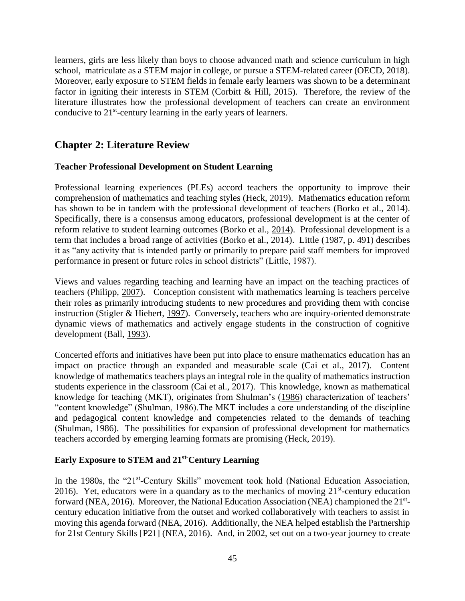learners, girls are less likely than boys to choose advanced math and science curriculum in high school, matriculate as a STEM major in college, or pursue a STEM-related career (OECD, 2018). Moreover, early exposure to STEM fields in female early learners was shown to be a determinant factor in igniting their interests in STEM (Corbitt & Hill, 2015). Therefore, the review of the literature illustrates how the professional development of teachers can create an environment conducive to 21<sup>st</sup>-century learning in the early years of learners.

### **Chapter 2: Literature Review**

#### **Teacher Professional Development on Student Learning**

Professional learning experiences (PLEs) accord teachers the opportunity to improve their comprehension of mathematics and teaching styles (Heck, 2019). Mathematics education reform has shown to be in tandem with the professional development of teachers (Borko et al., 2014). Specifically, there is a consensus among educators, professional development is at the center of reform relative to student learning outcomes (Borko et al., [2014\)](https://link-springer-com.lib.pepperdine.edu/article/10.1007/s10649-019-09895-6#ref-CR10). Professional development is a term that includes a broad range of activities (Borko et al., 2014). Little [\(1987,](https://link-springer-com.lib.pepperdine.edu/article/10.1007/s10649-019-09895-6#ref-CR38) p. 491) describes it as "any activity that is intended partly or primarily to prepare paid staff members for improved performance in present or future roles in school districts" (Little, 1987).

Views and values regarding teaching and learning have an impact on the teaching practices of teachers (Philipp, [2007\)](https://link-springer-com.lib.pepperdine.edu/article/10.1007/s10649-019-09895-6#ref-CR43). Conception consistent with mathematics learning is teachers perceive their roles as primarily introducing students to new procedures and providing them with concise instruction (Stigler & Hiebert, [1997\)](https://link-springer-com.lib.pepperdine.edu/article/10.1007/s10649-019-09895-6#ref-CR48). Conversely, teachers who are inquiry-oriented demonstrate dynamic views of mathematics and actively engage students in the construction of cognitive development (Ball, [1993\)](https://link-springer-com.lib.pepperdine.edu/article/10.1007/s10649-019-09895-6#ref-CR2).

Concerted efforts and initiatives have been put into place to ensure mathematics education has an impact on practice through an expanded and measurable scale (Cai et al., 2017). Content knowledge of mathematics teachers plays an integral role in the quality of mathematics instruction students experience in the classroom (Cai et al., 2017). This knowledge, known as mathematical knowledge for teaching (MKT), originates from Shulman's [\(1986\)](https://link-springer-com.lib.pepperdine.edu/article/10.1007/s10649-019-09895-6#ref-CR46) characterization of teachers' "content knowledge" (Shulman, 1986).The MKT includes a core understanding of the discipline and pedagogical content knowledge and competencies related to the demands of teaching (Shulman, 1986). The possibilities for expansion of professional development for mathematics teachers accorded by emerging learning formats are promising (Heck, 2019).

#### **Early Exposure to STEM and 21st-Century Learning**

In the 1980s, the "21<sup>st</sup>-Century Skills" movement took hold (National Education Association, 2016). Yet, educators were in a quandary as to the mechanics of moving  $21^{st}$ -century education forward (NEA, 2016). Moreover, the National Education Association (NEA) championed the 21<sup>st</sup>century education initiative from the outset and worked collaboratively with teachers to assist in moving this agenda forward (NEA, 2016). Additionally, the NEA helped establish the Partnership for 21st Century Skills [P21] (NEA, 2016). And, in 2002, set out on a two-year journey to create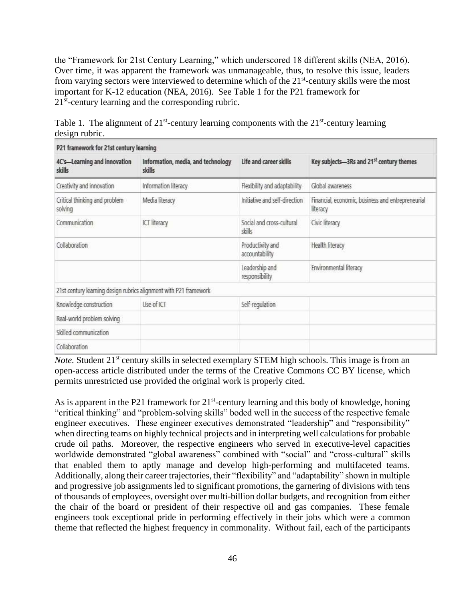the "Framework for 21st Century Learning," which underscored 18 different skills (NEA, 2016). Over time, it was apparent the framework was unmanageable, thus, to resolve this issue, leaders from varying sectors were interviewed to determine which of the  $21<sup>st</sup>$ -century skills were the most important for K-12 education (NEA, 2016). See Table 1 for the P21 framework for 21<sup>st</sup>-century learning and the corresponding rubric.

| P21 framework for 21st century learning                           |                                              |                                     |                                                               |
|-------------------------------------------------------------------|----------------------------------------------|-------------------------------------|---------------------------------------------------------------|
| 4C's-Learning and innovation<br>skills                            | Information, media, and technology<br>skills | Life and career skills              | Key subjects-3Rs and 21 <sup>st</sup> century themes          |
| Creativity and innovation                                         | Information literacy                         | Flexibility and adaptability        | Global awareness                                              |
| Critical thinking and problem<br>solving                          | Media literacy                               | Initiative and self-direction       | Financial, economic, business and entrepreneurial<br>literacy |
| Communication                                                     | ICT literacy                                 | Social and cross-cultural<br>skills | Civic literacy                                                |
| Collaboration                                                     |                                              | Productivity and<br>accountability  | Health literacy                                               |
|                                                                   |                                              | Leadership and<br>responsibility    | Environmental literacy                                        |
| 21st century learning design rubrics alignment with P21 framework |                                              |                                     |                                                               |
| Knowledge construction                                            | Use of ICT                                   | Self-regulation                     |                                                               |
| Real-world problem solving                                        |                                              |                                     |                                                               |
| Skilled communication                                             |                                              |                                     |                                                               |
| Collaboration                                                     |                                              |                                     |                                                               |

Table 1. The alignment of  $21^{st}$ -century learning components with the  $21^{st}$ -century learning design rubric.

*Note*. Student 21<sup>st-</sup>century skills in selected exemplary STEM high schools. This image is from an open-access article distributed under the terms of the [Creative Commons CC BY](https://creativecommons.org/licenses/) license, which permits unrestricted use provided the original work is properly cited.

As is apparent in the P21 framework for  $21<sup>st</sup>$ -century learning and this body of knowledge, honing "critical thinking" and "problem-solving skills" boded well in the success of the respective female engineer executives. These engineer executives demonstrated "leadership" and "responsibility" when directing teams on highly technical projects and in interpreting well calculations for probable crude oil paths. Moreover, the respective engineers who served in executive-level capacities worldwide demonstrated "global awareness" combined with "social" and "cross-cultural" skills that enabled them to aptly manage and develop high-performing and multifaceted teams. Additionally, along their career trajectories, their "flexibility" and "adaptability" shown in multiple and progressive job assignments led to significant promotions, the garnering of divisions with tens of thousands of employees, oversight over multi-billion dollar budgets, and recognition from either the chair of the board or president of their respective oil and gas companies. These female engineers took exceptional pride in performing effectively in their jobs which were a common theme that reflected the highest frequency in commonality. Without fail, each of the participants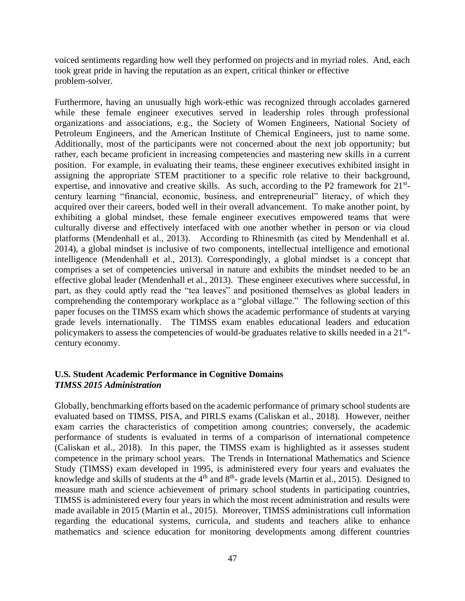voiced sentiments regarding how well they performed on projects and in myriad roles. And, each took great pride in having the reputation as an expert, critical thinker or effective problem-solver.

Furthermore, having an unusually high work-ethic was recognized through accolades garnered while these female engineer executives served in leadership roles through professional organizations and associations, e.g., the Society of Women Engineers, National Society of Petroleum Engineers, and the American Institute of Chemical Engineers, just to name some. Additionally, most of the participants were not concerned about the next job opportunity; but rather, each became proficient in increasing competencies and mastering new skills in a current position. For example, in evaluating their teams, these engineer executives exhibited insight in assigning the appropriate STEM practitioner to a specific role relative to their background, expertise, and innovative and creative skills. As such, according to the P2 framework for  $21^{st}$ century learning "financial, economic, business, and entrepreneurial" literacy, of which they acquired over their careers, boded well in their overall advancement. To make another point, by exhibiting a global mindset, these female engineer executives empowered teams that were culturally diverse and effectively interfaced with one another whether in person or via cloud platforms (Mendenhall et al., 2013). According to Rhinesmith (as cited by Mendenhall et al. 2014), a global mindset is inclusive of two components, intellectual intelligence and emotional intelligence (Mendenhall et al., 2013). Correspondingly, a global mindset is a concept that comprises a set of competencies universal in nature and exhibits the mindset needed to be an effective global leader (Mendenhall et al., 2013). These engineer executives where successful, in part, as they could aptly read the "tea leaves" and positioned themselves as global leaders in comprehending the contemporary workplace as a "global village." The following section of this paper focuses on the TIMSS exam which shows the academic performance of students at varying grade levels internationally. The TIMSS exam enables educational leaders and education policymakers to assess the competencies of would-be graduates relative to skills needed in a 21<sup>st</sup>century economy.

#### **U.S. Student Academic Performance in Cognitive Domains** *TIMSS 2015 Administration*

Globally, benchmarking efforts based on the academic performance of primary school students are evaluated based on TIMSS, PISA, and PIRLS exams (Caliskan et al., 2018). However, neither exam carries the characteristics of competition among countries; conversely, the academic performance of students is evaluated in terms of a comparison of international competence (Caliskan et al., 2018). In this paper, the TIMSS exam is highlighted as it assesses student competence in the primary school years. The Trends in International Mathematics and Science Study (TIMSS) exam developed in 1995, is administered every four years and evaluates the knowledge and skills of students at the  $4<sup>th</sup>$  and  $8<sup>th</sup>$ -grade levels (Martin et al., 2015). Designed to measure math and science achievement of primary school students in participating countries, TIMSS is administered every four years in which the most recent administration and results were made available in 2015 (Martin et al., 2015). Moreover, TIMSS administrations cull information regarding the educational systems, curricula, and students and teachers alike to enhance mathematics and science education for monitoring developments among different countries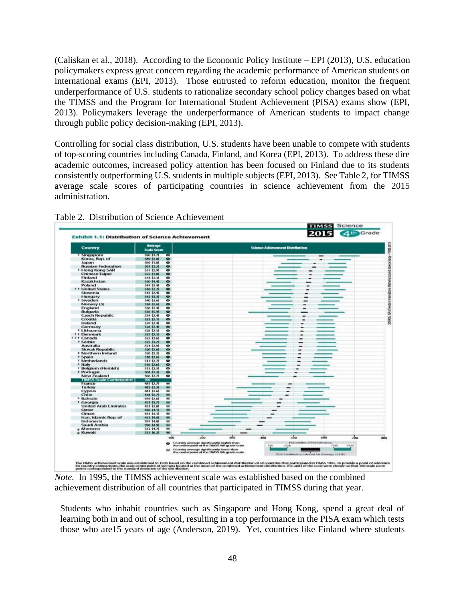(Caliskan et al., 2018). According to the Economic Policy Institute – EPI (2013), U.S. education policymakers express great concern regarding the academic performance of American students on international exams (EPI, 2013). Those entrusted to reform education, monitor the frequent underperformance of U.S. students to rationalize secondary school policy changes based on what the TIMSS and the Program for International Student Achievement (PISA) exams show (EPI, 2013). Policymakers leverage the underperformance of American students to impact change through public policy decision-making (EPI, 2013).

Controlling for social class distribution, U.S. students have been unable to compete with students of top-scoring countries including Canada, Finland, and Korea (EPI, 2013). To address these dire academic outcomes, increased policy attention has been focused on Finland due to its students consistently outperforming U.S. students in multiple subjects (EPI, 2013). See Table 2, for TIMSS average scale scores of participating countries in science achievement from the 2015 administration.



Table 2. Distribution of Science Achievement

*Note.* In 1995, the TIMSS achievement scale was established based on the combined achievement distribution of all countries that participated in TIMSS during that year.

Students who inhabit countries such as Singapore and Hong Kong, spend a great deal of learning both in and out of school, resulting in a top performance in the PISA exam which tests those who are15 years of age (Anderson, 2019). Yet, countries like Finland where students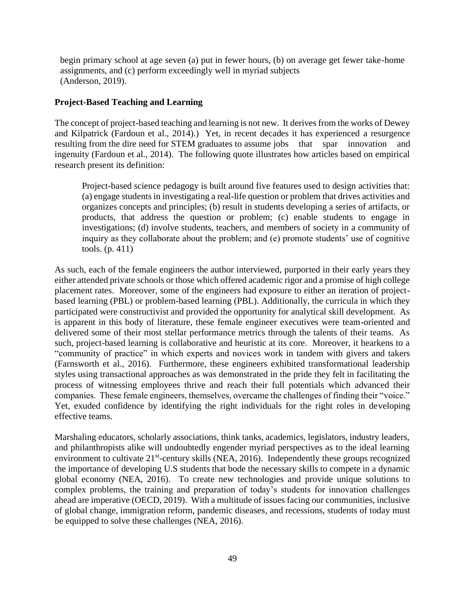begin primary school at age seven (a) put in fewer hours, (b) on average get fewer take-home assignments, and (c) perform exceedingly well in myriad subjects (Anderson, 2019).

#### **Project-Based Teaching and Learning**

The concept of project-based teaching and learning is not new. It derives from the works of Dewey and Kilpatrick (Fardoun et al., 2014).) Yet, in recent decades it has experienced a resurgence resulting from the dire need for STEM graduates to assume jobs that spar innovation and ingenuity (Fardoun et al., 2014). The following quote illustrates how articles based on empirical research present its definition:

Project-based science pedagogy is built around five features used to design activities that: (a) engage students in investigating a real-life question or problem that drives activities and organizes concepts and principles; (b) result in students developing a series of artifacts, or products, that address the question or problem; (c) enable students to engage in investigations; (d) involve students, teachers, and members of society in a community of inquiry as they collaborate about the problem; and (e) promote students' use of cognitive tools. (p. 411)

As such, each of the female engineers the author interviewed, purported in their early years they either attended private schools or those which offered academic rigor and a promise of high college placement rates. Moreover, some of the engineers had exposure to either an iteration of projectbased learning (PBL) or problem-based learning (PBL). Additionally, the curricula in which they participated were constructivist and provided the opportunity for analytical skill development. As is apparent in this body of literature, these female engineer executives were team-oriented and delivered some of their most stellar performance metrics through the talents of their teams. As such, project-based learning is collaborative and heuristic at its core. Moreover, it hearkens to a "community of practice" in which experts and novices work in tandem with givers and takers (Farnsworth et al., 2016). Furthermore, these engineers exhibited transformational leadership styles using transactional approaches as was demonstrated in the pride they felt in facilitating the process of witnessing employees thrive and reach their full potentials which advanced their companies. These female engineers, themselves, overcame the challenges of finding their "voice." Yet, exuded confidence by identifying the right individuals for the right roles in developing effective teams.

Marshaling educators, scholarly associations, think tanks, academics, legislators, industry leaders, and philanthropists alike will undoubtedly engender myriad perspectives as to the ideal learning environment to cultivate 21<sup>st</sup>-century skills (NEA, 2016). Independently these groups recognized the importance of developing U.S students that bode the necessary skills to compete in a dynamic global economy (NEA, 2016). To create new technologies and provide unique solutions to complex problems, the training and preparation of today's students for innovation challenges ahead are imperative (OECD, 2019). With a multitude of issues facing our communities, inclusive of global change, immigration reform, pandemic diseases, and recessions, students of today must be equipped to solve these challenges (NEA, 2016).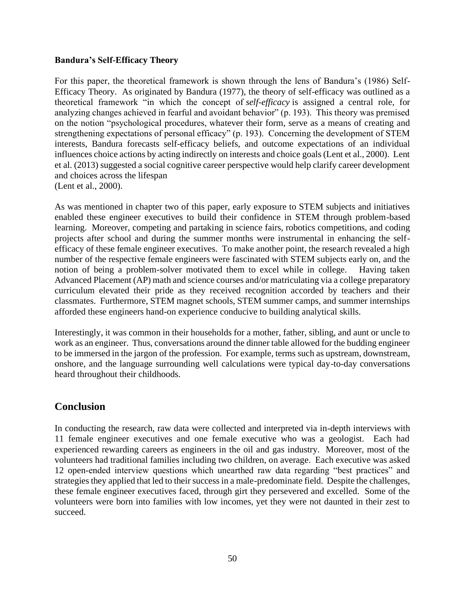#### **Bandura's Self-Efficacy Theory**

For this paper, the theoretical framework is shown through the lens of Bandura's (1986) Self-Efficacy Theory. As originated by Bandura (1977), the theory of self-efficacy was outlined as a theoretical framework "in which the concept of *self-efficacy* is assigned a central role, for analyzing changes achieved in fearful and avoidant behavior" (p. 193). This theory was premised on the notion "psychological procedures, whatever their form, serve as a means of creating and strengthening expectations of personal efficacy" (p. 193). Concerning the development of STEM interests, Bandura forecasts self-efficacy beliefs, and outcome expectations of an individual influences choice actions by acting indirectly on interests and choice goals (Lent et al., 2000). Lent et al. (2013) suggested a social cognitive career perspective would help clarify career development and choices across the lifespan (Lent et al., 2000).

As was mentioned in chapter two of this paper, early exposure to STEM subjects and initiatives enabled these engineer executives to build their confidence in STEM through problem-based learning. Moreover, competing and partaking in science fairs, robotics competitions, and coding projects after school and during the summer months were instrumental in enhancing the selfefficacy of these female engineer executives. To make another point, the research revealed a high number of the respective female engineers were fascinated with STEM subjects early on, and the notion of being a problem-solver motivated them to excel while in college. Having taken Advanced Placement (AP) math and science courses and/or matriculating via a college preparatory curriculum elevated their pride as they received recognition accorded by teachers and their classmates. Furthermore, STEM magnet schools, STEM summer camps, and summer internships afforded these engineers hand-on experience conducive to building analytical skills.

Interestingly, it was common in their households for a mother, father, sibling, and aunt or uncle to work as an engineer. Thus, conversations around the dinner table allowed for the budding engineer to be immersed in the jargon of the profession. For example, terms such as upstream, downstream, onshore, and the language surrounding well calculations were typical day-to-day conversations heard throughout their childhoods.

#### **Conclusion**

In conducting the research, raw data were collected and interpreted via in-depth interviews with 11 female engineer executives and one female executive who was a geologist. Each had experienced rewarding careers as engineers in the oil and gas industry. Moreover, most of the volunteers had traditional families including two children, on average. Each executive was asked 12 open-ended interview questions which unearthed raw data regarding "best practices" and strategies they applied that led to their success in a male-predominate field. Despite the challenges, these female engineer executives faced, through girt they persevered and excelled. Some of the volunteers were born into families with low incomes, yet they were not daunted in their zest to succeed.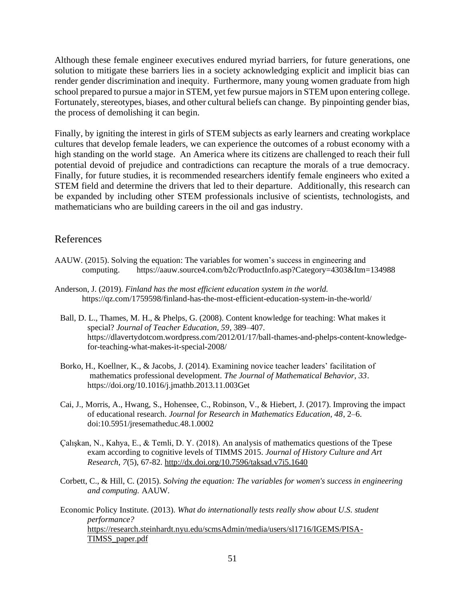Although these female engineer executives endured myriad barriers, for future generations, one solution to mitigate these barriers lies in a society acknowledging explicit and implicit bias can render gender discrimination and inequity. Furthermore, many young women graduate from high school prepared to pursue a major in STEM, yet few pursue majors in STEM upon entering college. Fortunately, stereotypes, biases, and other cultural beliefs can change. By pinpointing gender bias, the process of demolishing it can begin.

Finally, by igniting the interest in girls of STEM subjects as early learners and creating workplace cultures that develop female leaders, we can experience the outcomes of a robust economy with a high standing on the world stage. An America where its citizens are challenged to reach their full potential devoid of prejudice and contradictions can recapture the morals of a true democracy. Finally, for future studies, it is recommended researchers identify female engineers who exited a STEM field and determine the drivers that led to their departure. Additionally, this research can be expanded by including other STEM professionals inclusive of scientists, technologists, and mathematicians who are building careers in the oil and gas industry.

#### References

- AAUW. (2015). Solving the equation: The variables for women's success in engineering and computing. https://aauw.source4.com/b2c/ProductInfo.asp?Category=4303&Itm=134988
- Anderson, J. (2019). *Finland has the most efficient education system in the world.* https://qz.com/1759598/finland-has-the-most-efficient-education-system-in-the-world/
	- Ball, D. L., Thames, M. H., & Phelps, G. (2008). Content knowledge for teaching: What makes it special? *Journal of Teacher Education, 59*, 389–407. [https://dlavertydotcom.wordpress.com/2012/01/17/ball-thames-and-phelps-content-knowledge](https://dlavertydotcom.wordpress.com/2012/01/17/ball-thames-and-phelps-content-knowledge-for-teaching-what-makes-it-special-2008/)[for-teaching-what-makes-it-special-2008/](https://dlavertydotcom.wordpress.com/2012/01/17/ball-thames-and-phelps-content-knowledge-for-teaching-what-makes-it-special-2008/)
	- Borko, H., Koellner, K., & Jacobs, J. (2014). Examining novice teacher leaders' facilitation of mathematics professional development. *The Journal of Mathematical Behavior, 33*. <https://doi.org/10.1016/j.jmathb.2013.11.003>[Get](https://s100.copyright.com/AppDispatchServlet?publisherName=ELS&contentID=S0732312313001004&orderBeanReset=true)
	- Cai, J., Morris, A., Hwang, S., Hohensee, C., Robinson, V., & Hiebert, J. (2017). Improving the impact of educational research. *Journal for Research in Mathematics Education, 48*, 2–6. doi:10.5951/jresematheduc.48.1.0002
	- Çalışkan, N., Kahya, E., & Temli, D. Y. (2018). An analysis of mathematics questions of the Tpese exam according to cognitive levels of TIMMS 2015. *Journal of History Culture and Art Research, 7*(5), 67-82[. http://dx.doi.org/10.7596/taksad.v7i5.1640](http://dx.doi.org/10.7596/taksad.v7i5.1640)
	- Corbett, C., & Hill, C. (2015). *Solving the equation: The variables for women's success in engineering and computing.* AAUW.
	- Economic Policy Institute. (2013). *What do internationally tests really show about U.S. student performance?*  [https://research.steinhardt.nyu.edu/scmsAdmin/media/users/sl1716/IGEMS/PISA-](https://research.steinhardt.nyu.edu/scmsAdmin/media/users/sl1716/IGEMS/PISA-TIMSS_paper.pdf)[TIMSS\\_paper.pdf](https://research.steinhardt.nyu.edu/scmsAdmin/media/users/sl1716/IGEMS/PISA-TIMSS_paper.pdf)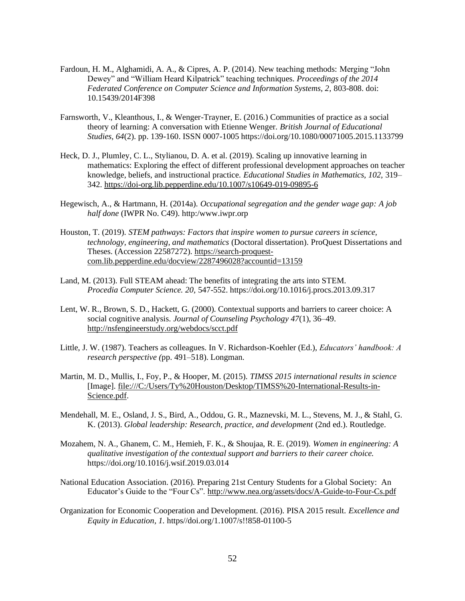- Fardoun, H. M., Alghamidi, A. A., & Cipres, A. P. (2014). New teaching methods: Merging "John Dewey" and "William Heard Kilpatrick" teaching techniques. *Proceedings of the 2014 Federated Conference on Computer Science and Information Systems, 2,* 803-808. doi: 10.15439/2014F398
- Farnsworth, V., Kleanthous, I., & Wenger-Trayner, E. (2016.) Communities of practice as a social theory of learning: A conversation with Etienne Wenger. *British Journal of Educational Studies, 64*(2). pp. 139-160. ISSN 0007-1005 https://doi.org/10.1080/00071005.2015.1133799
- Heck, D. J., Plumley, C. L., Stylianou, D. A. et al. (2019). Scaling up innovative learning in mathematics: Exploring the effect of different professional development approaches on teacher knowledge, beliefs, and instructional practice. *Educational Studies in Mathematics, 102,* 319– 342.<https://doi-org.lib.pepperdine.edu/10.1007/s10649-019-09895-6>
- Hegewisch, A., & Hartmann, H. (2014a). *Occupational segregation and the gender wage gap: A job half done* (IWPR No. C49). http:[/www.iwpr.orp](http://www.iwpr.orp/)
- Houston, T. (2019). *STEM pathways: Factors that inspire women to pursue careers in science, technology, engineering, and mathematics* (Doctoral dissertation). ProQuest Dissertations and Theses. (Accession 22587272). [https://search-proquest](https://search-proquest-com.lib.pepperdine.edu/docview/2287496028?accountid=13159)[com.lib.pepperdine.edu/docview/2287496028?accountid=13159](https://search-proquest-com.lib.pepperdine.edu/docview/2287496028?accountid=13159)
- Land, M. (2013). Full STEAM ahead: The benefits of integrating the arts into STEM. *Procedia Computer Science. 20,* 547-552. <https://doi.org/10.1016/j.procs.2013.09.317>
- Lent, W. R., Brown, S. D., Hackett, G. (2000). Contextual supports and barriers to career choice: A social cognitive analysis. *Journal of Counseling Psychology 47*(1), 36–49. <http://nsfengineerstudy.org/webdocs/scct.pdf>
- Little, J. W. (1987). Teachers as colleagues. In V. Richardson-Koehler (Ed.), *Educators' handbook: A research perspective (*pp. 491–518). Longman.
- Martin, M. D., Mullis, I., Foy, P., & Hooper, M. (2015). *TIMSS 2015 international results in science*  [Image]. [file:///C:/Users/Ty%20Houston/Desktop/TIMSS%20-International-Results-in-](file:///C:/Users/Ty%20Houston/Desktop/TIMSS%20-International-Results-in-Science.pdf)[Science.pdf.](file:///C:/Users/Ty%20Houston/Desktop/TIMSS%20-International-Results-in-Science.pdf)
- Mendehall, M. E., Osland, J. S., Bird, A., Oddou, G. R., Maznevski, M. L., Stevens, M. J., & Stahl, G. K. (2013). *Global leadership: Research, practice, and development* (2nd ed.). Routledge.
- Mozahem, N. A., Ghanem, C. M., Hemieh, F. K., & Shoujaa, R. E. (2019). *Women in engineering: A qualitative investigation of the contextual support and barriers to their career choice.* <https://doi.org/10.1016/j.wsif.2019.03.014>
- National Education Association. (2016). Preparing 21st Century Students for a Global Society: An Educator's Guide to the "Four Cs".<http://www.nea.org/assets/docs/A-Guide-to-Four-Cs.pdf>
- Organization for Economic Cooperation and Development. (2016). PISA 2015 result. *Excellence and Equity in Education, 1.* https//doi.org/1.1007/s!!858-01100-5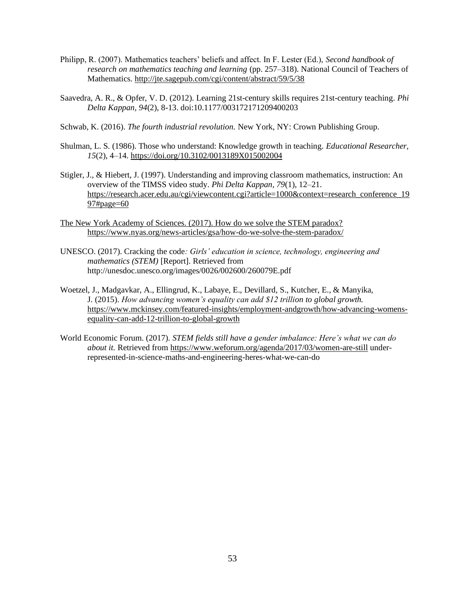- Philipp, R. (2007). Mathematics teachers' beliefs and affect. In F. Lester (Ed.), *Second handbook of research on mathematics teaching and learning* (pp. 257–318). National Council of Teachers of Mathematics.<http://jte.sagepub.com/cgi/content/abstract/59/5/38>
- Saavedra, A. R., & Opfer, V. D. (2012). Learning 21st-century skills requires 21st-century teaching. *Phi Delta Kappan, 94*(2), 8-13. doi:10.1177/003172171209400203
- Schwab, K. (2016). *The fourth industrial revolution.* New York, NY: Crown Publishing Group.
- Shulman, L. S. (1986). Those who understand: Knowledge growth in teaching. *Educational Researcher, 15*(2), 4–14. [https://doi.org/10.3102/0013189X015002004](https://doi.org/10.3102%2F0013189X015002004)
- Stigler, J., & Hiebert, J. (1997). Understanding and improving classroom mathematics, instruction: An overview of the TIMSS video study. *Phi Delta Kappan, 79*(1), 12–21. [https://research.acer.edu.au/cgi/viewcontent.cgi?article=1000&context=research\\_conference\\_19](https://research.acer.edu.au/cgi/viewcontent.cgi?article=1000&context=research_conference_1997#page=60) [97#page=60](https://research.acer.edu.au/cgi/viewcontent.cgi?article=1000&context=research_conference_1997#page=60)
- The New York Academy of Sciences. (2017). How do we solve the STEM paradox? <https://www.nyas.org/news-articles/gsa/how-do-we-solve-the-stem-paradox/>
- UNESCO. (2017). Cracking the code*: Girls' education in science, technology, engineering and mathematics (STEM)* [Report]. Retrieved from http://unesdoc.unesco.org/images/0026/002600/260079E.pdf
- Woetzel, J., Madgavkar, A., Ellingrud, K., Labaye, E., Devillard, S., Kutcher, E., & Manyika, J. (2015). *How advancing women's equality can add \$12 trillion to global growth.* [https://www.mckinsey.com/featured-insights/employment-andgrowth/how-advancing-womens](https://www.mckinsey.com/featured-insights/employment-andgrowth/how-advancing-womens-equality-can-add-12-trillion-to-global-growth)[equality-can-add-12-trillion-to-global-growth](https://www.mckinsey.com/featured-insights/employment-andgrowth/how-advancing-womens-equality-can-add-12-trillion-to-global-growth)
- World Economic Forum. (2017). *STEM fields still have a gender imbalance: Here's what we can do about it.* Retrieved from<https://www.weforum.org/agenda/2017/03/women-are-still> underrepresented-in-science-maths-and-engineering-heres-what-we-can-do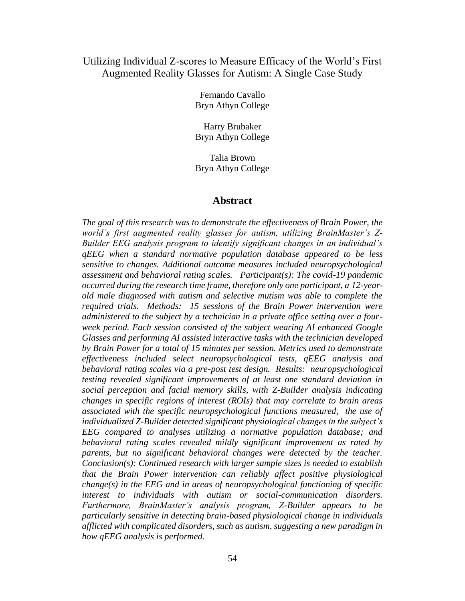#### Utilizing Individual Z-scores to Measure Efficacy of the World's First Augmented Reality Glasses for Autism: A Single Case Study

Fernando Cavallo Bryn Athyn College

Harry Brubaker Bryn Athyn College

Talia Brown Bryn Athyn College

#### **Abstract**

*The goal of this research was to demonstrate the effectiveness of Brain Power, the world's first augmented reality glasses for autism, utilizing BrainMaster's Z-Builder EEG analysis program to identify significant changes in an individual's qEEG when a standard normative population database appeared to be less sensitive to changes. Additional outcome measures included neuropsychological assessment and behavioral rating scales. Participant(s): The covid-19 pandemic occurred during the research time frame, therefore only one participant, a 12-yearold male diagnosed with autism and selective mutism was able to complete the required trials. Methods: 15 sessions of the Brain Power intervention were administered to the subject by a technician in a private office setting over a fourweek period. Each session consisted of the subject wearing AI enhanced Google Glasses and performing AI assisted interactive tasks with the technician developed by Brain Power for a total of 15 minutes per session. Metrics used to demonstrate effectiveness included select neuropsychological tests, qEEG analysis and behavioral rating scales via a pre-post test design. Results: neuropsychological testing revealed significant improvements of at least one standard deviation in social perception and facial memory skills, with Z-Builder analysis indicating changes in specific regions of interest (ROIs) that may correlate to brain areas associated with the specific neuropsychological functions measured, the use of individualized Z-Builder detected significant physiological changes in the subject's EEG compared to analyses utilizing a normative population database; and behavioral rating scales revealed mildly significant improvement as rated by parents, but no significant behavioral changes were detected by the teacher. Conclusion(s): Continued research with larger sample sizes is needed to establish that the Brain Power intervention can reliably affect positive physiological change(s) in the EEG and in areas of neuropsychological functioning of specific interest to individuals with autism or social-communication disorders. Furthermore, BrainMaster's analysis program, Z-Builder appears to be particularly sensitive in detecting brain-based physiological change in individuals afflicted with complicated disorders, such as autism, suggesting a new paradigm in how qEEG analysis is performed.*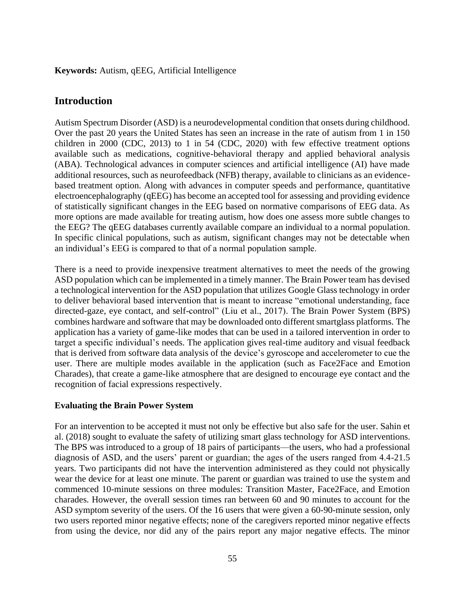#### **Keywords:** Autism, qEEG, Artificial Intelligence

#### **Introduction**

Autism Spectrum Disorder (ASD) is a neurodevelopmental condition that onsets during childhood. Over the past 20 years the United States has seen an increase in the rate of autism from 1 in 150 children in 2000 (CDC, 2013) to 1 in 54 (CDC, 2020) with few effective treatment options available such as medications, cognitive-behavioral therapy and applied behavioral analysis (ABA). Technological advances in computer sciences and artificial intelligence (AI) have made additional resources, such as neurofeedback (NFB) therapy, available to clinicians as an evidencebased treatment option. Along with advances in computer speeds and performance, quantitative electroencephalography (qEEG) has become an accepted tool for assessing and providing evidence of statistically significant changes in the EEG based on normative comparisons of EEG data. As more options are made available for treating autism, how does one assess more subtle changes to the EEG? The qEEG databases currently available compare an individual to a normal population. In specific clinical populations, such as autism, significant changes may not be detectable when an individual's EEG is compared to that of a normal population sample.

There is a need to provide inexpensive treatment alternatives to meet the needs of the growing ASD population which can be implemented in a timely manner. The Brain Power team has devised a technological intervention for the ASD population that utilizes Google Glass technology in order to deliver behavioral based intervention that is meant to increase "emotional understanding, face directed-gaze, eye contact, and self-control" (Liu et al., 2017). The Brain Power System (BPS) combines hardware and software that may be downloaded onto different smartglass platforms. The application has a variety of game-like modes that can be used in a tailored intervention in order to target a specific individual's needs. The application gives real-time auditory and visual feedback that is derived from software data analysis of the device's gyroscope and accelerometer to cue the user. There are multiple modes available in the application (such as Face2Face and Emotion Charades), that create a game-like atmosphere that are designed to encourage eye contact and the recognition of facial expressions respectively.

#### **Evaluating the Brain Power System**

For an intervention to be accepted it must not only be effective but also safe for the user. Sahin et al. (2018) sought to evaluate the safety of utilizing smart glass technology for ASD interventions. The BPS was introduced to a group of 18 pairs of participants—the users, who had a professional diagnosis of ASD, and the users' parent or guardian; the ages of the users ranged from 4.4-21.5 years. Two participants did not have the intervention administered as they could not physically wear the device for at least one minute. The parent or guardian was trained to use the system and commenced 10-minute sessions on three modules: Transition Master, Face2Face, and Emotion charades. However, the overall session times ran between 60 and 90 minutes to account for the ASD symptom severity of the users. Of the 16 users that were given a 60-90-minute session, only two users reported minor negative effects; none of the caregivers reported minor negative effects from using the device, nor did any of the pairs report any major negative effects. The minor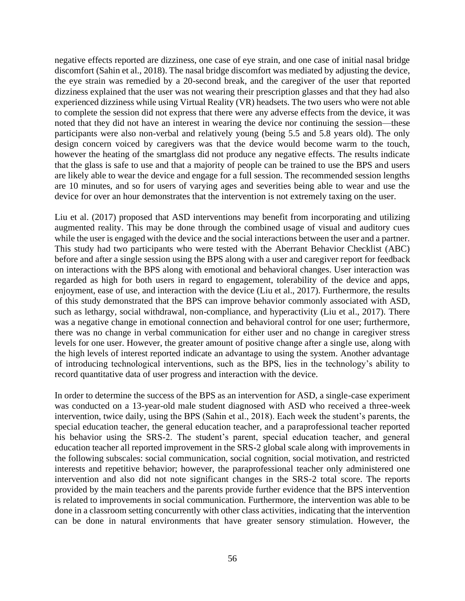negative effects reported are dizziness, one case of eye strain, and one case of initial nasal bridge discomfort (Sahin et al., 2018). The nasal bridge discomfort was mediated by adjusting the device, the eye strain was remedied by a 20-second break, and the caregiver of the user that reported dizziness explained that the user was not wearing their prescription glasses and that they had also experienced dizziness while using Virtual Reality (VR) headsets. The two users who were not able to complete the session did not express that there were any adverse effects from the device, it was noted that they did not have an interest in wearing the device nor continuing the session—these participants were also non-verbal and relatively young (being 5.5 and 5.8 years old). The only design concern voiced by caregivers was that the device would become warm to the touch, however the heating of the smartglass did not produce any negative effects. The results indicate that the glass is safe to use and that a majority of people can be trained to use the BPS and users are likely able to wear the device and engage for a full session. The recommended session lengths are 10 minutes, and so for users of varying ages and severities being able to wear and use the device for over an hour demonstrates that the intervention is not extremely taxing on the user.

Liu et al. (2017) proposed that ASD interventions may benefit from incorporating and utilizing augmented reality. This may be done through the combined usage of visual and auditory cues while the user is engaged with the device and the social interactions between the user and a partner. This study had two participants who were tested with the Aberrant Behavior Checklist (ABC) before and after a single session using the BPS along with a user and caregiver report for feedback on interactions with the BPS along with emotional and behavioral changes. User interaction was regarded as high for both users in regard to engagement, tolerability of the device and apps, enjoyment, ease of use, and interaction with the device (Liu et al., 2017). Furthermore, the results of this study demonstrated that the BPS can improve behavior commonly associated with ASD, such as lethargy, social withdrawal, non-compliance, and hyperactivity (Liu et al., 2017). There was a negative change in emotional connection and behavioral control for one user; furthermore, there was no change in verbal communication for either user and no change in caregiver stress levels for one user. However, the greater amount of positive change after a single use, along with the high levels of interest reported indicate an advantage to using the system. Another advantage of introducing technological interventions, such as the BPS, lies in the technology's ability to record quantitative data of user progress and interaction with the device.

In order to determine the success of the BPS as an intervention for ASD, a single-case experiment was conducted on a 13-year-old male student diagnosed with ASD who received a three-week intervention, twice daily, using the BPS (Sahin et al., 2018). Each week the student's parents, the special education teacher, the general education teacher, and a paraprofessional teacher reported his behavior using the SRS-2. The student's parent, special education teacher, and general education teacher all reported improvement in the SRS-2 global scale along with improvements in the following subscales: social communication, social cognition, social motivation, and restricted interests and repetitive behavior; however, the paraprofessional teacher only administered one intervention and also did not note significant changes in the SRS-2 total score. The reports provided by the main teachers and the parents provide further evidence that the BPS intervention is related to improvements in social communication. Furthermore, the intervention was able to be done in a classroom setting concurrently with other class activities, indicating that the intervention can be done in natural environments that have greater sensory stimulation. However, the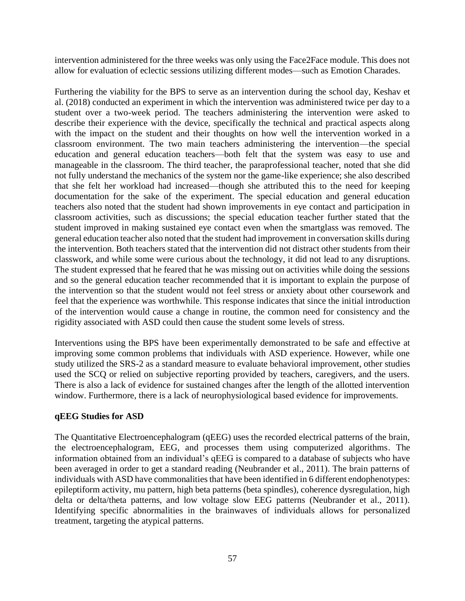intervention administered for the three weeks was only using the Face2Face module. This does not allow for evaluation of eclectic sessions utilizing different modes—such as Emotion Charades.

Furthering the viability for the BPS to serve as an intervention during the school day, Keshav et al. (2018) conducted an experiment in which the intervention was administered twice per day to a student over a two-week period. The teachers administering the intervention were asked to describe their experience with the device, specifically the technical and practical aspects along with the impact on the student and their thoughts on how well the intervention worked in a classroom environment. The two main teachers administering the intervention—the special education and general education teachers—both felt that the system was easy to use and manageable in the classroom. The third teacher, the paraprofessional teacher, noted that she did not fully understand the mechanics of the system nor the game-like experience; she also described that she felt her workload had increased—though she attributed this to the need for keeping documentation for the sake of the experiment. The special education and general education teachers also noted that the student had shown improvements in eye contact and participation in classroom activities, such as discussions; the special education teacher further stated that the student improved in making sustained eye contact even when the smartglass was removed. The general education teacher also noted that the student had improvement in conversation skills during the intervention. Both teachers stated that the intervention did not distract other students from their classwork, and while some were curious about the technology, it did not lead to any disruptions. The student expressed that he feared that he was missing out on activities while doing the sessions and so the general education teacher recommended that it is important to explain the purpose of the intervention so that the student would not feel stress or anxiety about other coursework and feel that the experience was worthwhile. This response indicates that since the initial introduction of the intervention would cause a change in routine, the common need for consistency and the rigidity associated with ASD could then cause the student some levels of stress.

Interventions using the BPS have been experimentally demonstrated to be safe and effective at improving some common problems that individuals with ASD experience. However, while one study utilized the SRS-2 as a standard measure to evaluate behavioral improvement, other studies used the SCQ or relied on subjective reporting provided by teachers, caregivers, and the users. There is also a lack of evidence for sustained changes after the length of the allotted intervention window. Furthermore, there is a lack of neurophysiological based evidence for improvements.

#### **qEEG Studies for ASD**

The Quantitative Electroencephalogram (qEEG) uses the recorded electrical patterns of the brain, the electroencephalogram, EEG, and processes them using computerized algorithms. The information obtained from an individual's qEEG is compared to a database of subjects who have been averaged in order to get a standard reading (Neubrander et al., 2011). The brain patterns of individuals with ASD have commonalities that have been identified in 6 different endophenotypes: epileptiform activity, mu pattern, high beta patterns (beta spindles), coherence dysregulation, high delta or delta/theta patterns, and low voltage slow EEG patterns (Neubrander et al., 2011). Identifying specific abnormalities in the brainwaves of individuals allows for personalized treatment, targeting the atypical patterns.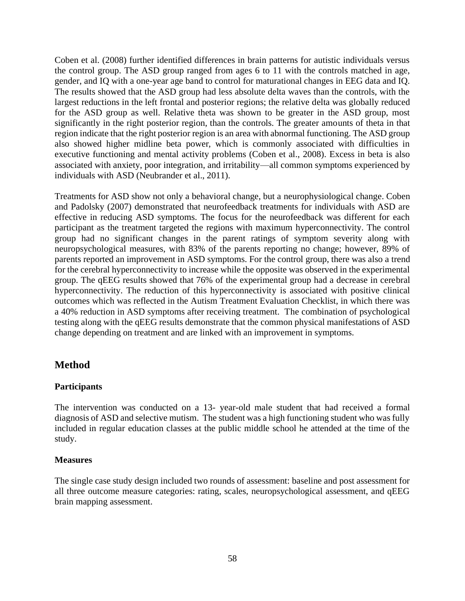Coben et al. (2008) further identified differences in brain patterns for autistic individuals versus the control group. The ASD group ranged from ages 6 to 11 with the controls matched in age, gender, and IQ with a one-year age band to control for maturational changes in EEG data and IQ. The results showed that the ASD group had less absolute delta waves than the controls, with the largest reductions in the left frontal and posterior regions; the relative delta was globally reduced for the ASD group as well. Relative theta was shown to be greater in the ASD group, most significantly in the right posterior region, than the controls. The greater amounts of theta in that region indicate that the right posterior region is an area with abnormal functioning. The ASD group also showed higher midline beta power, which is commonly associated with difficulties in executive functioning and mental activity problems (Coben et al., 2008). Excess in beta is also associated with anxiety, poor integration, and irritability—all common symptoms experienced by individuals with ASD (Neubrander et al., 2011).

Treatments for ASD show not only a behavioral change, but a neurophysiological change. Coben and Padolsky (2007) demonstrated that neurofeedback treatments for individuals with ASD are effective in reducing ASD symptoms. The focus for the neurofeedback was different for each participant as the treatment targeted the regions with maximum hyperconnectivity. The control group had no significant changes in the parent ratings of symptom severity along with neuropsychological measures, with 83% of the parents reporting no change; however, 89% of parents reported an improvement in ASD symptoms. For the control group, there was also a trend for the cerebral hyperconnectivity to increase while the opposite was observed in the experimental group. The qEEG results showed that 76% of the experimental group had a decrease in cerebral hyperconnectivity. The reduction of this hyperconnectivity is associated with positive clinical outcomes which was reflected in the Autism Treatment Evaluation Checklist, in which there was a 40% reduction in ASD symptoms after receiving treatment. The combination of psychological testing along with the qEEG results demonstrate that the common physical manifestations of ASD change depending on treatment and are linked with an improvement in symptoms.

#### **Method**

#### **Participants**

The intervention was conducted on a 13- year-old male student that had received a formal diagnosis of ASD and selective mutism. The student was a high functioning student who was fully included in regular education classes at the public middle school he attended at the time of the study.

#### **Measures**

The single case study design included two rounds of assessment: baseline and post assessment for all three outcome measure categories: rating, scales, neuropsychological assessment, and qEEG brain mapping assessment.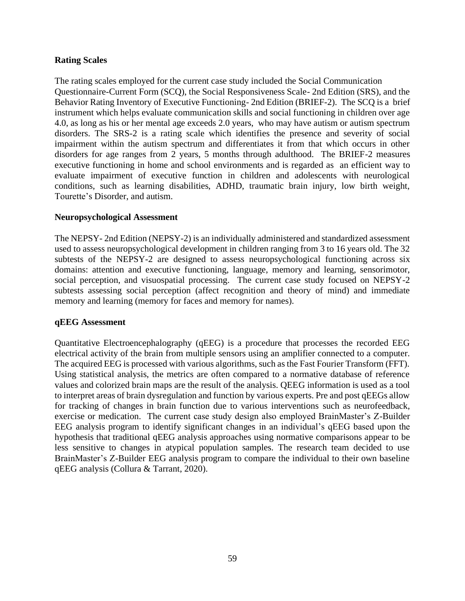#### **Rating Scales**

The rating scales employed for the current case study included the Social Communication Questionnaire-Current Form (SCQ), the Social Responsiveness Scale- 2nd Edition (SRS), and the Behavior Rating Inventory of Executive Functioning- 2nd Edition (BRIEF-2). The SCQ is a brief instrument which helps evaluate communication skills and social functioning in children over age 4.0, as long as his or her mental age exceeds 2.0 years, who may have autism or autism spectrum disorders. The SRS-2 is a rating scale which identifies the presence and severity of social impairment within the autism spectrum and differentiates it from that which occurs in other disorders for age ranges from 2 years, 5 months through adulthood. The BRIEF-2 measures executive functioning in home and school environments and is regarded as an efficient way to evaluate impairment of executive function in children and adolescents with neurological conditions, such as learning disabilities, ADHD, traumatic brain injury, low birth weight, Tourette's Disorder, and autism.

#### **Neuropsychological Assessment**

The NEPSY- 2nd Edition (NEPSY-2) is an individually administered and standardized assessment used to assess neuropsychological development in children ranging from 3 to 16 years old. The 32 subtests of the NEPSY-2 are designed to assess neuropsychological functioning across six domains: attention and executive functioning, language, memory and learning, sensorimotor, social perception, and visuospatial processing. The current case study focused on NEPSY-2 subtests assessing social perception (affect recognition and theory of mind) and immediate memory and learning (memory for faces and memory for names).

#### **qEEG Assessment**

Quantitative Electroencephalography (qEEG) is a procedure that processes the recorded EEG electrical activity of the brain from multiple sensors using an amplifier connected to a computer. The acquired EEG is processed with various algorithms, such as the Fast Fourier Transform (FFT). Using statistical analysis, the metrics are often compared to a normative database of reference values and colorized brain maps are the result of the analysis. QEEG information is used as a tool to interpret areas of brain dysregulation and function by various experts. Pre and post qEEGs allow for tracking of changes in brain function due to various interventions such as neurofeedback, exercise or medication. The current case study design also employed BrainMaster's Z-Builder EEG analysis program to identify significant changes in an individual's qEEG based upon the hypothesis that traditional qEEG analysis approaches using normative comparisons appear to be less sensitive to changes in atypical population samples. The research team decided to use BrainMaster's Z-Builder EEG analysis program to compare the individual to their own baseline qEEG analysis (Collura & Tarrant, 2020).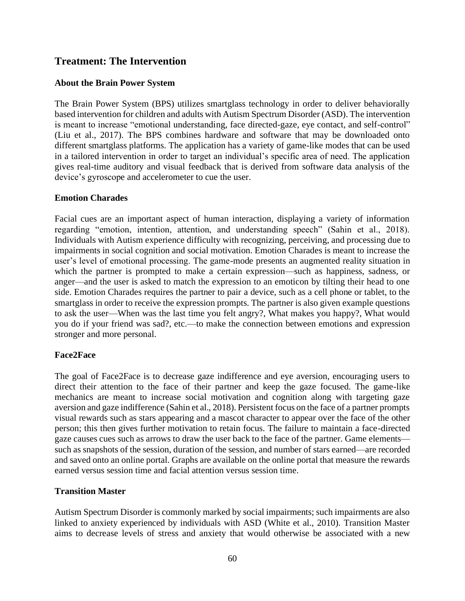### **Treatment: The Intervention**

#### **About the Brain Power System**

The Brain Power System (BPS) utilizes smartglass technology in order to deliver behaviorally based intervention for children and adults with Autism Spectrum Disorder (ASD). The intervention is meant to increase "emotional understanding, face directed-gaze, eye contact, and self-control" (Liu et al., 2017). The BPS combines hardware and software that may be downloaded onto different smartglass platforms. The application has a variety of game-like modes that can be used in a tailored intervention in order to target an individual's specific area of need. The application gives real-time auditory and visual feedback that is derived from software data analysis of the device's gyroscope and accelerometer to cue the user.

#### **Emotion Charades**

Facial cues are an important aspect of human interaction, displaying a variety of information regarding "emotion, intention, attention, and understanding speech" (Sahin et al., 2018). Individuals with Autism experience difficulty with recognizing, perceiving, and processing due to impairments in social cognition and social motivation. Emotion Charades is meant to increase the user's level of emotional processing. The game-mode presents an augmented reality situation in which the partner is prompted to make a certain expression—such as happiness, sadness, or anger—and the user is asked to match the expression to an emoticon by tilting their head to one side. Emotion Charades requires the partner to pair a device, such as a cell phone or tablet, to the smartglass in order to receive the expression prompts. The partner is also given example questions to ask the user—When was the last time you felt angry?, What makes you happy?, What would you do if your friend was sad?, etc.—to make the connection between emotions and expression stronger and more personal.

#### **Face2Face**

The goal of Face2Face is to decrease gaze indifference and eye aversion, encouraging users to direct their attention to the face of their partner and keep the gaze focused. The game-like mechanics are meant to increase social motivation and cognition along with targeting gaze aversion and gaze indifference (Sahin et al., 2018). Persistent focus on the face of a partner prompts visual rewards such as stars appearing and a mascot character to appear over the face of the other person; this then gives further motivation to retain focus. The failure to maintain a face-directed gaze causes cues such as arrows to draw the user back to the face of the partner. Game elements such as snapshots of the session, duration of the session, and number of stars earned—are recorded and saved onto an online portal. Graphs are available on the online portal that measure the rewards earned versus session time and facial attention versus session time.

#### **Transition Master**

Autism Spectrum Disorder is commonly marked by social impairments; such impairments are also linked to anxiety experienced by individuals with ASD (White et al., 2010). Transition Master aims to decrease levels of stress and anxiety that would otherwise be associated with a new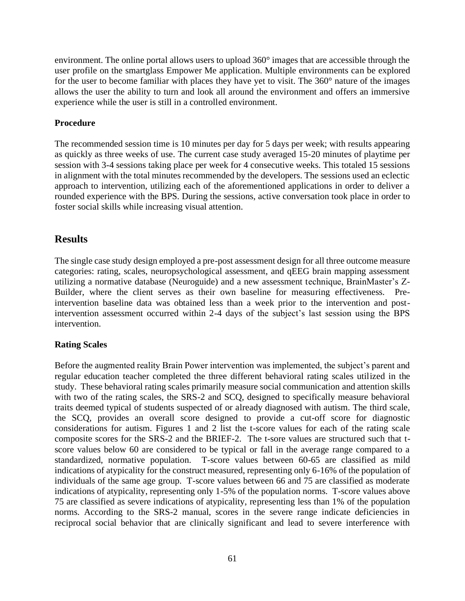environment. The online portal allows users to upload 360° images that are accessible through the user profile on the smartglass Empower Me application. Multiple environments can be explored for the user to become familiar with places they have yet to visit. The 360° nature of the images allows the user the ability to turn and look all around the environment and offers an immersive experience while the user is still in a controlled environment.

#### **Procedure**

The recommended session time is 10 minutes per day for 5 days per week; with results appearing as quickly as three weeks of use. The current case study averaged 15-20 minutes of playtime per session with 3-4 sessions taking place per week for 4 consecutive weeks. This totaled 15 sessions in alignment with the total minutes recommended by the developers. The sessions used an eclectic approach to intervention, utilizing each of the aforementioned applications in order to deliver a rounded experience with the BPS. During the sessions, active conversation took place in order to foster social skills while increasing visual attention.

#### **Results**

The single case study design employed a pre-post assessment design for all three outcome measure categories: rating, scales, neuropsychological assessment, and qEEG brain mapping assessment utilizing a normative database (Neuroguide) and a new assessment technique, BrainMaster's Z-Builder, where the client serves as their own baseline for measuring effectiveness. Preintervention baseline data was obtained less than a week prior to the intervention and postintervention assessment occurred within 2-4 days of the subject's last session using the BPS intervention.

#### **Rating Scales**

Before the augmented reality Brain Power intervention was implemented, the subject's parent and regular education teacher completed the three different behavioral rating scales utilized in the study. These behavioral rating scales primarily measure social communication and attention skills with two of the rating scales, the SRS-2 and SCQ, designed to specifically measure behavioral traits deemed typical of students suspected of or already diagnosed with autism. The third scale, the SCQ, provides an overall score designed to provide a cut-off score for diagnostic considerations for autism. Figures 1 and 2 list the t-score values for each of the rating scale composite scores for the SRS-2 and the BRIEF-2. The t-sore values are structured such that tscore values below 60 are considered to be typical or fall in the average range compared to a standardized, normative population. T-score values between 60-65 are classified as mild indications of atypicality for the construct measured, representing only 6-16% of the population of individuals of the same age group. T-score values between 66 and 75 are classified as moderate indications of atypicality, representing only 1-5% of the population norms. T-score values above 75 are classified as severe indications of atypicality, representing less than 1% of the population norms. According to the SRS-2 manual, scores in the severe range indicate deficiencies in reciprocal social behavior that are clinically significant and lead to severe interference with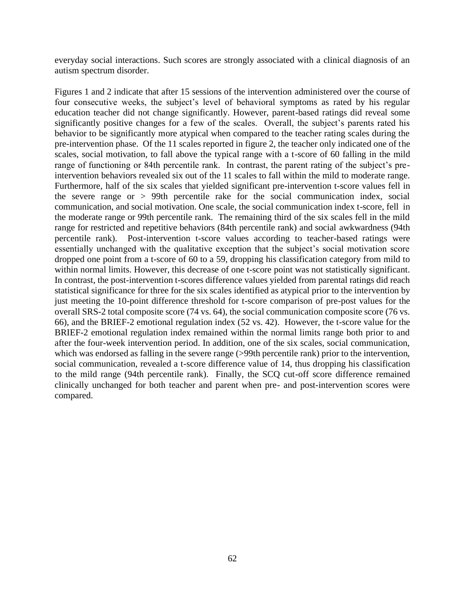everyday social interactions. Such scores are strongly associated with a clinical diagnosis of an autism spectrum disorder.

Figures 1 and 2 indicate that after 15 sessions of the intervention administered over the course of four consecutive weeks, the subject's level of behavioral symptoms as rated by his regular education teacher did not change significantly. However, parent-based ratings did reveal some significantly positive changes for a few of the scales. Overall, the subject's parents rated his behavior to be significantly more atypical when compared to the teacher rating scales during the pre-intervention phase. Of the 11 scales reported in figure 2, the teacher only indicated one of the scales, social motivation, to fall above the typical range with a t-score of 60 falling in the mild range of functioning or 84th percentile rank. In contrast, the parent rating of the subject's preintervention behaviors revealed six out of the 11 scales to fall within the mild to moderate range. Furthermore, half of the six scales that yielded significant pre-intervention t-score values fell in the severe range or > 99th percentile rake for the social communication index, social communication, and social motivation. One scale, the social communication index t-score, fell in the moderate range or 99th percentile rank. The remaining third of the six scales fell in the mild range for restricted and repetitive behaviors (84th percentile rank) and social awkwardness (94th percentile rank). Post-intervention t-score values according to teacher-based ratings were essentially unchanged with the qualitative exception that the subject's social motivation score dropped one point from a t-score of 60 to a 59, dropping his classification category from mild to within normal limits. However, this decrease of one t-score point was not statistically significant. In contrast, the post-intervention t-scores difference values yielded from parental ratings did reach statistical significance for three for the six scales identified as atypical prior to the intervention by just meeting the 10-point difference threshold for t-score comparison of pre-post values for the overall SRS-2 total composite score (74 vs. 64), the social communication composite score (76 vs. 66), and the BRIEF-2 emotional regulation index (52 vs. 42). However, the t-score value for the BRIEF-2 emotional regulation index remained within the normal limits range both prior to and after the four-week intervention period. In addition, one of the six scales, social communication, which was endorsed as falling in the severe range (>99th percentile rank) prior to the intervention, social communication, revealed a t-score difference value of 14, thus dropping his classification to the mild range (94th percentile rank). Finally, the SCQ cut-off score difference remained clinically unchanged for both teacher and parent when pre- and post-intervention scores were compared.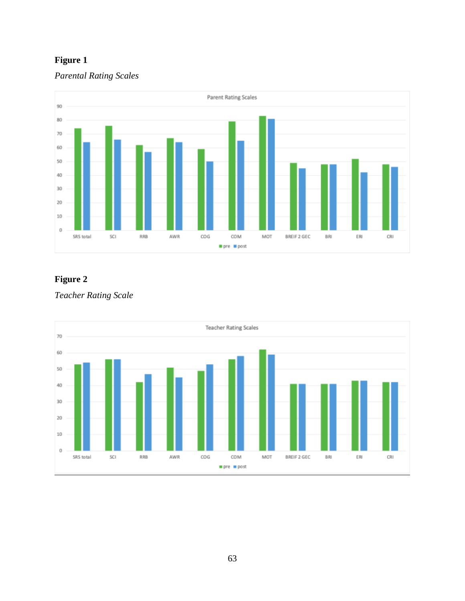### **Figure 1**

#### *Parental Rating Scales*



### **Figure 2**

*Teacher Rating Scale*

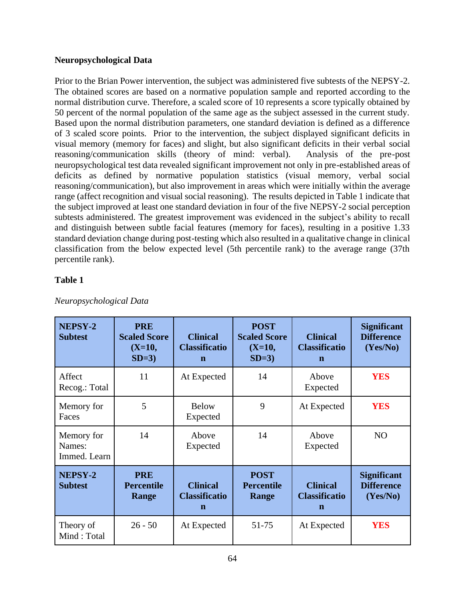#### **Neuropsychological Data**

Prior to the Brian Power intervention, the subject was administered five subtests of the NEPSY-2. The obtained scores are based on a normative population sample and reported according to the normal distribution curve. Therefore, a scaled score of 10 represents a score typically obtained by 50 percent of the normal population of the same age as the subject assessed in the current study. Based upon the normal distribution parameters, one standard deviation is defined as a difference of 3 scaled score points. Prior to the intervention, the subject displayed significant deficits in visual memory (memory for faces) and slight, but also significant deficits in their verbal social reasoning/communication skills (theory of mind: verbal). Analysis of the pre-post neuropsychological test data revealed significant improvement not only in pre-established areas of deficits as defined by normative population statistics (visual memory, verbal social reasoning/communication), but also improvement in areas which were initially within the average range (affect recognition and visual social reasoning). The results depicted in Table 1 indicate that the subject improved at least one standard deviation in four of the five NEPSY-2 social perception subtests administered. The greatest improvement was evidenced in the subject's ability to recall and distinguish between subtle facial features (memory for faces), resulting in a positive 1.33 standard deviation change during post-testing which also resulted in a qualitative change in clinical classification from the below expected level (5th percentile rank) to the average range (37th percentile rank).

#### **Table 1**

| NEPSY-2<br><b>Subtest</b>            | <b>PRE</b><br><b>Scaled Score</b><br>$(X=10,$<br>$SD=3$ | <b>Clinical</b><br><b>Classificatio</b><br>n | <b>POST</b><br><b>Scaled Score</b><br>$(X=10,$<br>$SD=3$ | <b>Clinical</b><br><b>Classificatio</b><br>$\mathbf n$ | <b>Significant</b><br><b>Difference</b><br>(Yes/No) |
|--------------------------------------|---------------------------------------------------------|----------------------------------------------|----------------------------------------------------------|--------------------------------------------------------|-----------------------------------------------------|
| Affect<br>Recog.: Total              | 11                                                      | At Expected                                  | 14                                                       | Above<br>Expected                                      | <b>YES</b>                                          |
| Memory for<br>Faces                  | 5                                                       | <b>Below</b><br>Expected                     | 9                                                        | At Expected                                            | <b>YES</b>                                          |
| Memory for<br>Names:<br>Immed. Learn | 14                                                      | Above<br>Expected                            | 14                                                       | Above<br>Expected                                      | N <sub>O</sub>                                      |
| NEPSY-2<br><b>Subtest</b>            | <b>PRE</b><br><b>Percentile</b><br>Range                | <b>Clinical</b><br><b>Classificatio</b><br>n | <b>POST</b><br><b>Percentile</b><br>Range                | <b>Clinical</b><br><b>Classificatio</b><br>$\mathbf n$ | <b>Significant</b><br><b>Difference</b><br>(Yes/No) |
| Theory of<br>Mind: Total             | $26 - 50$                                               | At Expected                                  | 51-75                                                    | At Expected                                            | <b>YES</b>                                          |

#### *Neuropsychological Data*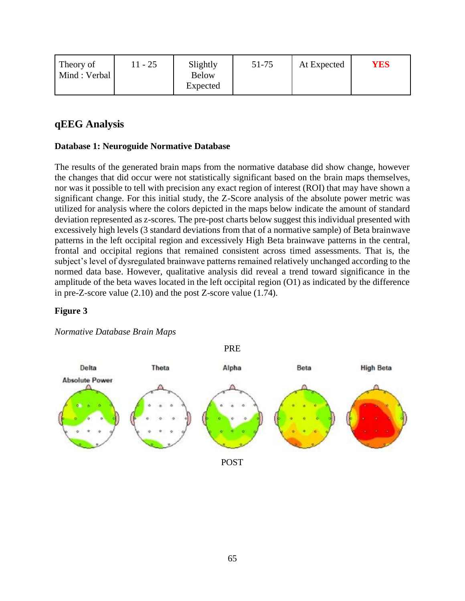| Theory of<br>Mind : Verbal | $1 - 25$ | Slightly<br><b>Below</b><br>Expected | 51-75 | At Expected | <b>YES</b> |
|----------------------------|----------|--------------------------------------|-------|-------------|------------|
|----------------------------|----------|--------------------------------------|-------|-------------|------------|

### **qEEG Analysis**

#### **Database 1: Neuroguide Normative Database**

The results of the generated brain maps from the normative database did show change, however the changes that did occur were not statistically significant based on the brain maps themselves, nor was it possible to tell with precision any exact region of interest (ROI) that may have shown a significant change. For this initial study, the Z-Score analysis of the absolute power metric was utilized for analysis where the colors depicted in the maps below indicate the amount of standard deviation represented as z-scores. The pre-post charts below suggest this individual presented with excessively high levels (3 standard deviations from that of a normative sample) of Beta brainwave patterns in the left occipital region and excessively High Beta brainwave patterns in the central, frontal and occipital regions that remained consistent across timed assessments. That is, the subject's level of dysregulated brainwave patterns remained relatively unchanged according to the normed data base. However, qualitative analysis did reveal a trend toward significance in the amplitude of the beta waves located in the left occipital region (O1) as indicated by the difference in pre-Z-score value (2.10) and the post Z-score value (1.74).

#### **Figure 3**

#### *Normative Database Brain Maps*



POST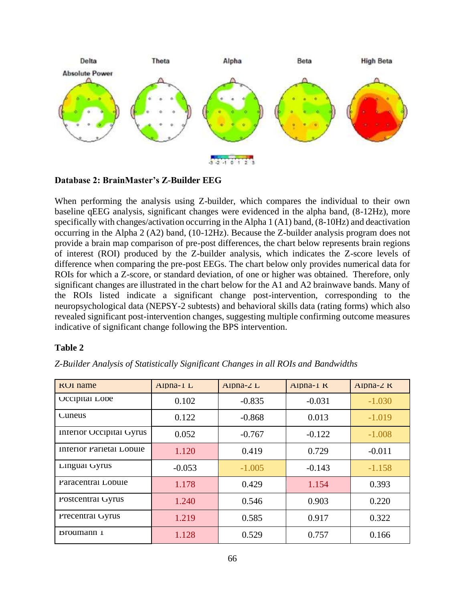

**Database 2: BrainMaster's Z-Builder EEG**

When performing the analysis using Z-builder, which compares the individual to their own baseline qEEG analysis, significant changes were evidenced in the alpha band, (8-12Hz), more specifically with changes/activation occurring in the Alpha 1 (A1) band, (8-10Hz) and deactivation occurring in the Alpha 2 (A2) band, (10-12Hz). Because the Z-builder analysis program does not provide a brain map comparison of pre-post differences, the chart below represents brain regions of interest (ROI) produced by the Z-builder analysis, which indicates the Z-score levels of difference when comparing the pre-post EEGs. The chart below only provides numerical data for ROIs for which a Z-score, or standard deviation, of one or higher was obtained. Therefore, only significant changes are illustrated in the chart below for the A1 and A2 brainwave bands. Many of the ROIs listed indicate a significant change post-intervention, corresponding to the neuropsychological data (NEPSY-2 subtests) and behavioral skills data (rating forms) which also revealed significant post-intervention changes, suggesting multiple confirming outcome measures indicative of significant change following the BPS intervention.

#### **Table 2**

|  |  | Z-Builder Analysis of Statistically Significant Changes in all ROIs and Bandwidths |  |  |  |  |
|--|--|------------------------------------------------------------------------------------|--|--|--|--|
|--|--|------------------------------------------------------------------------------------|--|--|--|--|

| <b>KUI name</b>          | $Alpha-I$ $L$ | Alpha- $\angle$ L | $Alpna-1$ K | Alpha- $\angle$ K |
|--------------------------|---------------|-------------------|-------------|-------------------|
| Occipital Lobe           | 0.102         | $-0.835$          | $-0.031$    | $-1.030$          |
| Cuneus                   | 0.122         | $-0.868$          | 0.013       | $-1.019$          |
| Interior Occipital Gyrus | 0.052         | $-0.767$          | $-0.122$    | $-1.008$          |
| Interior Parietal Lobule | 1.120         | 0.419             | 0.729       | $-0.011$          |
| Lingual Gyrus            | $-0.053$      | $-1.005$          | $-0.143$    | $-1.158$          |
| Paracentral Lobule       | 1.178         | 0.429             | 1.154       | 0.393             |
| Postcentral Gyrus        | 1.240         | 0.546             | 0.903       | 0.220             |
| Precentral Gyrus         | 1.219         | 0.585             | 0.917       | 0.322             |
| Brodmann 1               | 1.128         | 0.529             | 0.757       | 0.166             |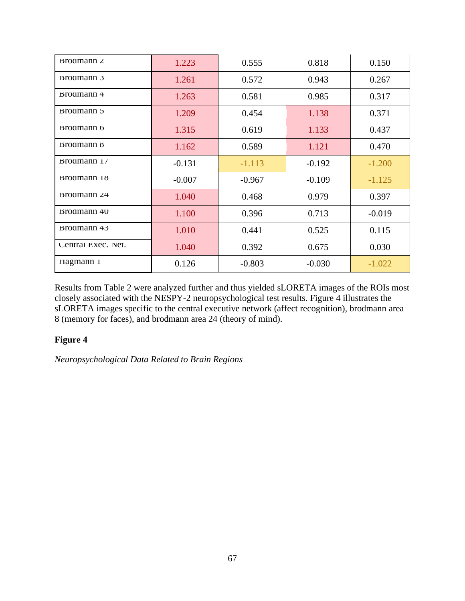| $B_{\text{roamann } 2}$ | 1.223    | 0.555    | 0.818    | 0.150    |
|-------------------------|----------|----------|----------|----------|
| $B_{\rm rodmann}$ 3     | 1.261    | 0.572    | 0.943    | 0.267    |
| $B_{\text{roamann}}$ 4  | 1.263    | 0.581    | 0.985    | 0.317    |
| Brodmann 5              | 1.209    | 0.454    | 1.138    | 0.371    |
| <b>Broamann</b> b       | 1.315    | 0.619    | 1.133    | 0.437    |
| <b>Brodmann</b> 8       | 1.162    | 0.589    | 1.121    | 0.470    |
| Brodmann 1/             | $-0.131$ | $-1.113$ | $-0.192$ | $-1.200$ |
| Broamann 18             | $-0.007$ | $-0.967$ | $-0.109$ | $-1.125$ |
| Brodmann $24$           | 1.040    | 0.468    | 0.979    | 0.397    |
| <b>Brodmann</b> 40      | 1.100    | 0.396    | 0.713    | $-0.019$ |
| $B_{\text{rodmann}}$ 43 | 1.010    | 0.441    | 0.525    | 0.115    |
| Central Exec. Net.      | 1.040    | 0.392    | 0.675    | 0.030    |
| Hagmann 1               | 0.126    | $-0.803$ | $-0.030$ | $-1.022$ |

Results from Table 2 were analyzed further and thus yielded sLORETA images of the ROIs most closely associated with the NESPY-2 neuropsychological test results. Figure 4 illustrates the sLORETA images specific to the central executive network (affect recognition), brodmann area 8 (memory for faces), and brodmann area 24 (theory of mind).

#### **Figure 4**

*Neuropsychological Data Related to Brain Regions*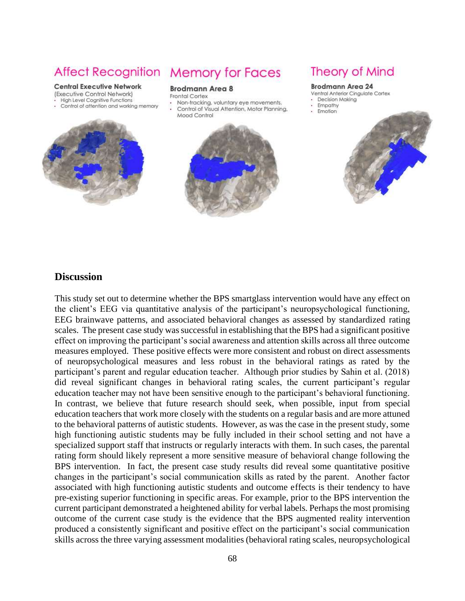#### **Central Executive Network**

- (Executive Control Network)
- High Level Cognitive Functions
- Control of attention and working memory



# **Affect Recognition Memory for Faces**

#### **Brodmann Area 8**

- Frontal Cortex
- Non-tracking, voluntary eve movements. Control of Visual Attention, Motor Planning,
- Mood Control



## **Theory of Mind**

#### **Brodmann Area 24**

- Ventral Anterior Cingulate Cortex
- Decision Making
- Empathy Emotion



#### **Discussion**

This study set out to determine whether the BPS smartglass intervention would have any effect on the client's EEG via quantitative analysis of the participant's neuropsychological functioning, EEG brainwave patterns, and associated behavioral changes as assessed by standardized rating scales. The present case study was successful in establishing that the BPS had a significant positive effect on improving the participant's social awareness and attention skills across all three outcome measures employed. These positive effects were more consistent and robust on direct assessments of neuropsychological measures and less robust in the behavioral ratings as rated by the participant's parent and regular education teacher. Although prior studies by Sahin et al. (2018) did reveal significant changes in behavioral rating scales, the current participant's regular education teacher may not have been sensitive enough to the participant's behavioral functioning. In contrast, we believe that future research should seek, when possible, input from special education teachers that work more closely with the students on a regular basis and are more attuned to the behavioral patterns of autistic students. However, as was the case in the present study, some high functioning autistic students may be fully included in their school setting and not have a specialized support staff that instructs or regularly interacts with them. In such cases, the parental rating form should likely represent a more sensitive measure of behavioral change following the BPS intervention. In fact, the present case study results did reveal some quantitative positive changes in the participant's social communication skills as rated by the parent. Another factor associated with high functioning autistic students and outcome effects is their tendency to have pre-existing superior functioning in specific areas. For example, prior to the BPS intervention the current participant demonstrated a heightened ability for verbal labels. Perhaps the most promising outcome of the current case study is the evidence that the BPS augmented reality intervention produced a consistently significant and positive effect on the participant's social communication skills across the three varying assessment modalities (behavioral rating scales, neuropsychological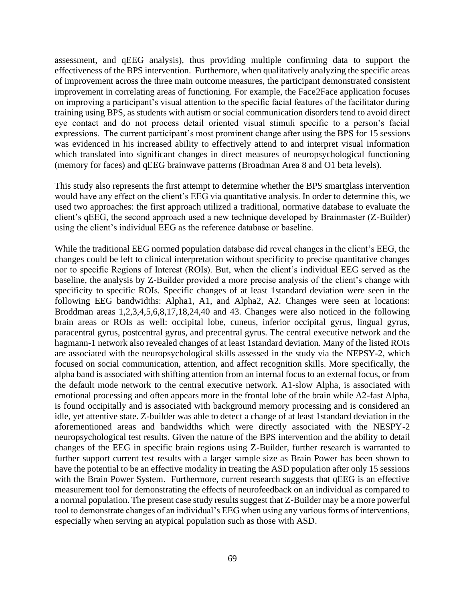assessment, and qEEG analysis), thus providing multiple confirming data to support the effectiveness of the BPS intervention. Furthemore, when qualitatively analyzing the specific areas of improvement across the three main outcome measures, the participant demonstrated consistent improvement in correlating areas of functioning. For example, the Face2Face application focuses on improving a participant's visual attention to the specific facial features of the facilitator during training using BPS, as students with autism or social communication disorders tend to avoid direct eye contact and do not process detail oriented visual stimuli specific to a person's facial expressions. The current participant's most prominent change after using the BPS for 15 sessions was evidenced in his increased ability to effectively attend to and interpret visual information which translated into significant changes in direct measures of neuropsychological functioning (memory for faces) and qEEG brainwave patterns (Broadman Area 8 and O1 beta levels).

This study also represents the first attempt to determine whether the BPS smartglass intervention would have any effect on the client's EEG via quantitative analysis. In order to determine this, we used two approaches: the first approach utilized a traditional, normative database to evaluate the client's qEEG, the second approach used a new technique developed by Brainmaster (Z-Builder) using the client's individual EEG as the reference database or baseline.

While the traditional EEG normed population database did reveal changes in the client's EEG, the changes could be left to clinical interpretation without specificity to precise quantitative changes nor to specific Regions of Interest (ROIs). But, when the client's individual EEG served as the baseline, the analysis by Z-Builder provided a more precise analysis of the client's change with specificity to specific ROIs. Specific changes of at least 1standard deviation were seen in the following EEG bandwidths: Alpha1, A1, and Alpha2, A2. Changes were seen at locations: Broddman areas 1,2,3,4,5,6,8,17,18,24,40 and 43. Changes were also noticed in the following brain areas or ROIs as well: occipital lobe, cuneus, inferior occipital gyrus, lingual gyrus, paracentral gyrus, postcentral gyrus, and precentral gyrus. The central executive network and the hagmann-1 network also revealed changes of at least 1standard deviation. Many of the listed ROIs are associated with the neuropsychological skills assessed in the study via the NEPSY-2, which focused on social communication, attention, and affect recognition skills. More specifically, the alpha band is associated with shifting attention from an internal focus to an external focus, or from the default mode network to the central executive network. A1-slow Alpha, is associated with emotional processing and often appears more in the frontal lobe of the brain while A2-fast Alpha, is found occipitally and is associated with background memory processing and is considered an idle, yet attentive state. Z-builder was able to detect a change of at least 1standard deviation in the aforementioned areas and bandwidths which were directly associated with the NESPY-2 neuropsychological test results. Given the nature of the BPS intervention and the ability to detail changes of the EEG in specific brain regions using Z-Builder, further research is warranted to further support current test results with a larger sample size as Brain Power has been shown to have the potential to be an effective modality in treating the ASD population after only 15 sessions with the Brain Power System. Furthermore, current research suggests that qEEG is an effective measurement tool for demonstrating the effects of neurofeedback on an individual as compared to a normal population. The present case study results suggest that Z-Builder may be a more powerful tool to demonstrate changes of an individual's EEG when using any various forms of interventions, especially when serving an atypical population such as those with ASD.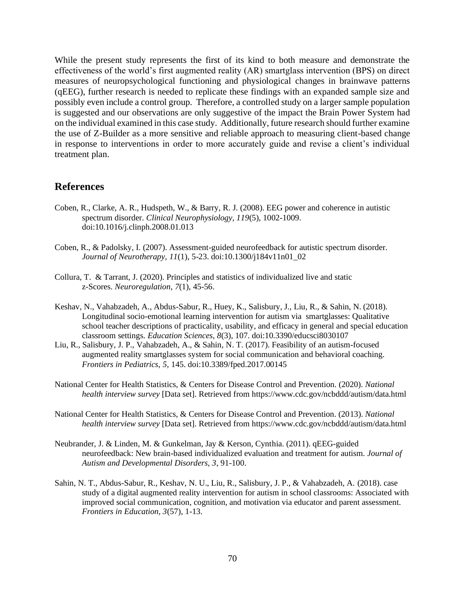While the present study represents the first of its kind to both measure and demonstrate the effectiveness of the world's first augmented reality (AR) smartglass intervention (BPS) on direct measures of neuropsychological functioning and physiological changes in brainwave patterns (qEEG), further research is needed to replicate these findings with an expanded sample size and possibly even include a control group. Therefore, a controlled study on a larger sample population is suggested and our observations are only suggestive of the impact the Brain Power System had on the individual examined in this case study. Additionally, future research should further examine the use of Z-Builder as a more sensitive and reliable approach to measuring client-based change in response to interventions in order to more accurately guide and revise a client's individual treatment plan.

#### **References**

- Coben, R., Clarke, A. R., Hudspeth, W., & Barry, R. J. (2008). EEG power and coherence in autistic spectrum disorder. *Clinical Neurophysiology, 119*(5), 1002-1009. doi:10.1016/j.clinph.2008.01.013
- Coben, R., & Padolsky, I. (2007). Assessment-guided neurofeedback for autistic spectrum disorder. *Journal of Neurotherapy, 11*(1), 5-23. doi:10.1300/j184v11n01\_02
- Collura, T. & Tarrant, J. (2020). Principles and statistics of individualized live and static z-Scores. *Neuroregulation, 7*(1), 45-56.
- Keshav, N., Vahabzadeh, A., Abdus-Sabur, R., Huey, K., Salisbury, J., Liu, R., & Sahin, N. (2018). Longitudinal socio-emotional learning intervention for autism via smartglasses: Qualitative school teacher descriptions of practicality, usability, and efficacy in general and special education classroom settings. *Education Sciences, 8*(3), 107. doi:10.3390/educsci8030107
- Liu, R., Salisbury, J. P., Vahabzadeh, A., & Sahin, N. T. (2017). Feasibility of an autism-focused augmented reality smartglasses system for social communication and behavioral coaching. *Frontiers in Pediatrics, 5,* 145. doi:10.3389/fped.2017.00145
- National Center for Health Statistics, & Centers for Disease Control and Prevention. (2020). *National health interview survey* [Data set]. Retrieved from https://www.cdc.gov/ncbddd/autism/data.html
- National Center for Health Statistics, & Centers for Disease Control and Prevention. (2013). *National health interview survey* [Data set]. Retrieved from https://www.cdc.gov/ncbddd/autism/data.html
- Neubrander, J. & Linden, M. & Gunkelman, Jay & Kerson, Cynthia. (2011). qEEG-guided neurofeedback: New brain-based individualized evaluation and treatment for autism. *Journal of Autism and Developmental Disorders, 3*, 91-100.
- Sahin, N. T., Abdus-Sabur, R., Keshav, N. U., Liu, R., Salisbury, J. P., & Vahabzadeh, A. (2018). case study of a digital augmented reality intervention for autism in school classrooms: Associated with improved social communication, cognition, and motivation via educator and parent assessment. *Frontiers in Education, 3*(57), 1-13.